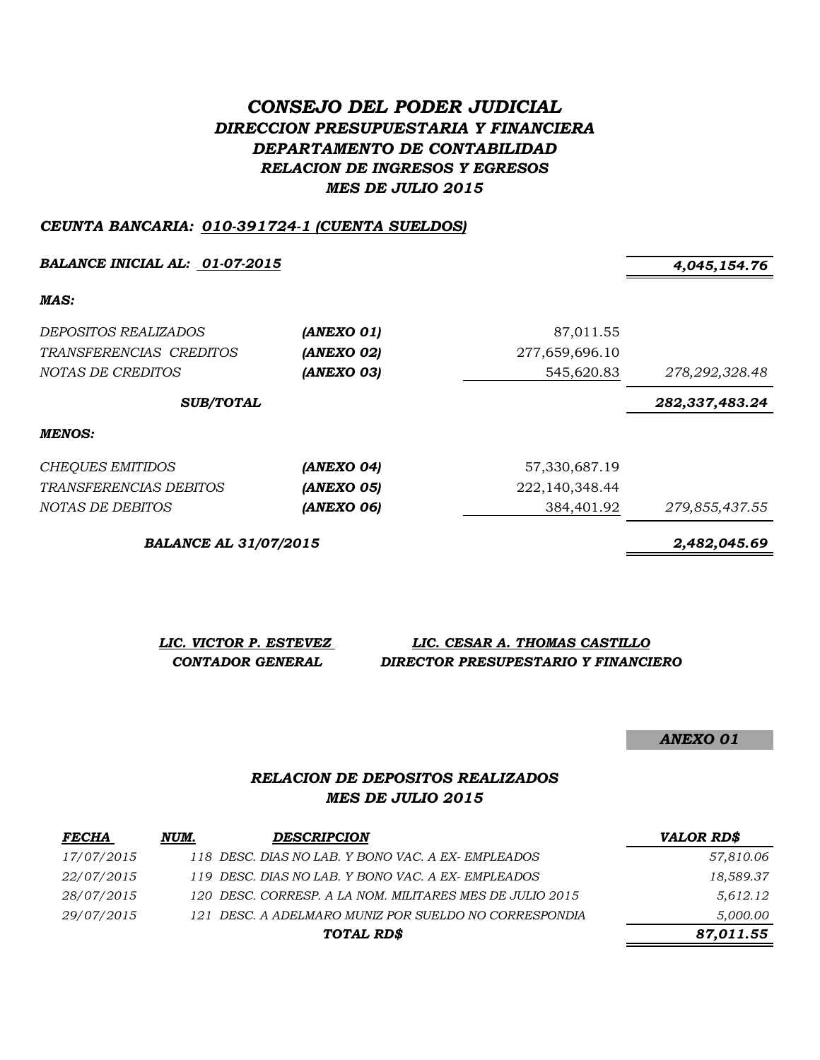# *CONSEJO DEL PODER JUDICIAL DIRECCION PRESUPUESTARIA Y FINANCIERA DEPARTAMENTO DE CONTABILIDAD RELACION DE INGRESOS Y EGRESOS MES DE JULIO 2015*

#### *CEUNTA BANCARIA: 010-391724-1 (CUENTA SUELDOS)*

*BALANCE INICIAL AL: 01-07-2015 4,045,154.76*

*MAS:*

| <i>DEPOSITOS REALIZADOS</i><br>TRANSFERENCIAS CREDITOS<br>NOTAS DE CREDITOS | (ANEXO 01)<br>(ANEXO 02)<br>(ANEXO 03) | 87,011.55<br>277,659,696.10<br>545,620.83 | 278,292,328.48 |
|-----------------------------------------------------------------------------|----------------------------------------|-------------------------------------------|----------------|
| <b>SUB/TOTAL</b>                                                            |                                        |                                           | 282,337,483.24 |
| MENOS:                                                                      |                                        |                                           |                |
| <b>CHEQUES EMITIDOS</b>                                                     | (ANEXO 04)                             | 57,330,687.19                             |                |
| <i>TRANSFERENCIAS DEBITOS</i>                                               | (ANEXO 05)                             | 222, 140, 348. 44                         |                |
| NOTAS DE DEBITOS                                                            | (ANEXO 06)                             | 384,401.92                                | 279,855,437.55 |

*BALANCE AL 31/07/2015 2,482,045.69*

| LIC. VICTOR P. ESTEVEZ | LIC. CESAR A. THOMAS CASTILLO       |
|------------------------|-------------------------------------|
| CONTADOR GENERAL       | DIRECTOR PRESUPESTARIO Y FINANCIERO |

*ANEXO 01*

## *RELACION DE DEPOSITOS REALIZADOS MES DE JULIO 2015*

| <b>FECHA</b>      | NUM. | <b>DESCRIPCION</b>                                       | <b>VALOR RD\$</b> |
|-------------------|------|----------------------------------------------------------|-------------------|
| 17/07/2015        |      | 118 DESC. DIAS NO LAB. Y BONO VAC. A EX-EMPLEADOS        | 57,810.06         |
| <i>22/07/2015</i> |      | 119 DESC. DIAS NO LAB. Y BONO VAC. A EX-EMPLEADOS        | 18,589.37         |
| 28/07/2015        |      | 120 DESC. CORRESP. A LA NOM. MILITARES MES DE JULIO 2015 | 5,612.12          |
| 29/07/2015        |      | 121 DESC. A ADELMARO MUNIZ POR SUELDO NO CORRESPONDIA    | 5,000.00          |
|                   |      | TOTAL RD\$                                               | 87,011.55         |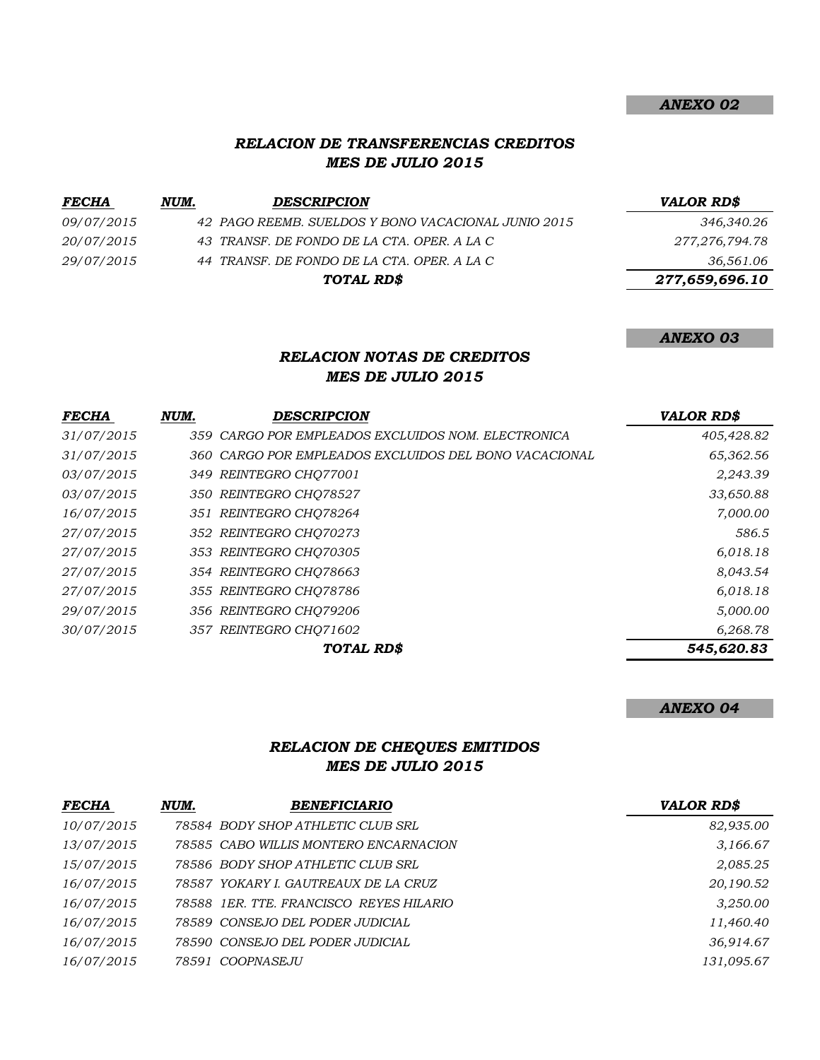## *RELACION DE TRANSFERENCIAS CREDITOS MES DE JULIO 2015*

| <i>FECHA</i>      | NUM. | <b>DESCRIPCION</b>                                  | <b>VALOR RD\$</b> |
|-------------------|------|-----------------------------------------------------|-------------------|
| <i>09/07/2015</i> |      | 42 PAGO REEMB. SUELDOS Y BONO VACACIONAL JUNIO 2015 | 346,340.26        |
| <i>20/07/2015</i> |      | 43 TRANSF. DE FONDO DE LA CTA. OPER. A LA C         | 277,276,794.78    |
| 29/07/2015        |      | 44 TRANSF. DE FONDO DE LA CTA. OPER. A LA C         | 36,561.06         |
|                   |      | TOTAL RD\$                                          | 277,659,696.10    |

# *ANEXO 03*

*ANEXO 02*

## *RELACION NOTAS DE CREDITOS MES DE JULIO 2015*

| <b>FECHA</b> | NUM. | <b>DESCRIPCION</b>                                    | <b>VALOR RD\$</b> |
|--------------|------|-------------------------------------------------------|-------------------|
| 31/07/2015   |      | 359 CARGO POR EMPLEADOS EXCLUIDOS NOM. ELECTRONICA    | 405,428.82        |
| 31/07/2015   |      | 360 CARGO POR EMPLEADOS EXCLUIDOS DEL BONO VACACIONAL | 65,362.56         |
| 03/07/2015   |      | 349 REINTEGRO CHQ77001                                | 2,243.39          |
| 03/07/2015   |      | 350 REINTEGRO CHO78527                                | 33,650.88         |
| 16/07/2015   |      | 351 REINTEGRO CHO78264                                | 7,000.00          |
| 27/07/2015   |      | 352 REINTEGRO CHO70273                                | 586.5             |
| 27/07/2015   |      | 353 REINTEGRO CHQ70305                                | 6,018.18          |
| 27/07/2015   |      | 354 REINTEGRO CHO78663                                | 8,043.54          |
| 27/07/2015   |      | 355 REINTEGRO CHO78786                                | 6,018.18          |
| 29/07/2015   |      | 356 REINTEGRO CHO79206                                | 5,000.00          |
| 30/07/2015   |      | 357 REINTEGRO CHO71602                                | 6,268.78          |
|              |      | TOTAL RD\$                                            | 545,620.83        |

#### *ANEXO 04*

# *RELACION DE CHEQUES EMITIDOS MES DE JULIO 2015*

| <b>FECHA</b> | NUM. | <b>BENEFICIARIO</b>                     | <b>VALOR RD\$</b> |
|--------------|------|-----------------------------------------|-------------------|
| 10/07/2015   |      | 78584 BODY SHOP ATHLETIC CLUB SRL       | 82,935.00         |
| 13/07/2015   |      | 78585 CABO WILLIS MONTERO ENCARNACION   | 3,166.67          |
| 15/07/2015   |      | 78586 BODY SHOP ATHLETIC CLUB SRL       | 2,085.25          |
| 16/07/2015   |      | 78587 YOKARY I. GAUTREAUX DE LA CRUZ    | 20,190.52         |
| 16/07/2015   |      | 78588 1ER. TTE, FRANCISCO REYES HILARIO | 3,250.00          |
| 16/07/2015   |      | 78589 CONSEJO DEL PODER JUDICIAL        | 11,460.40         |
| 16/07/2015   |      | 78590 CONSEJO DEL PODER JUDICIAL        | 36,914.67         |
| 16/07/2015   |      | 78591 COOPNASEJU                        | 131,095.67        |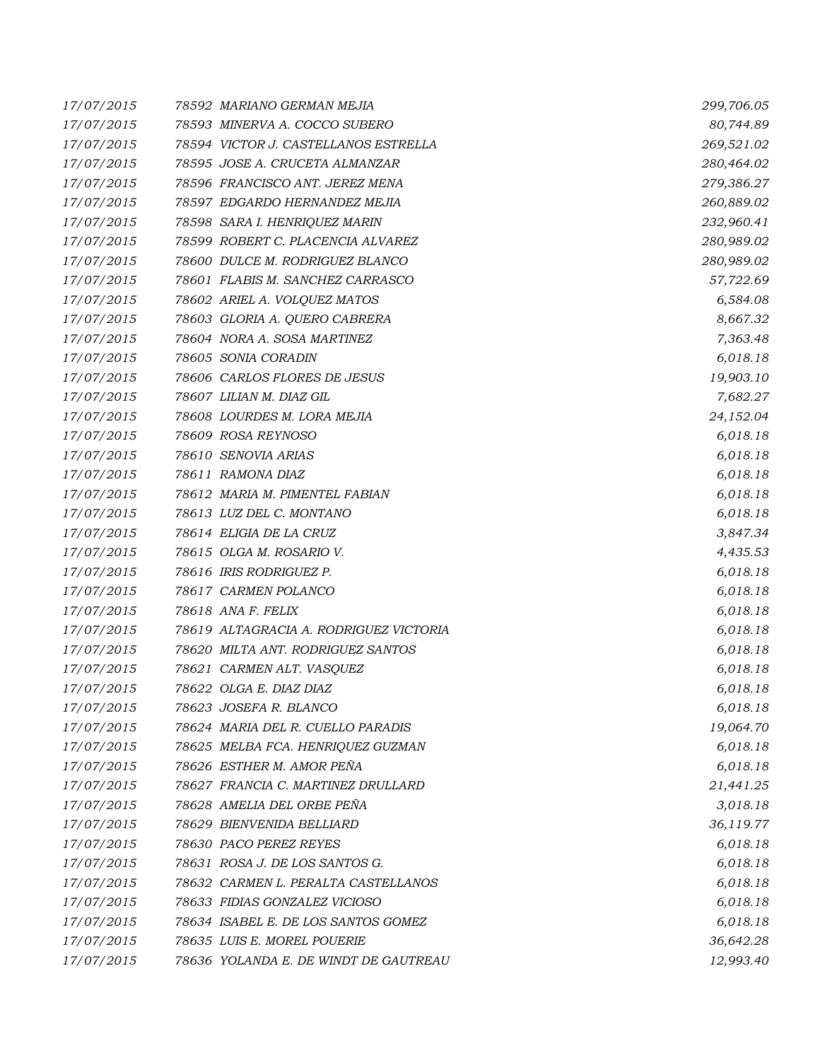| 17/07/2015 | 78592 MARIANO GERMAN MEJIA             | 299,706.05 |
|------------|----------------------------------------|------------|
| 17/07/2015 | 78593 MINERVA A. COCCO SUBERO          | 80,744.89  |
| 17/07/2015 | 78594 VICTOR J. CASTELLANOS ESTRELLA   | 269,521.02 |
| 17/07/2015 | 78595 JOSE A. CRUCETA ALMANZAR         | 280,464.02 |
| 17/07/2015 | 78596 FRANCISCO ANT. JEREZ MENA        | 279,386.27 |
| 17/07/2015 | 78597 EDGARDO HERNANDEZ MEJIA          | 260,889.02 |
| 17/07/2015 | 78598 SARA I. HENRIQUEZ MARIN          | 232,960.41 |
| 17/07/2015 | 78599 ROBERT C. PLACENCIA ALVAREZ      | 280,989.02 |
| 17/07/2015 | 78600 DULCE M. RODRIGUEZ BLANCO        | 280,989.02 |
| 17/07/2015 | 78601 FLABIS M. SANCHEZ CARRASCO       | 57,722.69  |
| 17/07/2015 | 78602 ARIEL A. VOLQUEZ MATOS           | 6,584.08   |
| 17/07/2015 | 78603 GLORIA A. QUERO CABRERA          | 8,667.32   |
| 17/07/2015 | 78604 NORA A. SOSA MARTINEZ            | 7,363.48   |
| 17/07/2015 | 78605 SONIA CORADIN                    | 6,018.18   |
| 17/07/2015 | 78606 CARLOS FLORES DE JESUS           | 19,903.10  |
| 17/07/2015 | 78607 LILIAN M. DIAZ GIL               | 7,682.27   |
| 17/07/2015 | 78608 LOURDES M. LORA MEJIA            | 24,152.04  |
| 17/07/2015 | 78609 ROSA REYNOSO                     | 6,018.18   |
| 17/07/2015 | 78610 SENOVIA ARIAS                    | 6,018.18   |
| 17/07/2015 | 78611 RAMONA DIAZ                      | 6,018.18   |
| 17/07/2015 | 78612 MARIA M. PIMENTEL FABIAN         | 6,018.18   |
| 17/07/2015 | 78613 LUZ DEL C. MONTANO               | 6,018.18   |
| 17/07/2015 | 78614 ELIGIA DE LA CRUZ                | 3,847.34   |
| 17/07/2015 | 78615 OLGA M. ROSARIO V.               | 4,435.53   |
| 17/07/2015 | 78616 IRIS RODRIGUEZ P.                | 6,018.18   |
| 17/07/2015 | 78617 CARMEN POLANCO                   | 6,018.18   |
| 17/07/2015 | 78618 ANA F. FELIX                     | 6,018.18   |
| 17/07/2015 | 78619 ALTAGRACIA A. RODRIGUEZ VICTORIA | 6,018.18   |
| 17/07/2015 | 78620 MILTA ANT. RODRIGUEZ SANTOS      | 6,018.18   |
| 17/07/2015 | 78621 CARMEN ALT. VASQUEZ              | 6,018.18   |
| 17/07/2015 | 78622 OLGA E. DIAZ DIAZ                | 6,018.18   |
| 17/07/2015 | 78623 JOSEFA R. BLANCO                 | 6,018.18   |
| 17/07/2015 | 78624 MARIA DEL R. CUELLO PARADIS      | 19,064.70  |
| 17/07/2015 | 78625 MELBA FCA. HENRIQUEZ GUZMAN      | 6,018.18   |
| 17/07/2015 | 78626 ESTHER M. AMOR PEÑA              | 6,018.18   |
| 17/07/2015 | 78627 FRANCIA C. MARTINEZ DRULLARD     | 21,441.25  |
| 17/07/2015 | 78628 AMELIA DEL ORBE PEÑA             | 3,018.18   |
| 17/07/2015 | 78629 BIENVENIDA BELLIARD              | 36,119.77  |
| 17/07/2015 | 78630 PACO PEREZ REYES                 | 6,018.18   |
| 17/07/2015 | 78631 ROSA J. DE LOS SANTOS G.         | 6,018.18   |
| 17/07/2015 | 78632 CARMEN L. PERALTA CASTELLANOS    | 6,018.18   |
| 17/07/2015 | 78633 FIDIAS GONZALEZ VICIOSO          | 6,018.18   |
| 17/07/2015 | 78634 ISABEL E. DE LOS SANTOS GOMEZ    | 6,018.18   |
| 17/07/2015 | 78635 LUIS E. MOREL POUERIE            | 36,642.28  |
| 17/07/2015 | 78636 YOLANDA E. DE WINDT DE GAUTREAU  | 12,993.40  |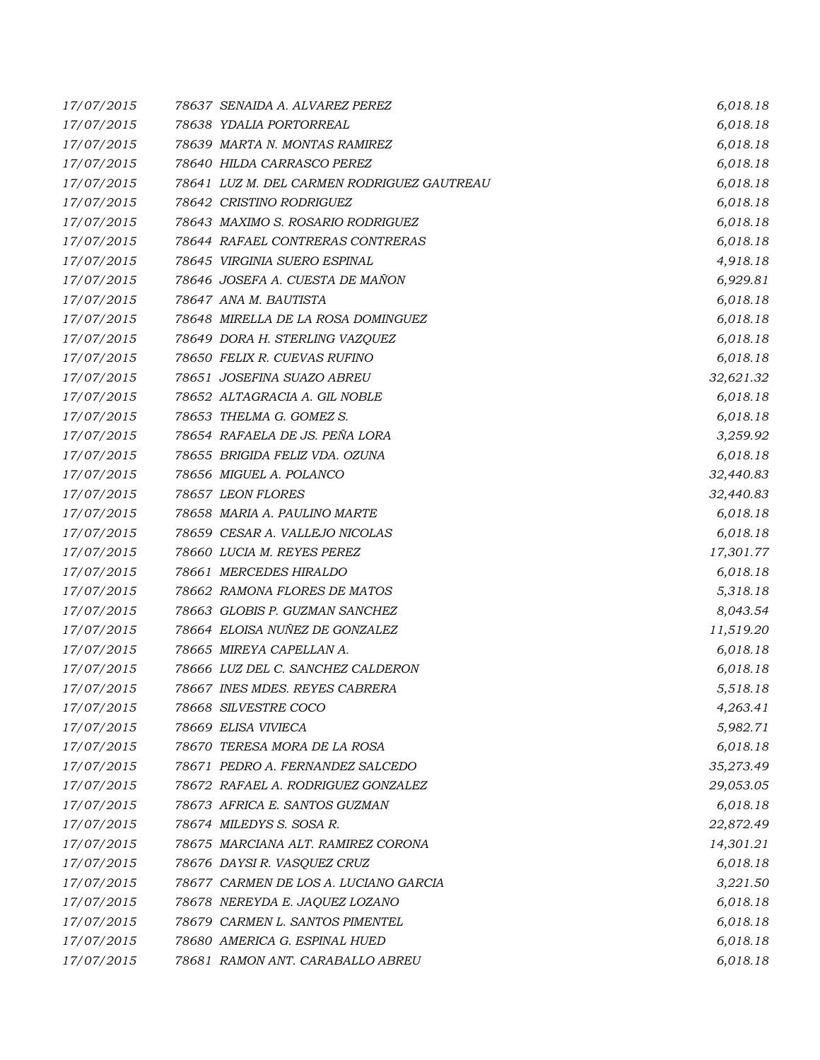| 17/07/2015 | 78637 SENAIDA A. ALVAREZ PEREZ             | 6,018.18  |
|------------|--------------------------------------------|-----------|
| 17/07/2015 | 78638 YDALIA PORTORREAL                    | 6,018.18  |
| 17/07/2015 | 78639 MARTA N. MONTAS RAMIREZ              | 6,018.18  |
| 17/07/2015 | 78640 HILDA CARRASCO PEREZ                 | 6,018.18  |
| 17/07/2015 | 78641 LUZ M. DEL CARMEN RODRIGUEZ GAUTREAU | 6,018.18  |
| 17/07/2015 | 78642 CRISTINO RODRIGUEZ                   | 6,018.18  |
| 17/07/2015 | 78643 MAXIMO S. ROSARIO RODRIGUEZ          | 6,018.18  |
| 17/07/2015 | 78644 RAFAEL CONTRERAS CONTRERAS           | 6,018.18  |
| 17/07/2015 | 78645 VIRGINIA SUERO ESPINAL               | 4,918.18  |
| 17/07/2015 | 78646 JOSEFA A. CUESTA DE MAÑON            | 6,929.81  |
| 17/07/2015 | 78647 ANA M. BAUTISTA                      | 6,018.18  |
| 17/07/2015 | 78648 MIRELLA DE LA ROSA DOMINGUEZ         | 6,018.18  |
| 17/07/2015 | 78649 DORA H. STERLING VAZQUEZ             | 6,018.18  |
| 17/07/2015 | 78650 FELIX R. CUEVAS RUFINO               | 6,018.18  |
| 17/07/2015 | 78651 JOSEFINA SUAZO ABREU                 | 32,621.32 |
| 17/07/2015 | 78652 ALTAGRACIA A. GIL NOBLE              | 6,018.18  |
| 17/07/2015 | 78653 THELMA G. GOMEZ S.                   | 6,018.18  |
| 17/07/2015 | 78654 RAFAELA DE JS. PEÑA LORA             | 3,259.92  |
| 17/07/2015 | 78655 BRIGIDA FELIZ VDA. OZUNA             | 6,018.18  |
| 17/07/2015 | 78656 MIGUEL A. POLANCO                    | 32,440.83 |
| 17/07/2015 | 78657 LEON FLORES                          | 32,440.83 |
| 17/07/2015 | 78658 MARIA A. PAULINO MARTE               | 6,018.18  |
| 17/07/2015 | 78659 CESAR A. VALLEJO NICOLAS             | 6,018.18  |
| 17/07/2015 | 78660 LUCIA M. REYES PEREZ                 | 17,301.77 |
| 17/07/2015 | 78661 MERCEDES HIRALDO                     | 6,018.18  |
| 17/07/2015 | 78662 RAMONA FLORES DE MATOS               | 5,318.18  |
| 17/07/2015 | 78663 GLOBIS P. GUZMAN SANCHEZ             | 8,043.54  |
| 17/07/2015 | 78664 ELOISA NUÑEZ DE GONZALEZ             | 11,519.20 |
| 17/07/2015 | 78665 MIREYA CAPELLAN A.                   | 6,018.18  |
| 17/07/2015 | 78666 LUZ DEL C. SANCHEZ CALDERON          | 6,018.18  |
| 17/07/2015 | 78667 INES MDES. REYES CABRERA             | 5,518.18  |
| 17/07/2015 | 78668 SILVESTRE COCO                       | 4,263.41  |
| 17/07/2015 | 78669 ELISA VIVIECA                        | 5,982.71  |
| 17/07/2015 | 78670 TERESA MORA DE LA ROSA               | 6,018.18  |
| 17/07/2015 | 78671 PEDRO A. FERNANDEZ SALCEDO           | 35,273.49 |
| 17/07/2015 | 78672 RAFAEL A. RODRIGUEZ GONZALEZ         | 29,053.05 |
| 17/07/2015 | 78673 AFRICA E. SANTOS GUZMAN              | 6,018.18  |
| 17/07/2015 | 78674 MILEDYS S. SOSA R.                   | 22,872.49 |
| 17/07/2015 | 78675 MARCIANA ALT. RAMIREZ CORONA         | 14,301.21 |
| 17/07/2015 | 78676 DAYSIR. VASQUEZ CRUZ                 | 6,018.18  |
| 17/07/2015 | 78677 CARMEN DE LOS A. LUCIANO GARCIA      | 3,221.50  |
| 17/07/2015 | 78678 NEREYDA E. JAQUEZ LOZANO             | 6,018.18  |
| 17/07/2015 | 78679 CARMEN L. SANTOS PIMENTEL            | 6,018.18  |
| 17/07/2015 | 78680 AMERICA G. ESPINAL HUED              | 6,018.18  |
| 17/07/2015 | 78681 RAMON ANT. CARABALLO ABREU           | 6,018.18  |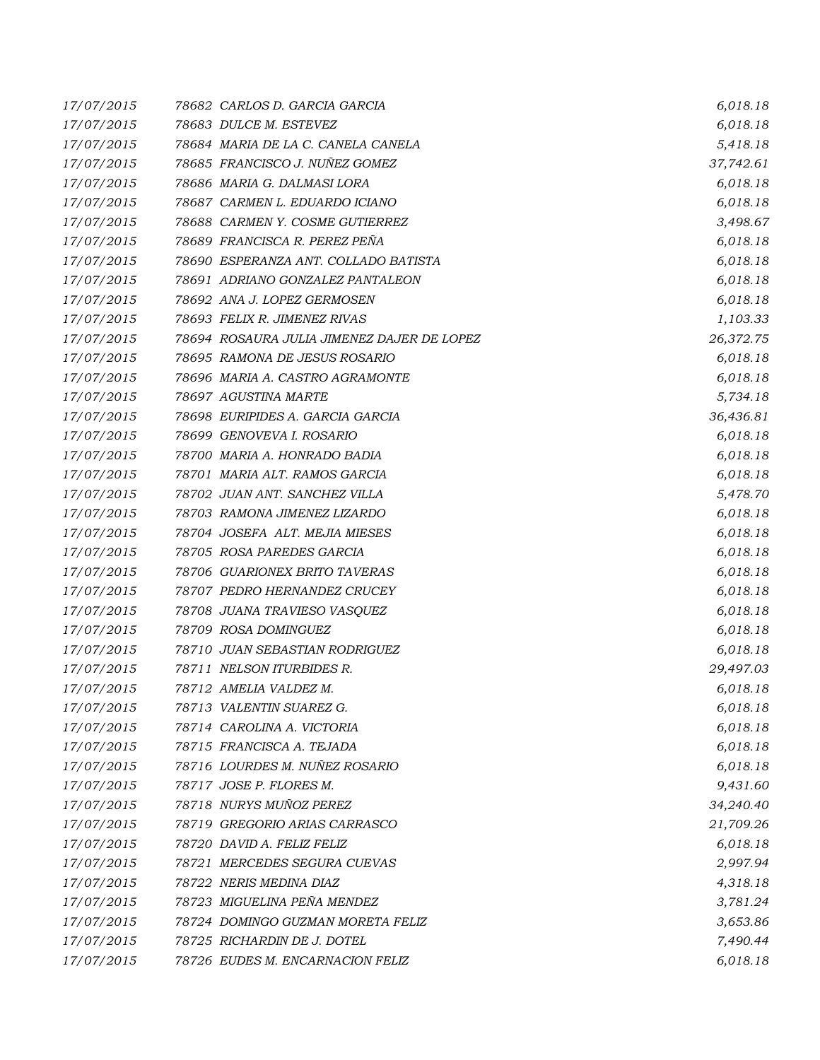| 17/07/2015 | 78682 CARLOS D. GARCIA GARCIA              | 6,018.18  |
|------------|--------------------------------------------|-----------|
| 17/07/2015 | 78683 DULCE M. ESTEVEZ                     | 6,018.18  |
| 17/07/2015 | 78684 MARIA DE LA C. CANELA CANELA         | 5,418.18  |
| 17/07/2015 | 78685 FRANCISCO J. NUÑEZ GOMEZ             | 37,742.61 |
| 17/07/2015 | 78686 MARIA G. DALMASI LORA                | 6,018.18  |
| 17/07/2015 | 78687 CARMEN L. EDUARDO ICIANO             | 6,018.18  |
| 17/07/2015 | 78688 CARMEN Y. COSME GUTIERREZ            | 3,498.67  |
| 17/07/2015 | 78689 FRANCISCA R. PEREZ PEÑA              | 6,018.18  |
| 17/07/2015 | 78690 ESPERANZA ANT. COLLADO BATISTA       | 6,018.18  |
| 17/07/2015 | 78691 ADRIANO GONZALEZ PANTALEON           | 6,018.18  |
| 17/07/2015 | 78692 ANA J. LOPEZ GERMOSEN                | 6,018.18  |
| 17/07/2015 | 78693 FELIX R. JIMENEZ RIVAS               | 1,103.33  |
| 17/07/2015 | 78694 ROSAURA JULIA JIMENEZ DAJER DE LOPEZ | 26,372.75 |
| 17/07/2015 | 78695 RAMONA DE JESUS ROSARIO              | 6,018.18  |
| 17/07/2015 | 78696 MARIA A. CASTRO AGRAMONTE            | 6,018.18  |
| 17/07/2015 | 78697 AGUSTINA MARTE                       | 5,734.18  |
| 17/07/2015 | 78698 EURIPIDES A. GARCIA GARCIA           | 36,436.81 |
| 17/07/2015 | 78699 GENOVEVA I. ROSARIO                  | 6,018.18  |
| 17/07/2015 | 78700 MARIA A. HONRADO BADIA               | 6,018.18  |
| 17/07/2015 | 78701 MARIA ALT. RAMOS GARCIA              | 6,018.18  |
| 17/07/2015 | 78702 JUAN ANT. SANCHEZ VILLA              | 5,478.70  |
| 17/07/2015 | 78703 RAMONA JIMENEZ LIZARDO               | 6,018.18  |
| 17/07/2015 | 78704 JOSEFA ALT. MEJIA MIESES             | 6,018.18  |
| 17/07/2015 | 78705 ROSA PAREDES GARCIA                  | 6,018.18  |
| 17/07/2015 | 78706 GUARIONEX BRITO TAVERAS              | 6,018.18  |
| 17/07/2015 | 78707 PEDRO HERNANDEZ CRUCEY               | 6,018.18  |
| 17/07/2015 | 78708 JUANA TRAVIESO VASQUEZ               | 6,018.18  |
| 17/07/2015 | 78709 ROSA DOMINGUEZ                       | 6,018.18  |
| 17/07/2015 | 78710 JUAN SEBASTIAN RODRIGUEZ             | 6,018.18  |
| 17/07/2015 | 78711 NELSON ITURBIDES R.                  | 29,497.03 |
| 17/07/2015 | 78712 AMELIA VALDEZ M.                     | 6,018.18  |
| 17/07/2015 | 78713 VALENTIN SUAREZ G.                   | 6,018.18  |
| 17/07/2015 | 78714 CAROLINA A. VICTORIA                 | 6,018.18  |
| 17/07/2015 | 78715 FRANCISCA A. TEJADA                  | 6,018.18  |
| 17/07/2015 | 78716 LOURDES M. NUÑEZ ROSARIO             | 6,018.18  |
| 17/07/2015 | 78717 JOSE P. FLORES M.                    | 9,431.60  |
| 17/07/2015 | 78718 NURYS MUÑOZ PEREZ                    | 34,240.40 |
| 17/07/2015 | 78719 GREGORIO ARIAS CARRASCO              | 21,709.26 |
| 17/07/2015 | 78720 DAVID A. FELIZ FELIZ                 | 6,018.18  |
| 17/07/2015 | 78721 MERCEDES SEGURA CUEVAS               | 2,997.94  |
| 17/07/2015 | 78722 NERIS MEDINA DIAZ                    | 4,318.18  |
| 17/07/2015 | 78723 MIGUELINA PEÑA MENDEZ                | 3,781.24  |
| 17/07/2015 | 78724 DOMINGO GUZMAN MORETA FELIZ          | 3,653.86  |
| 17/07/2015 | 78725 RICHARDIN DE J. DOTEL                | 7,490.44  |
| 17/07/2015 | 78726 EUDES M. ENCARNACION FELIZ           | 6,018.18  |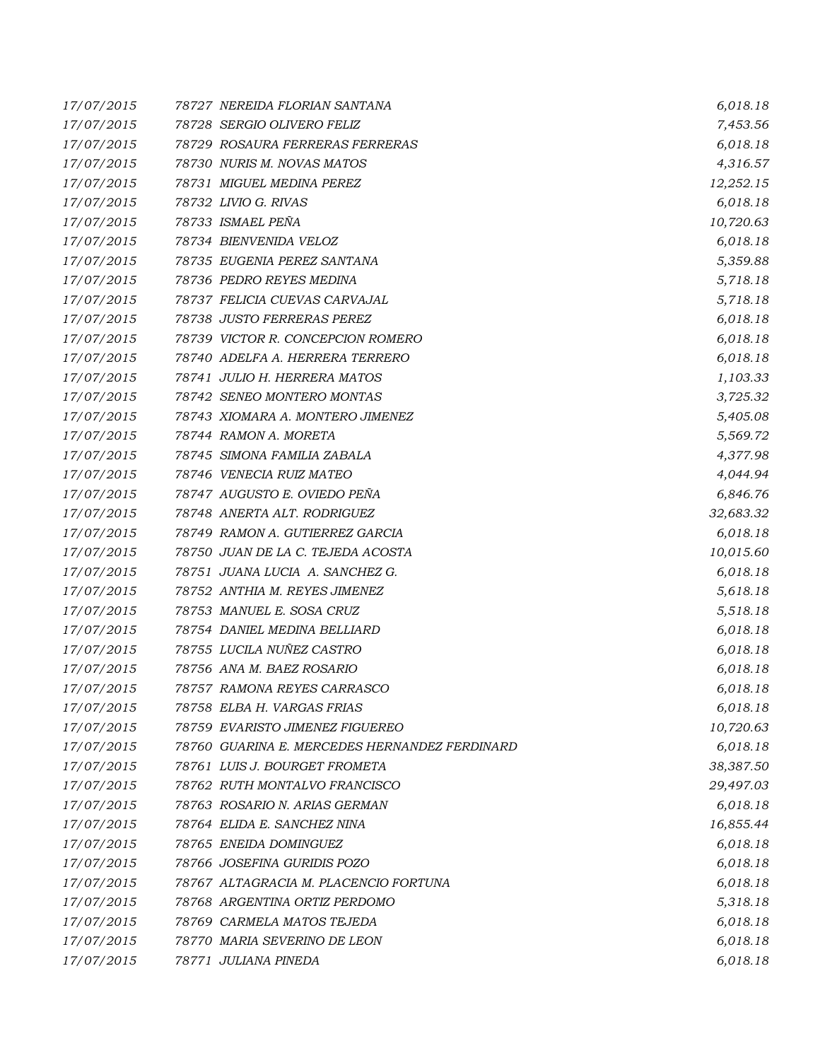| 17/07/2015 | 78727 NEREIDA FLORIAN SANTANA                 | 6,018.18  |
|------------|-----------------------------------------------|-----------|
| 17/07/2015 | 78728 SERGIO OLIVERO FELIZ                    | 7,453.56  |
| 17/07/2015 | 78729 ROSAURA FERRERAS FERRERAS               | 6,018.18  |
| 17/07/2015 | 78730 NURIS M. NOVAS MATOS                    | 4,316.57  |
| 17/07/2015 | 78731 MIGUEL MEDINA PEREZ                     | 12,252.15 |
| 17/07/2015 | 78732 LIVIO G. RIVAS                          | 6,018.18  |
| 17/07/2015 | 78733 ISMAEL PEÑA                             | 10,720.63 |
| 17/07/2015 | 78734 BIENVENIDA VELOZ                        | 6,018.18  |
| 17/07/2015 | 78735 EUGENIA PEREZ SANTANA                   | 5,359.88  |
| 17/07/2015 | 78736 PEDRO REYES MEDINA                      | 5,718.18  |
| 17/07/2015 | 78737 FELICIA CUEVAS CARVAJAL                 | 5,718.18  |
| 17/07/2015 | 78738 JUSTO FERRERAS PEREZ                    | 6,018.18  |
| 17/07/2015 | 78739 VICTOR R. CONCEPCION ROMERO             | 6,018.18  |
| 17/07/2015 | 78740 ADELFA A. HERRERA TERRERO               | 6,018.18  |
| 17/07/2015 | 78741 JULIO H. HERRERA MATOS                  | 1,103.33  |
| 17/07/2015 | 78742 SENEO MONTERO MONTAS                    | 3,725.32  |
| 17/07/2015 | 78743 XIOMARA A. MONTERO JIMENEZ              | 5,405.08  |
| 17/07/2015 | 78744 RAMON A. MORETA                         | 5,569.72  |
| 17/07/2015 | 78745 SIMONA FAMILIA ZABALA                   | 4,377.98  |
| 17/07/2015 | 78746 VENECIA RUIZ MATEO                      | 4,044.94  |
| 17/07/2015 | 78747 AUGUSTO E. OVIEDO PEÑA                  | 6,846.76  |
| 17/07/2015 | 78748 ANERTA ALT. RODRIGUEZ                   | 32,683.32 |
| 17/07/2015 | 78749 RAMON A. GUTIERREZ GARCIA               | 6,018.18  |
| 17/07/2015 | 78750 JUAN DE LA C. TEJEDA ACOSTA             | 10,015.60 |
| 17/07/2015 | 78751 JUANA LUCIA A. SANCHEZ G.               | 6,018.18  |
| 17/07/2015 | 78752 ANTHIA M. REYES JIMENEZ                 | 5,618.18  |
| 17/07/2015 | 78753 MANUEL E. SOSA CRUZ                     | 5,518.18  |
| 17/07/2015 | 78754 DANIEL MEDINA BELLIARD                  | 6,018.18  |
| 17/07/2015 | 78755 LUCILA NUÑEZ CASTRO                     | 6,018.18  |
| 17/07/2015 | 78756 ANA M. BAEZ ROSARIO                     | 6,018.18  |
| 17/07/2015 | 78757 RAMONA REYES CARRASCO                   | 6,018.18  |
| 17/07/2015 | 78758  ELBA H. VARGAS FRIAS                   | 6,018.18  |
| 17/07/2015 | 78759 EVARISTO JIMENEZ FIGUEREO               | 10,720.63 |
| 17/07/2015 | 78760 GUARINA E. MERCEDES HERNANDEZ FERDINARD | 6,018.18  |
| 17/07/2015 | 78761 LUIS J. BOURGET FROMETA                 | 38,387.50 |
| 17/07/2015 | 78762 RUTH MONTALVO FRANCISCO                 | 29,497.03 |
| 17/07/2015 | 78763 ROSARIO N. ARIAS GERMAN                 | 6,018.18  |
| 17/07/2015 | 78764 ELIDA E. SANCHEZ NINA                   | 16,855.44 |
| 17/07/2015 | 78765 ENEIDA DOMINGUEZ                        | 6,018.18  |
| 17/07/2015 | 78766 JOSEFINA GURIDIS POZO                   | 6,018.18  |
| 17/07/2015 | 78767 ALTAGRACIA M. PLACENCIO FORTUNA         | 6,018.18  |
| 17/07/2015 | 78768 ARGENTINA ORTIZ PERDOMO                 | 5,318.18  |
| 17/07/2015 | 78769 CARMELA MATOS TEJEDA                    | 6,018.18  |
| 17/07/2015 | 78770 MARIA SEVERINO DE LEON                  | 6,018.18  |
| 17/07/2015 | 78771 JULIANA PINEDA                          | 6,018.18  |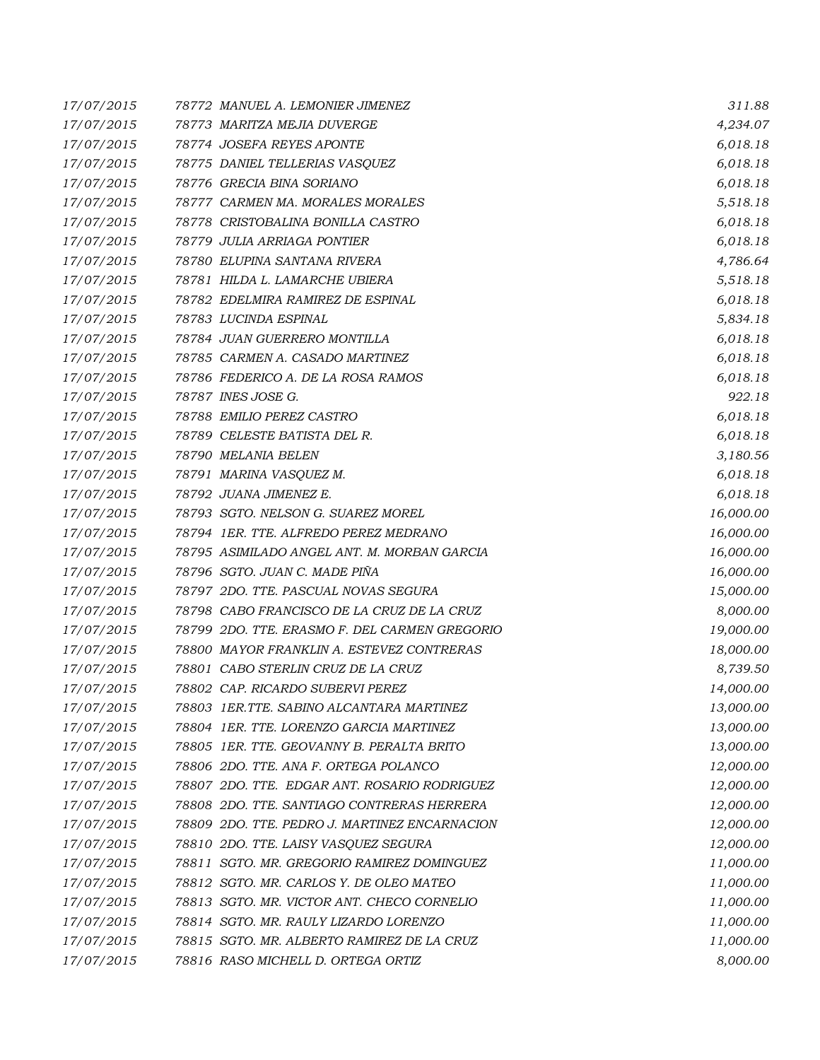| 17/07/2015 | 78772 MANUEL A. LEMONIER JIMENEZ              | 311.88    |
|------------|-----------------------------------------------|-----------|
| 17/07/2015 | 78773 MARITZA MEJIA DUVERGE                   | 4,234.07  |
| 17/07/2015 | 78774 JOSEFA REYES APONTE                     | 6,018.18  |
| 17/07/2015 | 78775 DANIEL TELLERIAS VASQUEZ                | 6,018.18  |
| 17/07/2015 | 78776 GRECIA BINA SORIANO                     | 6,018.18  |
| 17/07/2015 | 78777 CARMEN MA. MORALES MORALES              | 5,518.18  |
| 17/07/2015 | 78778 CRISTOBALINA BONILLA CASTRO             | 6,018.18  |
| 17/07/2015 | 78779 JULIA ARRIAGA PONTIER                   | 6,018.18  |
| 17/07/2015 | 78780 ELUPINA SANTANA RIVERA                  | 4,786.64  |
| 17/07/2015 | 78781 HILDA L. LAMARCHE UBIERA                | 5,518.18  |
| 17/07/2015 | 78782 EDELMIRA RAMIREZ DE ESPINAL             | 6,018.18  |
| 17/07/2015 | 78783 LUCINDA ESPINAL                         | 5,834.18  |
| 17/07/2015 | 78784 JUAN GUERRERO MONTILLA                  | 6,018.18  |
| 17/07/2015 | 78785 CARMEN A. CASADO MARTINEZ               | 6,018.18  |
| 17/07/2015 | 78786 FEDERICO A. DE LA ROSA RAMOS            | 6,018.18  |
| 17/07/2015 | 78787 INES JOSE G.                            | 922.18    |
| 17/07/2015 | 78788 EMILIO PEREZ CASTRO                     | 6,018.18  |
| 17/07/2015 | 78789 CELESTE BATISTA DEL R.                  | 6,018.18  |
| 17/07/2015 | 78790 MELANIA BELEN                           | 3,180.56  |
| 17/07/2015 | 78791 MARINA VASQUEZ M.                       | 6,018.18  |
| 17/07/2015 | 78792 JUANA JIMENEZ E.                        | 6,018.18  |
| 17/07/2015 | 78793 SGTO. NELSON G. SUAREZ MOREL            | 16,000.00 |
| 17/07/2015 | 78794 1ER. TTE. ALFREDO PEREZ MEDRANO         | 16,000.00 |
| 17/07/2015 | 78795 ASIMILADO ANGEL ANT. M. MORBAN GARCIA   | 16,000.00 |
| 17/07/2015 | 78796 SGTO. JUAN C. MADE PIÑA                 | 16,000.00 |
| 17/07/2015 | 78797 2DO. TTE. PASCUAL NOVAS SEGURA          | 15,000.00 |
| 17/07/2015 | 78798 CABO FRANCISCO DE LA CRUZ DE LA CRUZ    | 8,000.00  |
| 17/07/2015 | 78799 2DO. TTE. ERASMO F. DEL CARMEN GREGORIO | 19,000.00 |
| 17/07/2015 | 78800 MAYOR FRANKLIN A. ESTEVEZ CONTRERAS     | 18,000.00 |
| 17/07/2015 | 78801 CABO STERLIN CRUZ DE LA CRUZ            | 8,739.50  |
| 17/07/2015 | 78802 CAP. RICARDO SUBERVI PEREZ              | 14,000.00 |
| 17/07/2015 | 78803   IER.TTE. SABINO ALCANTARA MARTINEZ    | 13,000.00 |
| 17/07/2015 | 78804 1ER. TTE. LORENZO GARCIA MARTINEZ       | 13,000.00 |
| 17/07/2015 | 78805 IER. TTE, GEOVANNY B. PERALTA BRITO     | 13,000.00 |
| 17/07/2015 | 78806 2DO. TTE. ANA F. ORTEGA POLANCO         | 12,000.00 |
| 17/07/2015 | 78807 2DO. TTE. EDGAR ANT. ROSARIO RODRIGUEZ  | 12,000.00 |
| 17/07/2015 | 78808 2DO. TTE. SANTIAGO CONTRERAS HERRERA    | 12,000.00 |
| 17/07/2015 | 78809 2DO. TTE. PEDRO J. MARTINEZ ENCARNACION | 12,000.00 |
| 17/07/2015 | 78810 2DO. TTE. LAISY VASQUEZ SEGURA          | 12,000.00 |
| 17/07/2015 | 78811 SGTO. MR. GREGORIO RAMIREZ DOMINGUEZ    | 11,000.00 |
| 17/07/2015 | 78812 SGTO. MR. CARLOS Y. DE OLEO MATEO       | 11,000.00 |
| 17/07/2015 | 78813 SGTO. MR. VICTOR ANT. CHECO CORNELIO    | 11,000.00 |
| 17/07/2015 | 78814 SGTO. MR. RAULY LIZARDO LORENZO         | 11,000.00 |
| 17/07/2015 | 78815 SGTO. MR. ALBERTO RAMIREZ DE LA CRUZ    | 11,000.00 |
| 17/07/2015 | 78816 RASO MICHELL D. ORTEGA ORTIZ            | 8,000.00  |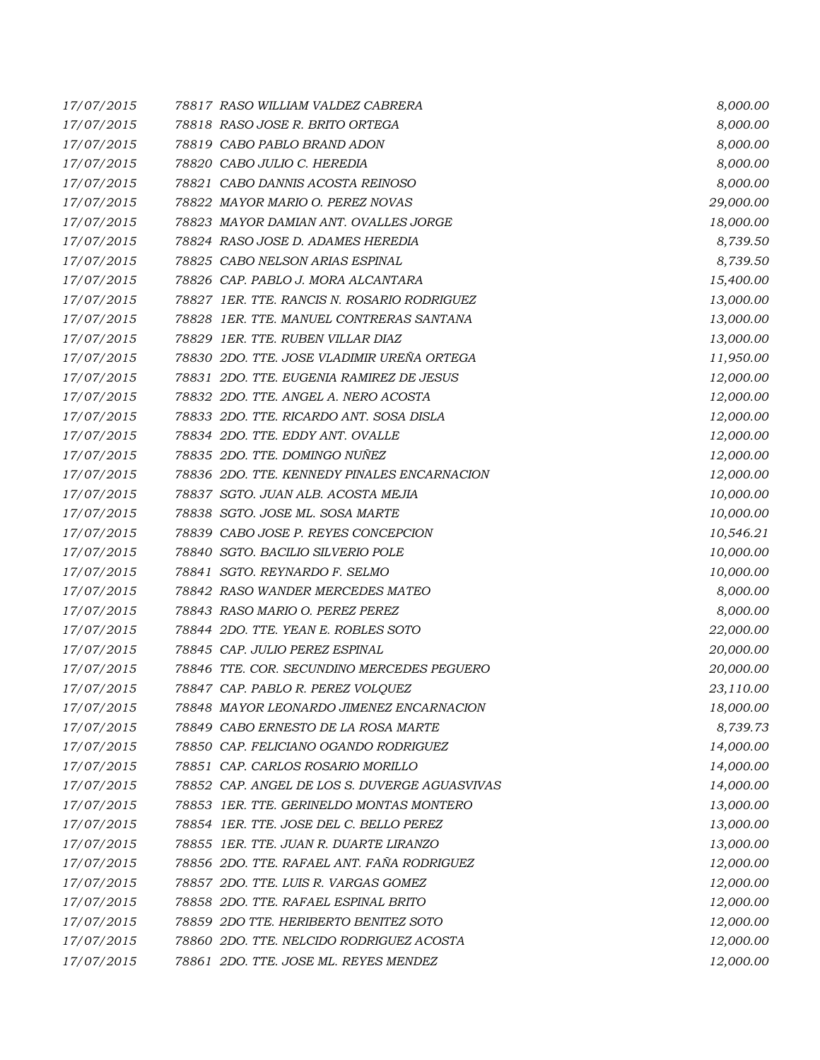| 17/07/2015 | 78817 RASO WILLIAM VALDEZ CABRERA             | 8,000.00  |
|------------|-----------------------------------------------|-----------|
| 17/07/2015 | 78818 RASO JOSE R. BRITO ORTEGA               | 8,000.00  |
| 17/07/2015 | 78819 CABO PABLO BRAND ADON                   | 8,000.00  |
| 17/07/2015 | 78820 CABO JULIO C. HEREDIA                   | 8,000.00  |
| 17/07/2015 | 78821 CABO DANNIS ACOSTA REINOSO              | 8,000.00  |
| 17/07/2015 | 78822 MAYOR MARIO O. PEREZ NOVAS              | 29,000.00 |
| 17/07/2015 | 78823 MAYOR DAMIAN ANT. OVALLES JORGE         | 18,000.00 |
| 17/07/2015 | 78824 RASO JOSE D. ADAMES HEREDIA             | 8,739.50  |
| 17/07/2015 | 78825 CABO NELSON ARIAS ESPINAL               | 8,739.50  |
| 17/07/2015 | 78826 CAP. PABLO J. MORA ALCANTARA            | 15,400.00 |
| 17/07/2015 | 78827 1ER. TTE. RANCIS N. ROSARIO RODRIGUEZ   | 13,000.00 |
| 17/07/2015 | 78828 1ER. TTE. MANUEL CONTRERAS SANTANA      | 13,000.00 |
| 17/07/2015 | 78829 IER. TTE. RUBEN VILLAR DIAZ             | 13,000.00 |
| 17/07/2015 | 78830 2DO. TTE. JOSE VLADIMIR UREÑA ORTEGA    | 11,950.00 |
| 17/07/2015 | 78831 2DO. TTE. EUGENIA RAMIREZ DE JESUS      | 12,000.00 |
| 17/07/2015 | 78832 2DO. TTE. ANGEL A. NERO ACOSTA          | 12,000.00 |
| 17/07/2015 | 78833 2DO. TTE. RICARDO ANT. SOSA DISLA       | 12,000.00 |
| 17/07/2015 | 78834 2DO. TTE. EDDY ANT. OVALLE              | 12,000.00 |
| 17/07/2015 | 78835 2DO. TTE. DOMINGO NUÑEZ                 | 12,000.00 |
| 17/07/2015 | 78836 2DO. TTE, KENNEDY PINALES ENCARNACION   | 12,000.00 |
| 17/07/2015 | 78837 SGTO. JUAN ALB. ACOSTA MEJIA            | 10,000.00 |
| 17/07/2015 | 78838 SGTO. JOSE ML. SOSA MARTE               | 10,000.00 |
| 17/07/2015 | 78839 CABO JOSE P. REYES CONCEPCION           | 10,546.21 |
| 17/07/2015 | 78840 SGTO. BACILIO SILVERIO POLE             | 10,000.00 |
| 17/07/2015 | 78841 SGTO. REYNARDO F. SELMO                 | 10,000.00 |
| 17/07/2015 | 78842 RASO WANDER MERCEDES MATEO              | 8,000.00  |
| 17/07/2015 | 78843 RASO MARIO O. PEREZ PEREZ               | 8,000.00  |
| 17/07/2015 | 78844 2DO. TTE. YEAN E. ROBLES SOTO           | 22,000.00 |
| 17/07/2015 | 78845 CAP. JULIO PEREZ ESPINAL                | 20,000.00 |
| 17/07/2015 | 78846 TTE, COR, SECUNDINO MERCEDES PEGUERO    | 20,000.00 |
| 17/07/2015 | 78847 CAP. PABLO R. PEREZ VOLQUEZ             | 23,110.00 |
| 17/07/2015 | 78848 MAYOR LEONARDO JIMENEZ ENCARNACION      | 18,000.00 |
| 17/07/2015 | 78849 CABO ERNESTO DE LA ROSA MARTE           | 8,739.73  |
| 17/07/2015 | 78850 CAP. FELICIANO OGANDO RODRIGUEZ         | 14,000.00 |
| 17/07/2015 | 78851 CAP. CARLOS ROSARIO MORILLO             | 14,000.00 |
| 17/07/2015 | 78852 CAP. ANGEL DE LOS S. DUVERGE AGUASVIVAS | 14,000.00 |
| 17/07/2015 | 78853 1ER. TTE. GERINELDO MONTAS MONTERO      | 13,000.00 |
| 17/07/2015 | 78854 1ER. TTE. JOSE DEL C. BELLO PEREZ       | 13,000.00 |
| 17/07/2015 | 78855 1ER. TTE. JUAN R. DUARTE LIRANZO        | 13,000.00 |
| 17/07/2015 | 78856 2DO. TTE. RAFAEL ANT. FAÑA RODRIGUEZ    | 12,000.00 |
| 17/07/2015 | 78857 2DO. TTE. LUIS R. VARGAS GOMEZ          | 12,000.00 |
| 17/07/2015 | 78858 2DO. TTE. RAFAEL ESPINAL BRITO          | 12,000.00 |
| 17/07/2015 | 78859 2DO TTE. HERIBERTO BENITEZ SOTO         | 12,000.00 |
| 17/07/2015 | 78860 2DO. TTE. NELCIDO RODRIGUEZ ACOSTA      | 12,000.00 |
| 17/07/2015 | 78861 2DO. TTE. JOSE ML. REYES MENDEZ         | 12,000.00 |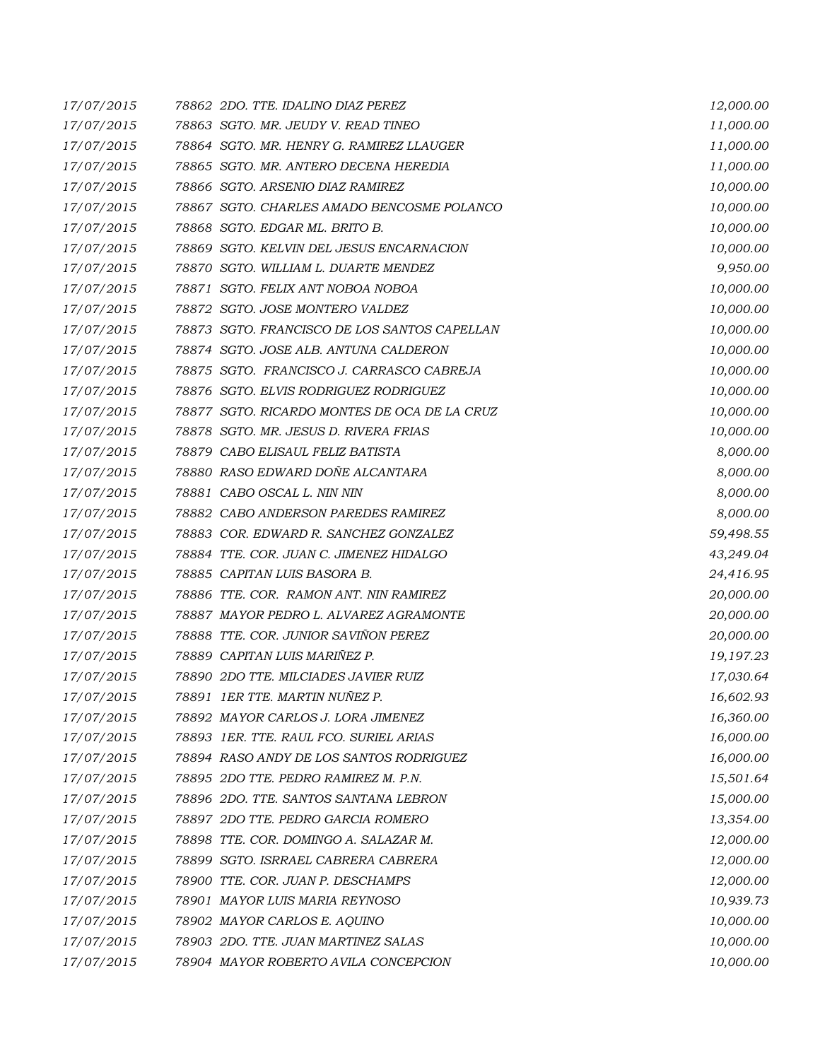| 17/07/2015 | 78862 2DO. TTE. IDALINO DIAZ PEREZ           | 12,000.00 |
|------------|----------------------------------------------|-----------|
| 17/07/2015 | 78863 SGTO. MR. JEUDY V. READ TINEO          | 11,000.00 |
| 17/07/2015 | 78864 SGTO, MR. HENRY G. RAMIREZ LLAUGER     | 11,000.00 |
| 17/07/2015 | 78865 SGTO. MR. ANTERO DECENA HEREDIA        | 11,000.00 |
| 17/07/2015 | 78866 SGTO. ARSENIO DIAZ RAMIREZ             | 10,000.00 |
| 17/07/2015 | 78867 SGTO. CHARLES AMADO BENCOSME POLANCO   | 10,000.00 |
| 17/07/2015 | 78868 SGTO. EDGAR ML. BRITO B.               | 10,000.00 |
| 17/07/2015 | 78869 SGTO. KELVIN DEL JESUS ENCARNACION     | 10,000.00 |
| 17/07/2015 | 78870 SGTO. WILLIAM L. DUARTE MENDEZ         | 9,950.00  |
| 17/07/2015 | 78871 SGTO. FELIX ANT NOBOA NOBOA            | 10,000.00 |
| 17/07/2015 | 78872 SGTO. JOSE MONTERO VALDEZ              | 10,000.00 |
| 17/07/2015 | 78873 SGTO. FRANCISCO DE LOS SANTOS CAPELLAN | 10,000.00 |
| 17/07/2015 | 78874 SGTO. JOSE ALB. ANTUNA CALDERON        | 10,000.00 |
| 17/07/2015 | 78875 SGTO. FRANCISCO J. CARRASCO CABREJA    | 10,000.00 |
| 17/07/2015 | 78876 SGTO. ELVIS RODRIGUEZ RODRIGUEZ        | 10,000.00 |
| 17/07/2015 | 78877 SGTO. RICARDO MONTES DE OCA DE LA CRUZ | 10,000.00 |
| 17/07/2015 | 78878 SGTO. MR. JESUS D. RIVERA FRIAS        | 10,000.00 |
| 17/07/2015 | 78879 CABO ELISAUL FELIZ BATISTA             | 8,000.00  |
| 17/07/2015 | 78880 RASO EDWARD DOÑE ALCANTARA             | 8,000.00  |
| 17/07/2015 | 78881 CABO OSCAL L. NIN NIN                  | 8,000.00  |
| 17/07/2015 | 78882 CABO ANDERSON PAREDES RAMIREZ          | 8,000.00  |
| 17/07/2015 | 78883 COR. EDWARD R. SANCHEZ GONZALEZ        | 59,498.55 |
| 17/07/2015 | 78884 TTE. COR. JUAN C. JIMENEZ HIDALGO      | 43,249.04 |
| 17/07/2015 | 78885 CAPITAN LUIS BASORA B.                 | 24,416.95 |
| 17/07/2015 | 78886 TTE. COR. RAMON ANT. NIN RAMIREZ       | 20,000.00 |
| 17/07/2015 | 78887 MAYOR PEDRO L. ALVAREZ AGRAMONTE       | 20,000.00 |
| 17/07/2015 | 78888 TTE. COR. JUNIOR SAVIÑON PEREZ         | 20,000.00 |
| 17/07/2015 | 78889 CAPITAN LUIS MARIÑEZ P.                | 19,197.23 |
| 17/07/2015 | 78890 2DO TTE. MILCIADES JAVIER RUIZ         | 17,030.64 |
| 17/07/2015 | 78891 IER TTE. MARTIN NUÑEZ P.               | 16,602.93 |
| 17/07/2015 | 78892 MAYOR CARLOS J. LORA JIMENEZ           | 16,360.00 |
| 17/07/2015 | 78893 IER. TTE. RAUL FCO. SURIEL ARIAS       | 16,000.00 |
| 17/07/2015 | 78894 RASO ANDY DE LOS SANTOS RODRIGUEZ      | 16,000.00 |
| 17/07/2015 | 78895 2DO TTE. PEDRO RAMIREZ M. P.N.         | 15,501.64 |
| 17/07/2015 | 78896 2DO. TTE. SANTOS SANTANA LEBRON        | 15,000.00 |
| 17/07/2015 | 78897 2DO TTE. PEDRO GARCIA ROMERO           | 13,354.00 |
| 17/07/2015 | 78898 TTE. COR. DOMINGO A. SALAZAR M.        | 12,000.00 |
| 17/07/2015 | 78899 SGTO. ISRRAEL CABRERA CABRERA          | 12,000.00 |
| 17/07/2015 | 78900 TTE. COR. JUAN P. DESCHAMPS            | 12,000.00 |
| 17/07/2015 | 78901 MAYOR LUIS MARIA REYNOSO               | 10,939.73 |
| 17/07/2015 | 78902 MAYOR CARLOS E. AQUINO                 | 10,000.00 |
| 17/07/2015 | 78903 2DO. TTE. JUAN MARTINEZ SALAS          | 10,000.00 |
| 17/07/2015 | 78904 MAYOR ROBERTO AVILA CONCEPCION         | 10,000.00 |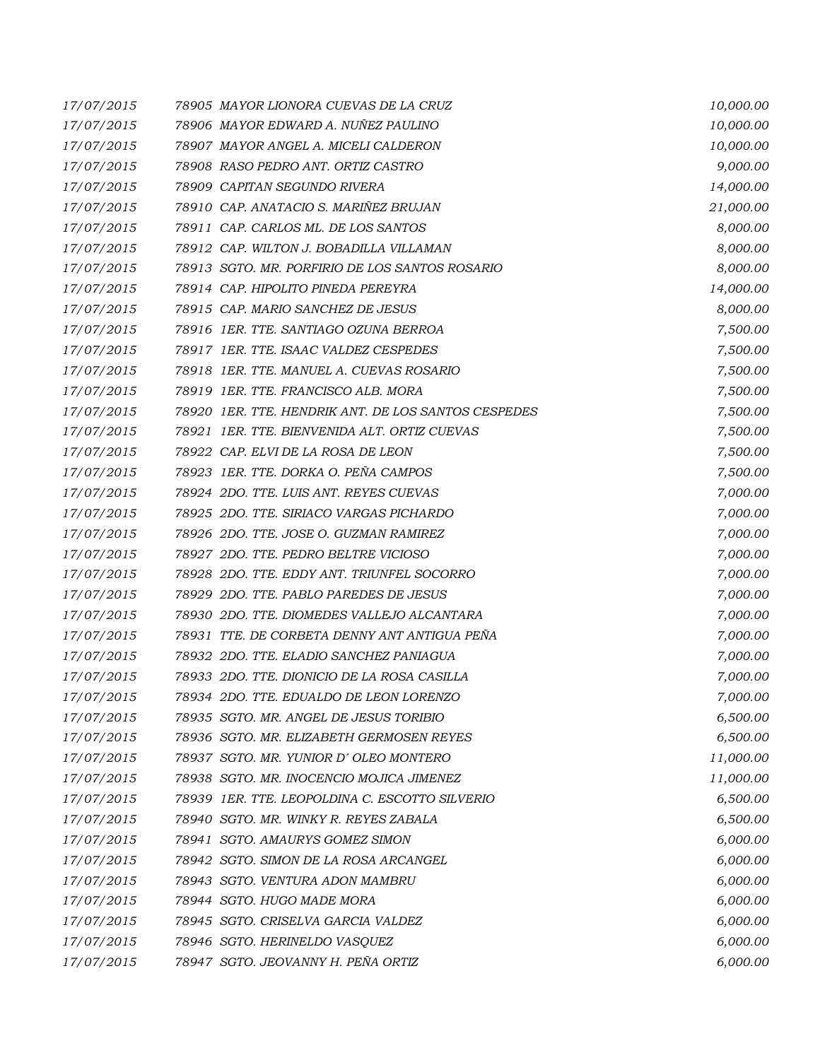| 17/07/2015 | 78905 MAYOR LIONORA CUEVAS DE LA CRUZ               | 10,000.00 |
|------------|-----------------------------------------------------|-----------|
| 17/07/2015 | 78906 MAYOR EDWARD A. NUÑEZ PAULINO                 | 10,000.00 |
| 17/07/2015 | 78907 MAYOR ANGEL A. MICELI CALDERON                | 10,000.00 |
| 17/07/2015 | 78908 RASO PEDRO ANT. ORTIZ CASTRO                  | 9,000.00  |
| 17/07/2015 | 78909 CAPITAN SEGUNDO RIVERA                        | 14,000.00 |
| 17/07/2015 | 78910 CAP. ANATACIO S. MARIÑEZ BRUJAN               | 21,000.00 |
| 17/07/2015 | 78911 CAP. CARLOS ML. DE LOS SANTOS                 | 8,000.00  |
| 17/07/2015 | 78912 CAP. WILTON J. BOBADILLA VILLAMAN             | 8,000.00  |
| 17/07/2015 | 78913 SGTO. MR. PORFIRIO DE LOS SANTOS ROSARIO      | 8,000.00  |
| 17/07/2015 | 78914 CAP. HIPOLITO PINEDA PEREYRA                  | 14,000.00 |
| 17/07/2015 | 78915 CAP. MARIO SANCHEZ DE JESUS                   | 8,000.00  |
| 17/07/2015 | 78916 1ER. TTE. SANTIAGO OZUNA BERROA               | 7,500.00  |
| 17/07/2015 | 78917 1ER. TTE. ISAAC VALDEZ CESPEDES               | 7,500.00  |
| 17/07/2015 | 78918 1ER. TTE. MANUEL A. CUEVAS ROSARIO            | 7,500.00  |
| 17/07/2015 | 78919 1ER. TTE. FRANCISCO ALB. MORA                 | 7,500.00  |
| 17/07/2015 | 78920 1ER. TTE. HENDRIK ANT. DE LOS SANTOS CESPEDES | 7,500.00  |
| 17/07/2015 | 78921 IER. TTE. BIENVENIDA ALT. ORTIZ CUEVAS        | 7,500.00  |
| 17/07/2015 | 78922 CAP. ELVI DE LA ROSA DE LEON                  | 7,500.00  |
| 17/07/2015 | 78923 IER. TTE. DORKA O. PEÑA CAMPOS                | 7,500.00  |
| 17/07/2015 | 78924 2DO. TTE, LUIS ANT. REYES CUEVAS              | 7,000.00  |
| 17/07/2015 | 78925 2DO. TTE. SIRIACO VARGAS PICHARDO             | 7,000.00  |
| 17/07/2015 | 78926 2DO. TTE. JOSE O. GUZMAN RAMIREZ              | 7,000.00  |
| 17/07/2015 | 78927 2DO. TTE, PEDRO BELTRE VICIOSO                | 7,000.00  |
| 17/07/2015 | 78928 2DO. TTE. EDDY ANT. TRIUNFEL SOCORRO          | 7,000.00  |
| 17/07/2015 | 78929 2DO. TTE, PABLO PAREDES DE JESUS              | 7,000.00  |
| 17/07/2015 | 78930 2DO. TTE. DIOMEDES VALLEJO ALCANTARA          | 7,000.00  |
| 17/07/2015 | 78931 TTE. DE CORBETA DENNY ANT ANTIGUA PEÑA        | 7,000.00  |
| 17/07/2015 | 78932 2DO. TTE, ELADIO SANCHEZ PANIAGUA             | 7,000.00  |
| 17/07/2015 | 78933 2DO. TTE. DIONICIO DE LA ROSA CASILLA         | 7,000.00  |
| 17/07/2015 | 78934 2DO. TTE. EDUALDO DE LEON LORENZO             | 7,000.00  |
| 17/07/2015 | 78935 SGTO. MR. ANGEL DE JESUS TORIBIO              | 6,500.00  |
| 17/07/2015 | 78936 SGTO. MR. ELIZABETH GERMOSEN REYES            | 6,500.00  |
| 17/07/2015 | 78937 SGTO. MR. YUNIOR D'OLEO MONTERO               | 11,000.00 |
| 17/07/2015 | 78938 SGTO. MR. INOCENCIO MOJICA JIMENEZ            | 11,000.00 |
| 17/07/2015 | 78939 1ER. TTE. LEOPOLDINA C. ESCOTTO SILVERIO      | 6,500.00  |
| 17/07/2015 | 78940 SGTO. MR. WINKY R. REYES ZABALA               | 6,500.00  |
| 17/07/2015 | 78941 SGTO. AMAURYS GOMEZ SIMON                     | 6,000.00  |
| 17/07/2015 | 78942 SGTO. SIMON DE LA ROSA ARCANGEL               | 6,000.00  |
| 17/07/2015 | 78943 SGTO. VENTURA ADON MAMBRU                     | 6,000.00  |
| 17/07/2015 | 78944 SGTO. HUGO MADE MORA                          | 6,000.00  |
| 17/07/2015 | 78945 SGTO. CRISELVA GARCIA VALDEZ                  | 6,000.00  |
| 17/07/2015 | 78946 SGTO. HERINELDO VASQUEZ                       | 6,000.00  |
| 17/07/2015 | 78947 SGTO. JEOVANNY H. PEÑA ORTIZ                  | 6,000.00  |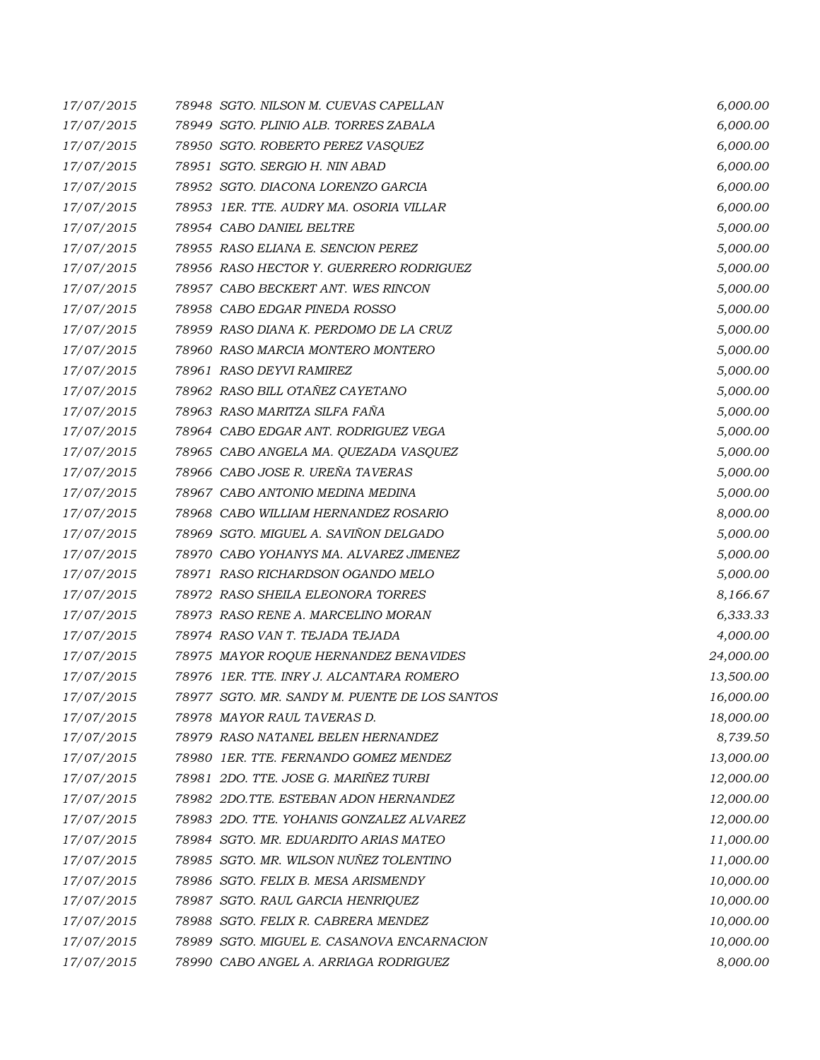| 17/07/2015 | 78948 SGTO. NILSON M. CUEVAS CAPELLAN         | 6,000.00  |
|------------|-----------------------------------------------|-----------|
| 17/07/2015 | 78949 SGTO. PLINIO ALB. TORRES ZABALA         | 6,000.00  |
| 17/07/2015 | 78950 SGTO. ROBERTO PEREZ VASQUEZ             | 6,000.00  |
| 17/07/2015 | 78951 SGTO. SERGIO H. NIN ABAD                | 6,000.00  |
| 17/07/2015 | 78952 SGTO. DIACONA LORENZO GARCIA            | 6,000.00  |
| 17/07/2015 | 78953 IER. TTE. AUDRY MA. OSORIA VILLAR       | 6,000.00  |
| 17/07/2015 | 78954 CABO DANIEL BELTRE                      | 5,000.00  |
| 17/07/2015 | 78955 RASO ELIANA E. SENCION PEREZ            | 5,000.00  |
| 17/07/2015 | 78956 RASO HECTOR Y. GUERRERO RODRIGUEZ       | 5,000.00  |
| 17/07/2015 | 78957 CABO BECKERT ANT. WES RINCON            | 5,000.00  |
| 17/07/2015 | 78958 CABO EDGAR PINEDA ROSSO                 | 5,000.00  |
| 17/07/2015 | 78959 RASO DIANA K. PERDOMO DE LA CRUZ        | 5,000.00  |
| 17/07/2015 | 78960 RASO MARCIA MONTERO MONTERO             | 5,000.00  |
| 17/07/2015 | 78961 RASO DEYVI RAMIREZ                      | 5,000.00  |
| 17/07/2015 | 78962 RASO BILL OTAÑEZ CAYETANO               | 5,000.00  |
| 17/07/2015 | 78963 RASO MARITZA SILFA FAÑA                 | 5,000.00  |
| 17/07/2015 | 78964 CABO EDGAR ANT. RODRIGUEZ VEGA          | 5,000.00  |
| 17/07/2015 | 78965 CABO ANGELA MA. QUEZADA VASQUEZ         | 5,000.00  |
| 17/07/2015 | 78966 CABO JOSE R. UREÑA TAVERAS              | 5,000.00  |
| 17/07/2015 | 78967 CABO ANTONIO MEDINA MEDINA              | 5,000.00  |
| 17/07/2015 | 78968 CABO WILLIAM HERNANDEZ ROSARIO          | 8,000.00  |
| 17/07/2015 | 78969 SGTO. MIGUEL A. SAVIÑON DELGADO         | 5,000.00  |
| 17/07/2015 | 78970 CABO YOHANYS MA. ALVAREZ JIMENEZ        | 5,000.00  |
| 17/07/2015 | 78971 RASO RICHARDSON OGANDO MELO             | 5,000.00  |
| 17/07/2015 | 78972 RASO SHEILA ELEONORA TORRES             | 8,166.67  |
| 17/07/2015 | 78973 RASO RENE A. MARCELINO MORAN            | 6,333.33  |
| 17/07/2015 | 78974 RASO VAN T. TEJADA TEJADA               | 4,000.00  |
| 17/07/2015 | 78975 MAYOR ROQUE HERNANDEZ BENAVIDES         | 24,000.00 |
| 17/07/2015 | 78976 IER. TTE. INRY J. ALCANTARA ROMERO      | 13,500.00 |
| 17/07/2015 | 78977 SGTO. MR. SANDY M. PUENTE DE LOS SANTOS | 16,000.00 |
| 17/07/2015 | 78978 MAYOR RAUL TAVERAS D.                   | 18,000.00 |
| 17/07/2015 | 78979 RASO NATANEL BELEN HERNANDEZ            | 8,739.50  |
| 17/07/2015 | 78980 1ER. TTE. FERNANDO GOMEZ MENDEZ         | 13,000.00 |
| 17/07/2015 | 78981 2DO. TTE. JOSE G. MARIÑEZ TURBI         | 12,000.00 |
| 17/07/2015 | 78982 2DO.TTE. ESTEBAN ADON HERNANDEZ         | 12,000.00 |
| 17/07/2015 | 78983 2DO. TTE. YOHANIS GONZALEZ ALVAREZ      | 12,000.00 |
| 17/07/2015 | 78984 SGTO. MR. EDUARDITO ARIAS MATEO         | 11,000.00 |
| 17/07/2015 | 78985 SGTO. MR. WILSON NUÑEZ TOLENTINO        | 11,000.00 |
| 17/07/2015 | 78986 SGTO. FELIX B. MESA ARISMENDY           | 10,000.00 |
| 17/07/2015 | 78987 SGTO. RAUL GARCIA HENRIQUEZ             | 10,000.00 |
| 17/07/2015 | 78988 SGTO. FELIX R. CABRERA MENDEZ           | 10,000.00 |
| 17/07/2015 | 78989 SGTO. MIGUEL E. CASANOVA ENCARNACION    | 10,000.00 |
| 17/07/2015 | 78990 CABO ANGEL A. ARRIAGA RODRIGUEZ         | 8,000.00  |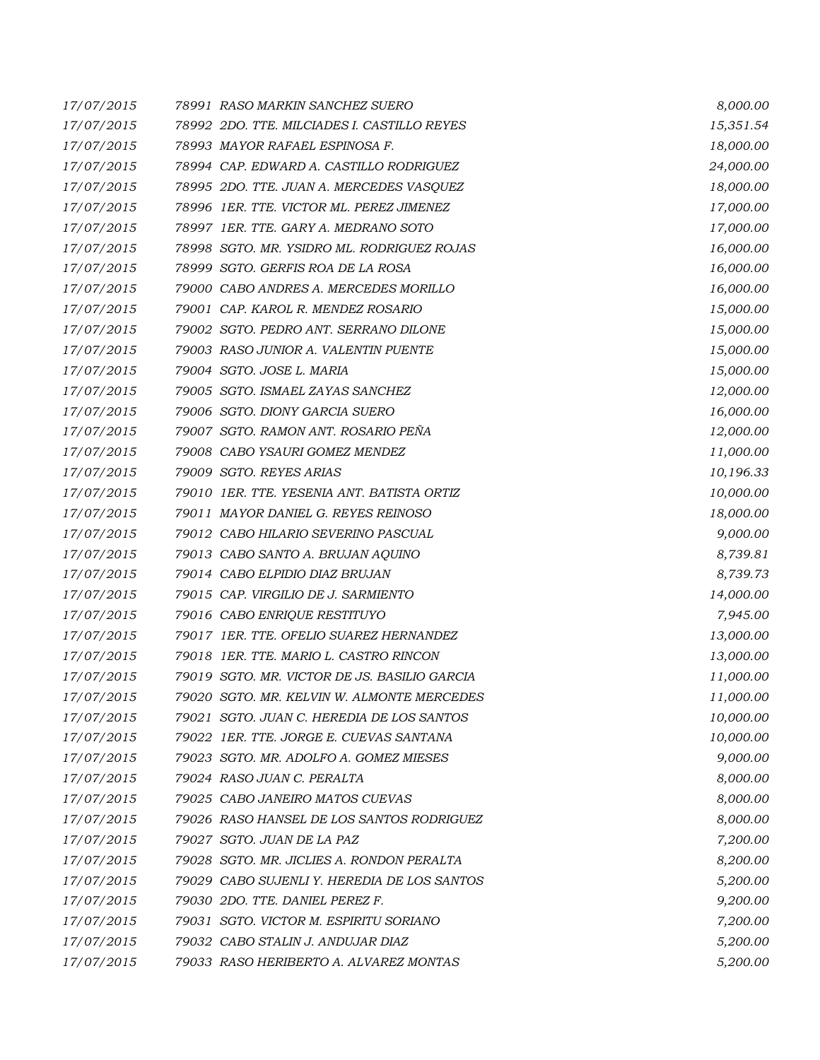| 17/07/2015 | 78991 RASO MARKIN SANCHEZ SUERO              | 8,000.00  |
|------------|----------------------------------------------|-----------|
| 17/07/2015 | 78992 2DO. TTE. MILCIADES I. CASTILLO REYES  | 15,351.54 |
| 17/07/2015 | 78993 MAYOR RAFAEL ESPINOSA F.               | 18,000.00 |
| 17/07/2015 | 78994 CAP. EDWARD A. CASTILLO RODRIGUEZ      | 24,000.00 |
| 17/07/2015 | 78995 2DO. TTE. JUAN A. MERCEDES VASQUEZ     | 18,000.00 |
| 17/07/2015 | 78996 1ER. TTE. VICTOR ML. PEREZ JIMENEZ     | 17,000.00 |
| 17/07/2015 | 78997 1ER. TTE. GARY A. MEDRANO SOTO         | 17,000.00 |
| 17/07/2015 | 78998 SGTO. MR. YSIDRO ML. RODRIGUEZ ROJAS   | 16,000.00 |
| 17/07/2015 | 78999 SGTO. GERFIS ROA DE LA ROSA            | 16,000.00 |
| 17/07/2015 | 79000 CABO ANDRES A. MERCEDES MORILLO        | 16,000.00 |
| 17/07/2015 | 79001 CAP. KAROL R. MENDEZ ROSARIO           | 15,000.00 |
| 17/07/2015 | 79002 SGTO. PEDRO ANT. SERRANO DILONE        | 15,000.00 |
| 17/07/2015 | 79003 RASO JUNIOR A. VALENTIN PUENTE         | 15,000.00 |
| 17/07/2015 | 79004 SGTO. JOSE L. MARIA                    | 15,000.00 |
| 17/07/2015 | 79005 SGTO. ISMAEL ZAYAS SANCHEZ             | 12,000.00 |
| 17/07/2015 | 79006 SGTO. DIONY GARCIA SUERO               | 16,000.00 |
| 17/07/2015 | 79007 SGTO. RAMON ANT. ROSARIO PEÑA          | 12,000.00 |
| 17/07/2015 | 79008 CABO YSAURI GOMEZ MENDEZ               | 11,000.00 |
| 17/07/2015 | 79009 SGTO. REYES ARIAS                      | 10,196.33 |
| 17/07/2015 | 79010 1ER. TTE. YESENIA ANT. BATISTA ORTIZ   | 10,000.00 |
| 17/07/2015 | 79011 MAYOR DANIEL G. REYES REINOSO          | 18,000.00 |
| 17/07/2015 | 79012 CABO HILARIO SEVERINO PASCUAL          | 9,000.00  |
| 17/07/2015 | 79013 CABO SANTO A. BRUJAN AQUINO            | 8,739.81  |
| 17/07/2015 | 79014 CABO ELPIDIO DIAZ BRUJAN               | 8,739.73  |
| 17/07/2015 | 79015 CAP. VIRGILIO DE J. SARMIENTO          | 14,000.00 |
| 17/07/2015 | 79016 CABO ENRIQUE RESTITUYO                 | 7,945.00  |
| 17/07/2015 | 79017 1ER. TTE. OFELIO SUAREZ HERNANDEZ      | 13,000.00 |
| 17/07/2015 | 79018 1ER. TTE. MARIO L. CASTRO RINCON       | 13,000.00 |
| 17/07/2015 | 79019 SGTO. MR. VICTOR DE JS. BASILIO GARCIA | 11,000.00 |
| 17/07/2015 | 79020 SGTO. MR. KELVIN W. ALMONTE MERCEDES   | 11,000.00 |
| 17/07/2015 | 79021 SGTO, JUAN C. HEREDIA DE LOS SANTOS    | 10,000.00 |
| 17/07/2015 | 79022 IER. TTE. JORGE E. CUEVAS SANTANA      | 10,000.00 |
| 17/07/2015 | 79023 SGTO. MR. ADOLFO A. GOMEZ MIESES       | 9,000.00  |
| 17/07/2015 | 79024 RASO JUAN C. PERALTA                   | 8,000.00  |
| 17/07/2015 | 79025 CABO JANEIRO MATOS CUEVAS              | 8,000.00  |
| 17/07/2015 | 79026   RASO HANSEL DE LOS SANTOS RODRIGUEZ  | 8,000.00  |
| 17/07/2015 | 79027 SGTO. JUAN DE LA PAZ                   | 7,200.00  |
| 17/07/2015 | 79028 SGTO. MR. JICLIES A. RONDON PERALTA    | 8,200.00  |
| 17/07/2015 | 79029 CABO SUJENLI Y. HEREDIA DE LOS SANTOS  | 5,200.00  |
| 17/07/2015 | 79030 2DO. TTE, DANIEL PEREZ F.              | 9,200.00  |
| 17/07/2015 | 79031 SGTO. VICTOR M. ESPIRITU SORIANO       | 7,200.00  |
| 17/07/2015 | 79032 CABO STALIN J. ANDUJAR DIAZ            | 5,200.00  |
| 17/07/2015 | 79033 RASO HERIBERTO A. ALVAREZ MONTAS       | 5,200.00  |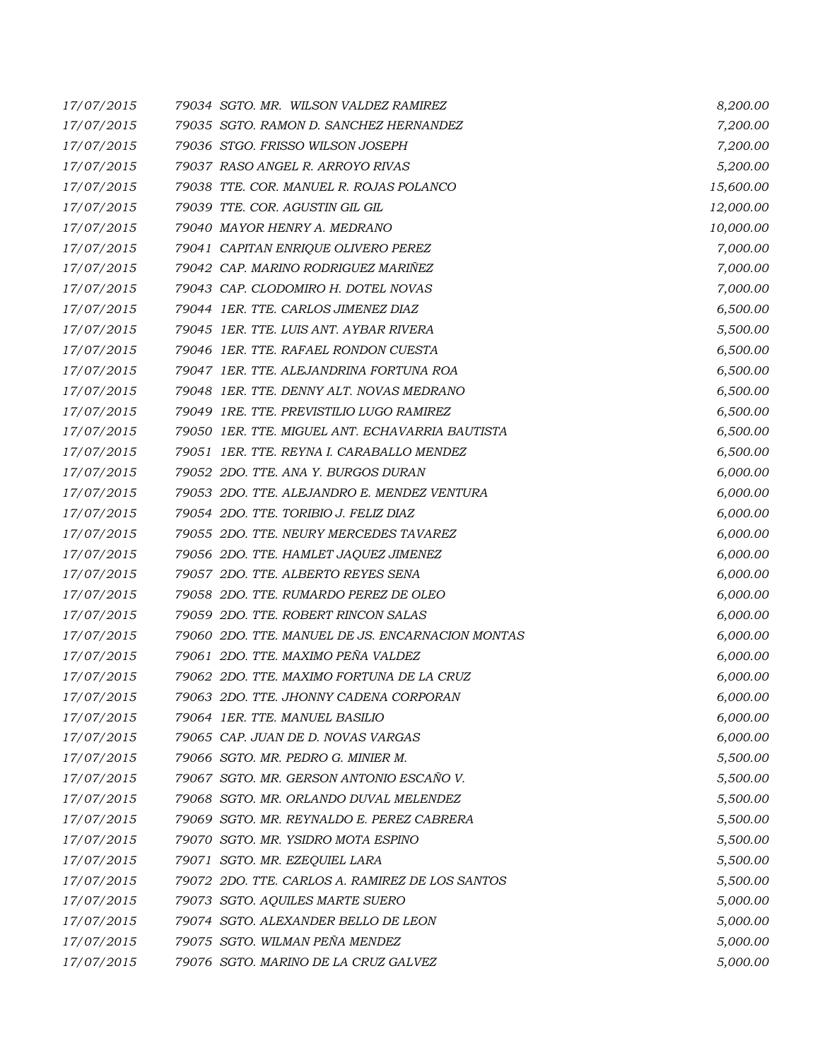| 17/07/2015 | 79034 SGTO. MR. WILSON VALDEZ RAMIREZ            | 8,200.00  |
|------------|--------------------------------------------------|-----------|
| 17/07/2015 | 79035 SGTO. RAMON D. SANCHEZ HERNANDEZ           | 7,200.00  |
| 17/07/2015 | 79036 STGO. FRISSO WILSON JOSEPH                 | 7,200.00  |
| 17/07/2015 | 79037 RASO ANGEL R. ARROYO RIVAS                 | 5,200.00  |
| 17/07/2015 | 79038 TTE. COR. MANUEL R. ROJAS POLANCO          | 15,600.00 |
| 17/07/2015 | 79039 TTE. COR. AGUSTIN GIL GIL                  | 12,000.00 |
| 17/07/2015 | 79040 MAYOR HENRY A. MEDRANO                     | 10,000.00 |
| 17/07/2015 | 79041 CAPITAN ENRIQUE OLIVERO PEREZ              | 7,000.00  |
| 17/07/2015 | 79042 CAP. MARINO RODRIGUEZ MARIÑEZ              | 7,000.00  |
| 17/07/2015 | 79043 CAP. CLODOMIRO H. DOTEL NOVAS              | 7,000.00  |
| 17/07/2015 | 79044 1ER. TTE. CARLOS JIMENEZ DIAZ              | 6,500.00  |
| 17/07/2015 | 79045 IER. TTE. LUIS ANT. AYBAR RIVERA           | 5,500.00  |
| 17/07/2015 | 79046 1ER. TTE, RAFAEL RONDON CUESTA             | 6,500.00  |
| 17/07/2015 | 79047 IER. TTE. ALEJANDRINA FORTUNA ROA          | 6,500.00  |
| 17/07/2015 | 79048 1ER. TTE, DENNY ALT. NOVAS MEDRANO         | 6,500.00  |
| 17/07/2015 | 79049 1RE. TTE. PREVISTILIO LUGO RAMIREZ         | 6,500.00  |
| 17/07/2015 | 79050 IER. TTE, MIGUEL ANT. ECHAVARRIA BAUTISTA  | 6,500.00  |
| 17/07/2015 | 79051 IER. TTE. REYNA I. CARABALLO MENDEZ        | 6,500.00  |
| 17/07/2015 | 79052 2DO. TTE. ANA Y. BURGOS DURAN              | 6,000.00  |
| 17/07/2015 | 79053 2DO. TTE, ALEJANDRO E, MENDEZ VENTURA      | 6,000.00  |
| 17/07/2015 | 79054 2DO. TTE. TORIBIO J. FELIZ DIAZ            | 6,000.00  |
| 17/07/2015 | 79055 2DO. TTE. NEURY MERCEDES TAVAREZ           | 6,000.00  |
| 17/07/2015 | 79056 2DO. TTE. HAMLET JAQUEZ JIMENEZ            | 6,000.00  |
| 17/07/2015 | 79057 2DO. TTE, ALBERTO REYES SENA               | 6,000.00  |
| 17/07/2015 | 79058 2DO. TTE. RUMARDO PEREZ DE OLEO            | 6,000.00  |
| 17/07/2015 | 79059 2DO. TTE. ROBERT RINCON SALAS              | 6,000.00  |
| 17/07/2015 | 79060 2DO. TTE. MANUEL DE JS. ENCARNACION MONTAS | 6,000.00  |
| 17/07/2015 | 79061 2DO. TTE. MAXIMO PEÑA VALDEZ               | 6,000.00  |
| 17/07/2015 | 79062 2DO. TTE. MAXIMO FORTUNA DE LA CRUZ        | 6,000.00  |
| 17/07/2015 | 79063 2DO. TTE. JHONNY CADENA CORPORAN           | 6,000.00  |
| 17/07/2015 | 79064 1ER. TTE. MANUEL BASILIO                   | 6,000.00  |
| 17/07/2015 | 79065 CAP. JUAN DE D. NOVAS VARGAS               | 6,000.00  |
| 17/07/2015 | 79066 SGTO. MR. PEDRO G. MINIER M.               | 5,500.00  |
| 17/07/2015 | 79067 SGTO. MR. GERSON ANTONIO ESCAÑO V.         | 5,500.00  |
| 17/07/2015 | 79068 SGTO. MR. ORLANDO DUVAL MELENDEZ           | 5,500.00  |
| 17/07/2015 | 79069 SGTO. MR. REYNALDO E. PEREZ CABRERA        | 5,500.00  |
| 17/07/2015 | 79070 SGTO. MR. YSIDRO MOTA ESPINO               | 5,500.00  |
| 17/07/2015 | 79071 SGTO. MR. EZEQUIEL LARA                    | 5,500.00  |
| 17/07/2015 | 79072 2DO. TTE. CARLOS A. RAMIREZ DE LOS SANTOS  | 5,500.00  |
| 17/07/2015 | 79073 SGTO. AQUILES MARTE SUERO                  | 5,000.00  |
| 17/07/2015 | 79074 SGTO. ALEXANDER BELLO DE LEON              | 5,000.00  |
| 17/07/2015 | 79075 SGTO. WILMAN PEÑA MENDEZ                   | 5,000.00  |
| 17/07/2015 | 79076 SGTO. MARINO DE LA CRUZ GALVEZ             | 5,000.00  |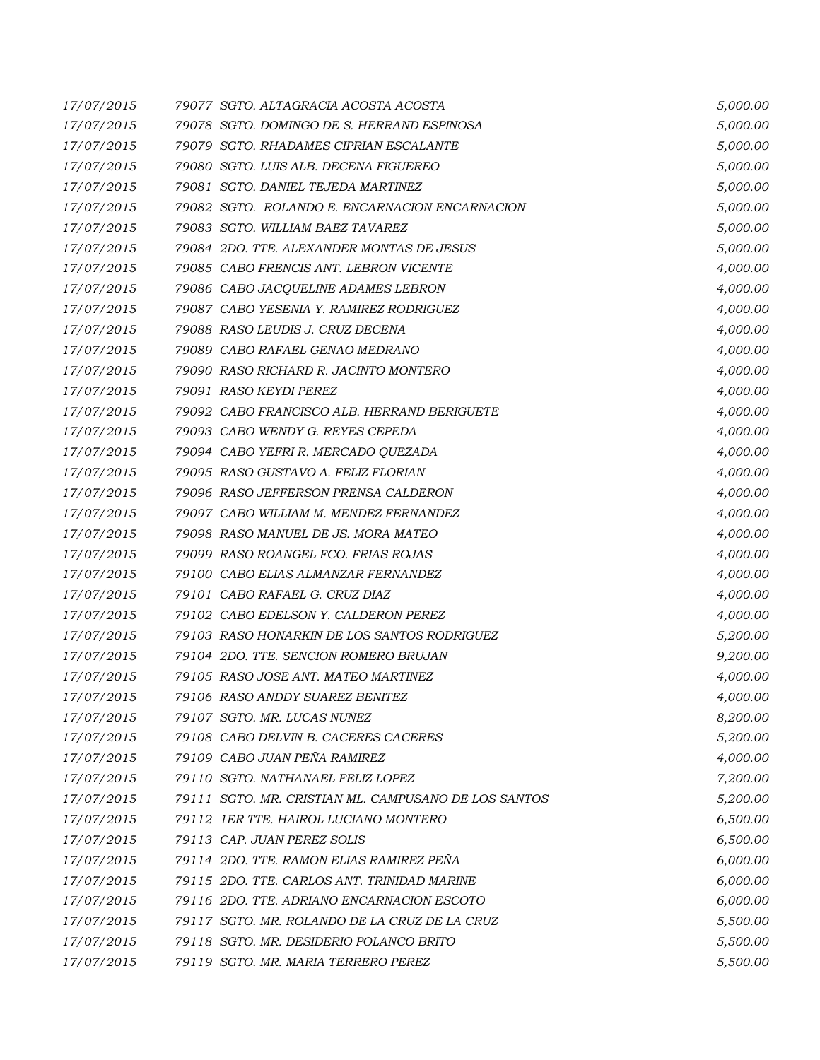| 17/07/2015 | 79077 SGTO. ALTAGRACIA ACOSTA ACOSTA                 | 5,000.00 |
|------------|------------------------------------------------------|----------|
| 17/07/2015 | 79078 SGTO. DOMINGO DE S. HERRAND ESPINOSA           | 5,000.00 |
| 17/07/2015 | 79079 SGTO. RHADAMES CIPRIAN ESCALANTE               | 5,000.00 |
| 17/07/2015 | 79080 SGTO. LUIS ALB. DECENA FIGUEREO                | 5,000.00 |
| 17/07/2015 | 79081 SGTO. DANIEL TEJEDA MARTINEZ                   | 5,000.00 |
| 17/07/2015 | 79082 SGTO. ROLANDO E. ENCARNACION ENCARNACION       | 5,000.00 |
| 17/07/2015 | 79083 SGTO. WILLIAM BAEZ TAVAREZ                     | 5,000.00 |
| 17/07/2015 | 79084 2DO. TTE. ALEXANDER MONTAS DE JESUS            | 5,000.00 |
| 17/07/2015 | 79085 CABO FRENCIS ANT. LEBRON VICENTE               | 4,000.00 |
| 17/07/2015 | 79086 CABO JACQUELINE ADAMES LEBRON                  | 4,000.00 |
| 17/07/2015 | 79087 CABO YESENIA Y. RAMIREZ RODRIGUEZ              | 4,000.00 |
| 17/07/2015 | 79088 RASO LEUDIS J. CRUZ DECENA                     | 4,000.00 |
| 17/07/2015 | 79089 CABO RAFAEL GENAO MEDRANO                      | 4,000.00 |
| 17/07/2015 | 79090 RASO RICHARD R. JACINTO MONTERO                | 4,000.00 |
| 17/07/2015 | 79091 RASO KEYDI PEREZ                               | 4,000.00 |
| 17/07/2015 | 79092 CABO FRANCISCO ALB. HERRAND BERIGUETE          | 4,000.00 |
| 17/07/2015 | 79093 CABO WENDY G. REYES CEPEDA                     | 4,000.00 |
| 17/07/2015 | 79094 CABO YEFRI R. MERCADO QUEZADA                  | 4,000.00 |
| 17/07/2015 | 79095 RASO GUSTAVO A. FELIZ FLORIAN                  | 4,000.00 |
| 17/07/2015 | 79096 RASO JEFFERSON PRENSA CALDERON                 | 4,000.00 |
| 17/07/2015 | 79097 CABO WILLIAM M. MENDEZ FERNANDEZ               | 4,000.00 |
| 17/07/2015 | 79098 RASO MANUEL DE JS. MORA MATEO                  | 4,000.00 |
| 17/07/2015 | 79099 RASO ROANGEL FCO. FRIAS ROJAS                  | 4,000.00 |
| 17/07/2015 | 79100 CABO ELIAS ALMANZAR FERNANDEZ                  | 4,000.00 |
| 17/07/2015 | 79101 CABO RAFAEL G. CRUZ DIAZ                       | 4,000.00 |
| 17/07/2015 | 79102 CABO EDELSON Y. CALDERON PEREZ                 | 4,000.00 |
| 17/07/2015 | 79103 RASO HONARKIN DE LOS SANTOS RODRIGUEZ          | 5,200.00 |
| 17/07/2015 | 79104 2DO. TTE. SENCION ROMERO BRUJAN                | 9,200.00 |
| 17/07/2015 | 79105 RASO JOSE ANT. MATEO MARTINEZ                  | 4,000.00 |
| 17/07/2015 | 79106 RASO ANDDY SUAREZ BENITEZ                      | 4,000.00 |
| 17/07/2015 | 79107 SGTO. MR. LUCAS NUÑEZ                          | 8,200.00 |
| 17/07/2015 | 79108 CABO DELVIN B. CACERES CACERES                 | 5,200.00 |
| 17/07/2015 | 79109 CABO JUAN PEÑA RAMIREZ                         | 4,000.00 |
| 17/07/2015 | 79110 SGTO. NATHANAEL FELIZ LOPEZ                    | 7,200.00 |
| 17/07/2015 | 79111 SGTO. MR. CRISTIAN ML. CAMPUSANO DE LOS SANTOS | 5,200.00 |
| 17/07/2015 | 79112 IER TTE, HAIROL LUCIANO MONTERO                | 6,500.00 |
| 17/07/2015 | 79113 CAP. JUAN PEREZ SOLIS                          | 6,500.00 |
| 17/07/2015 | 79114 2DO. TTE. RAMON ELIAS RAMIREZ PEÑA             | 6,000.00 |
| 17/07/2015 | 79115 2DO. TTE. CARLOS ANT. TRINIDAD MARINE          | 6,000.00 |
| 17/07/2015 | 79116 2DO. TTE. ADRIANO ENCARNACION ESCOTO           | 6,000.00 |
| 17/07/2015 | 79117 SGTO. MR. ROLANDO DE LA CRUZ DE LA CRUZ        | 5,500.00 |
| 17/07/2015 | 79118 SGTO. MR. DESIDERIO POLANCO BRITO              | 5,500.00 |
| 17/07/2015 | 79119 SGTO. MR. MARIA TERRERO PEREZ                  | 5,500.00 |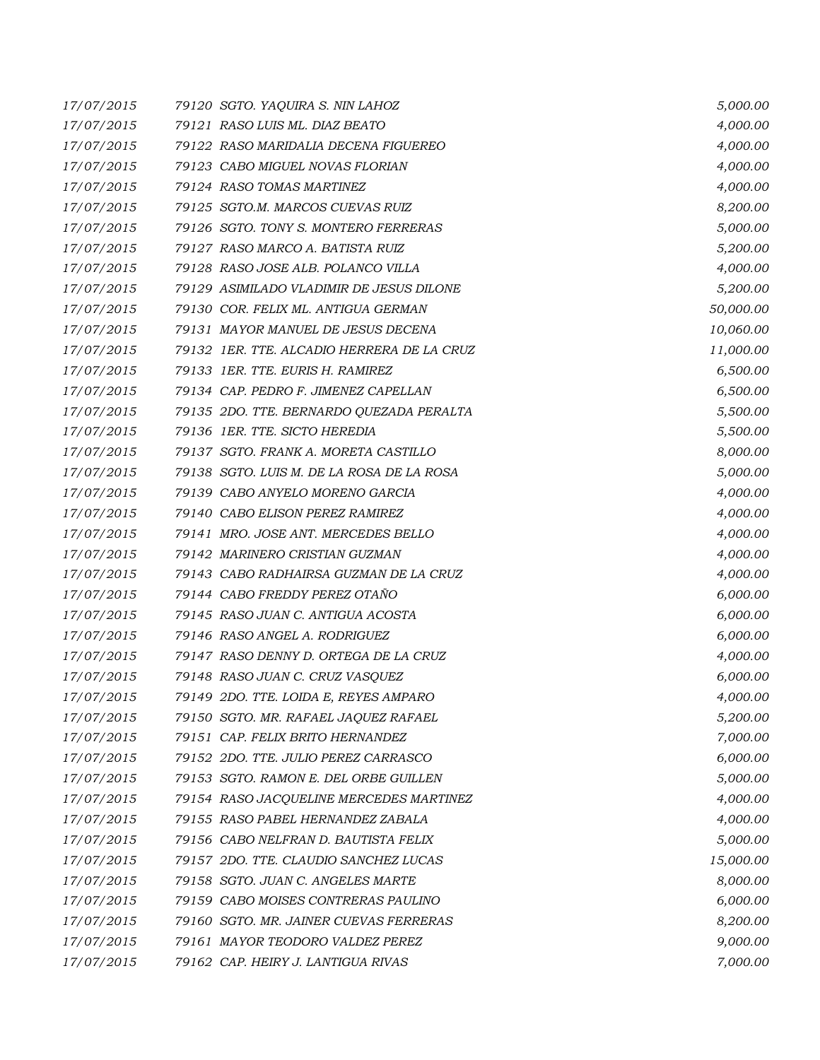| 17/07/2015 | 79120 SGTO. YAQUIRA S. NIN LAHOZ           | 5,000.00  |
|------------|--------------------------------------------|-----------|
| 17/07/2015 | 79121 RASO LUIS ML. DIAZ BEATO             | 4,000.00  |
| 17/07/2015 | 79122 RASO MARIDALIA DECENA FIGUEREO       | 4,000.00  |
| 17/07/2015 | 79123 CABO MIGUEL NOVAS FLORIAN            | 4,000.00  |
| 17/07/2015 | 79124 RASO TOMAS MARTINEZ                  | 4,000.00  |
| 17/07/2015 | 79125 SGTO.M. MARCOS CUEVAS RUIZ           | 8,200.00  |
| 17/07/2015 | 79126 SGTO. TONY S. MONTERO FERRERAS       | 5,000.00  |
| 17/07/2015 | 79127 RASO MARCO A. BATISTA RUIZ           | 5,200.00  |
| 17/07/2015 | 79128 RASO JOSE ALB. POLANCO VILLA         | 4,000.00  |
| 17/07/2015 | 79129 ASIMILADO VLADIMIR DE JESUS DILONE   | 5,200.00  |
| 17/07/2015 | 79130 COR. FELIX ML. ANTIGUA GERMAN        | 50,000.00 |
| 17/07/2015 | 79131 MAYOR MANUEL DE JESUS DECENA         | 10,060.00 |
| 17/07/2015 | 79132 IER. TTE. ALCADIO HERRERA DE LA CRUZ | 11,000.00 |
| 17/07/2015 | 79133 IER. TTE. EURIS H. RAMIREZ           | 6,500.00  |
| 17/07/2015 | 79134 CAP. PEDRO F. JIMENEZ CAPELLAN       | 6,500.00  |
| 17/07/2015 | 79135 2DO. TTE. BERNARDO QUEZADA PERALTA   | 5,500.00  |
| 17/07/2015 | 79136 1ER. TTE. SICTO HEREDIA              | 5,500.00  |
| 17/07/2015 | 79137 SGTO. FRANK A. MORETA CASTILLO       | 8,000.00  |
| 17/07/2015 | 79138 SGTO. LUIS M. DE LA ROSA DE LA ROSA  | 5,000.00  |
| 17/07/2015 | 79139 CABO ANYELO MORENO GARCIA            | 4,000.00  |
| 17/07/2015 | 79140 CABO ELISON PEREZ RAMIREZ            | 4,000.00  |
| 17/07/2015 | 79141 MRO. JOSE ANT. MERCEDES BELLO        | 4,000.00  |
| 17/07/2015 | 79142 MARINERO CRISTIAN GUZMAN             | 4,000.00  |
| 17/07/2015 | 79143 CABO RADHAIRSA GUZMAN DE LA CRUZ     | 4,000.00  |
| 17/07/2015 | 79144 CABO FREDDY PEREZ OTAÑO              | 6,000.00  |
| 17/07/2015 | 79145 RASO JUAN C. ANTIGUA ACOSTA          | 6,000.00  |
| 17/07/2015 | 79146 RASO ANGEL A. RODRIGUEZ              | 6,000.00  |
| 17/07/2015 | 79147 RASO DENNY D. ORTEGA DE LA CRUZ      | 4,000.00  |
| 17/07/2015 | 79148 RASO JUAN C. CRUZ VASQUEZ            | 6,000.00  |
| 17/07/2015 | 79149 2DO. TTE. LOIDA E, REYES AMPARO      | 4,000.00  |
| 17/07/2015 | 79150 SGTO. MR. RAFAEL JAQUEZ RAFAEL       | 5,200.00  |
| 17/07/2015 | 79151 CAP. FELIX BRITO HERNANDEZ           | 7,000.00  |
| 17/07/2015 | 79152 2DO. TTE. JULIO PEREZ CARRASCO       | 6,000.00  |
| 17/07/2015 | 79153 SGTO. RAMON E. DEL ORBE GUILLEN      | 5,000.00  |
| 17/07/2015 | 79154 RASO JACQUELINE MERCEDES MARTINEZ    | 4,000.00  |
| 17/07/2015 | 79155 RASO PABEL HERNANDEZ ZABALA          | 4,000.00  |
| 17/07/2015 | 79156 CABO NELFRAN D. BAUTISTA FELIX       | 5,000.00  |
| 17/07/2015 | 79157 2DO. TTE. CLAUDIO SANCHEZ LUCAS      | 15,000.00 |
| 17/07/2015 | 79158 SGTO. JUAN C. ANGELES MARTE          | 8,000.00  |
| 17/07/2015 | 79159 CABO MOISES CONTRERAS PAULINO        | 6,000.00  |
| 17/07/2015 | 79160 SGTO. MR. JAINER CUEVAS FERRERAS     | 8,200.00  |
| 17/07/2015 | 79161 MAYOR TEODORO VALDEZ PEREZ           | 9,000.00  |
| 17/07/2015 | 79162 CAP. HEIRY J. LANTIGUA RIVAS         | 7,000.00  |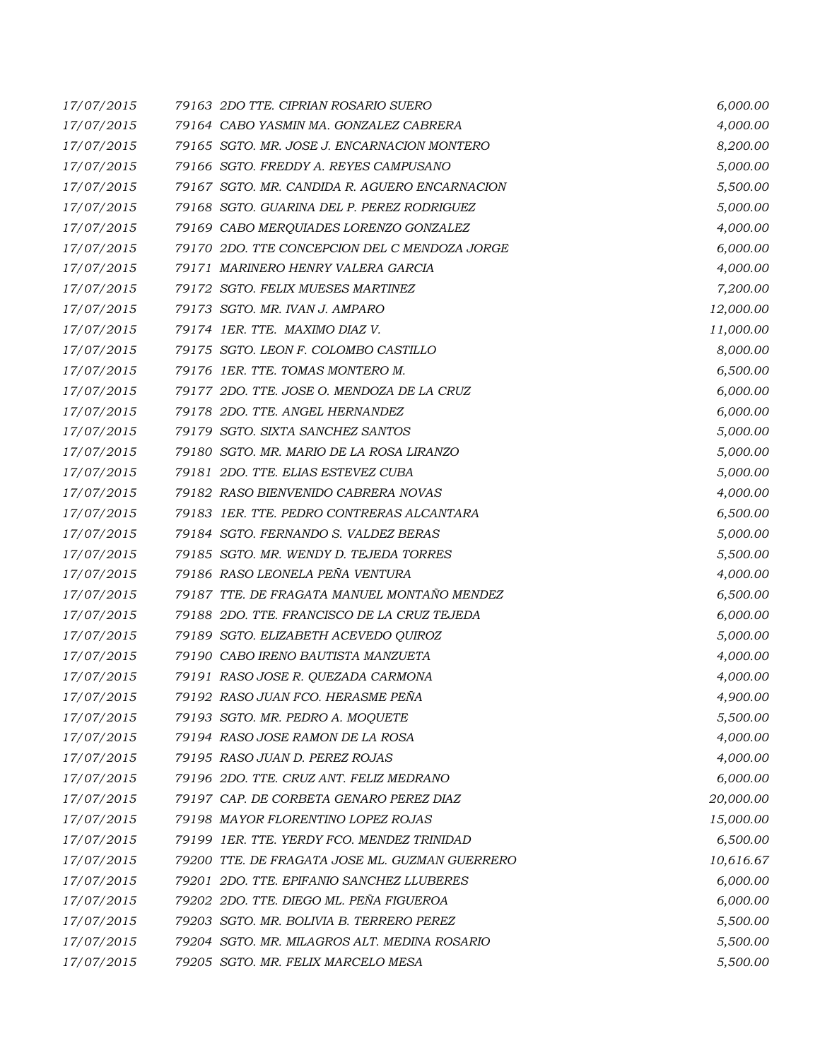| 17/07/2015 | 79163 2DO TTE. CIPRIAN ROSARIO SUERO           | 6,000.00  |
|------------|------------------------------------------------|-----------|
| 17/07/2015 | 79164 CABO YASMIN MA. GONZALEZ CABRERA         | 4,000.00  |
| 17/07/2015 | 79165 SGTO, MR. JOSE J. ENCARNACION MONTERO    | 8,200.00  |
| 17/07/2015 | 79166 SGTO. FREDDY A. REYES CAMPUSANO          | 5,000.00  |
| 17/07/2015 | 79167 SGTO. MR. CANDIDA R. AGUERO ENCARNACION  | 5,500.00  |
| 17/07/2015 | 79168 SGTO. GUARINA DEL P. PEREZ RODRIGUEZ     | 5,000.00  |
| 17/07/2015 | 79169 CABO MERQUIADES LORENZO GONZALEZ         | 4,000.00  |
| 17/07/2015 | 79170 2DO. TTE CONCEPCION DEL C MENDOZA JORGE  | 6,000.00  |
| 17/07/2015 | 79171 MARINERO HENRY VALERA GARCIA             | 4,000.00  |
| 17/07/2015 | 79172 SGTO. FELIX MUESES MARTINEZ              | 7,200.00  |
| 17/07/2015 | 79173 SGTO. MR. IVAN J. AMPARO                 | 12,000.00 |
| 17/07/2015 | 79174 1ER. TTE. MAXIMO DIAZ V.                 | 11,000.00 |
| 17/07/2015 | 79175 SGTO. LEON F. COLOMBO CASTILLO           | 8,000.00  |
| 17/07/2015 | 79176 1ER. TTE. TOMAS MONTERO M.               | 6,500.00  |
| 17/07/2015 | 79177 2DO. TTE. JOSE O. MENDOZA DE LA CRUZ     | 6,000.00  |
| 17/07/2015 | 79178 2DO. TTE. ANGEL HERNANDEZ                | 6,000.00  |
| 17/07/2015 | 79179 SGTO. SIXTA SANCHEZ SANTOS               | 5,000.00  |
| 17/07/2015 | 79180 SGTO. MR. MARIO DE LA ROSA LIRANZO       | 5,000.00  |
| 17/07/2015 | 79181 2DO. TTE, ELIAS ESTEVEZ CUBA             | 5,000.00  |
| 17/07/2015 | 79182 RASO BIENVENIDO CABRERA NOVAS            | 4,000.00  |
| 17/07/2015 | 79183 IER. TTE. PEDRO CONTRERAS ALCANTARA      | 6,500.00  |
| 17/07/2015 | 79184 SGTO. FERNANDO S. VALDEZ BERAS           | 5,000.00  |
| 17/07/2015 | 79185 SGTO. MR. WENDY D. TEJEDA TORRES         | 5,500.00  |
| 17/07/2015 | 79186 RASO LEONELA PEÑA VENTURA                | 4,000.00  |
| 17/07/2015 | 79187 TTE. DE FRAGATA MANUEL MONTAÑO MENDEZ    | 6,500.00  |
| 17/07/2015 | 79188 2DO. TTE. FRANCISCO DE LA CRUZ TEJEDA    | 6,000.00  |
| 17/07/2015 | 79189 SGTO. ELIZABETH ACEVEDO QUIROZ           | 5,000.00  |
| 17/07/2015 | 79190 CABO IRENO BAUTISTA MANZUETA             | 4,000.00  |
| 17/07/2015 | 79191 RASO JOSE R. QUEZADA CARMONA             | 4,000.00  |
| 17/07/2015 | 79192 RASO JUAN FCO. HERASME PEÑA              | 4,900.00  |
| 17/07/2015 | 79193 SGTO. MR. PEDRO A. MOQUETE               | 5,500.00  |
| 17/07/2015 | 79194 RASO JOSE RAMON DE LA ROSA               | 4,000.00  |
| 17/07/2015 | 79195 RASO JUAN D. PEREZ ROJAS                 | 4,000.00  |
| 17/07/2015 | 79196 2DO. TTE. CRUZ ANT. FELIZ MEDRANO        | 6,000.00  |
| 17/07/2015 | 79197 CAP. DE CORBETA GENARO PEREZ DIAZ        | 20,000.00 |
| 17/07/2015 | 79198 MAYOR FLORENTINO LOPEZ ROJAS             | 15,000.00 |
| 17/07/2015 | 79199 1ER. TTE. YERDY FCO. MENDEZ TRINIDAD     | 6,500.00  |
| 17/07/2015 | 79200 TTE. DE FRAGATA JOSE ML. GUZMAN GUERRERO | 10,616.67 |
| 17/07/2015 | 79201 2DO. TTE. EPIFANIO SANCHEZ LLUBERES      | 6,000.00  |
| 17/07/2015 | 79202 2DO. TTE. DIEGO ML. PEÑA FIGUEROA        | 6,000.00  |
| 17/07/2015 | 79203 SGTO. MR. BOLIVIA B. TERRERO PEREZ       | 5,500.00  |
| 17/07/2015 | 79204 SGTO. MR. MILAGROS ALT. MEDINA ROSARIO   | 5,500.00  |
| 17/07/2015 | 79205 SGTO. MR. FELIX MARCELO MESA             | 5,500.00  |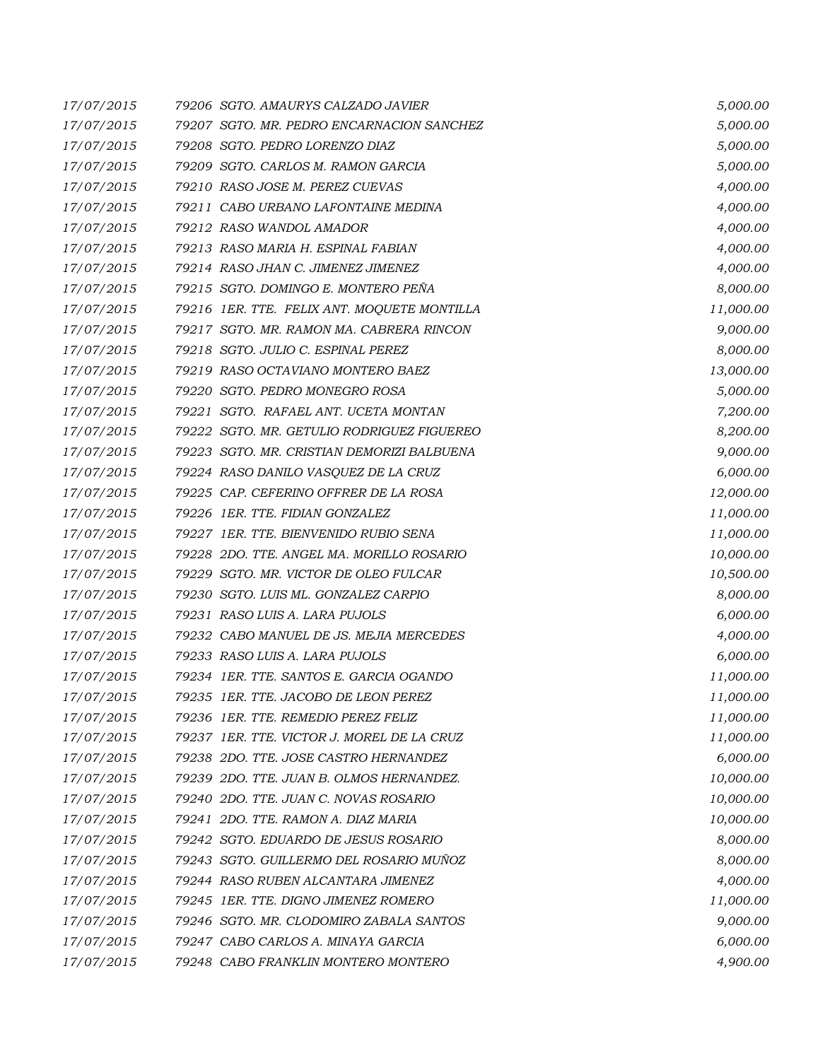| 17/07/2015 | 79206 SGTO. AMAURYS CALZADO JAVIER          | 5,000.00  |
|------------|---------------------------------------------|-----------|
| 17/07/2015 | 79207 SGTO. MR. PEDRO ENCARNACION SANCHEZ   | 5,000.00  |
| 17/07/2015 | 79208 SGTO. PEDRO LORENZO DIAZ              | 5,000.00  |
| 17/07/2015 | 79209 SGTO. CARLOS M. RAMON GARCIA          | 5,000.00  |
| 17/07/2015 | 79210 RASO JOSE M. PEREZ CUEVAS             | 4,000.00  |
| 17/07/2015 | 79211 CABO URBANO LAFONTAINE MEDINA         | 4,000.00  |
| 17/07/2015 | 79212 RASO WANDOL AMADOR                    | 4,000.00  |
| 17/07/2015 | 79213 RASO MARIA H. ESPINAL FABIAN          | 4,000.00  |
| 17/07/2015 | 79214 RASO JHAN C. JIMENEZ JIMENEZ          | 4,000.00  |
| 17/07/2015 | 79215 SGTO. DOMINGO E. MONTERO PEÑA         | 8,000.00  |
| 17/07/2015 | 79216 1ER. TTE. FELIX ANT. MOQUETE MONTILLA | 11,000.00 |
| 17/07/2015 | 79217 SGTO. MR. RAMON MA. CABRERA RINCON    | 9,000.00  |
| 17/07/2015 | 79218 SGTO. JULIO C. ESPINAL PEREZ          | 8,000.00  |
| 17/07/2015 | 79219 RASO OCTAVIANO MONTERO BAEZ           | 13,000.00 |
| 17/07/2015 | 79220 SGTO. PEDRO MONEGRO ROSA              | 5,000.00  |
| 17/07/2015 | 79221 SGTO. RAFAEL ANT. UCETA MONTAN        | 7,200.00  |
| 17/07/2015 | 79222 SGTO. MR. GETULIO RODRIGUEZ FIGUEREO  | 8,200.00  |
| 17/07/2015 | 79223 SGTO. MR. CRISTIAN DEMORIZI BALBUENA  | 9,000.00  |
| 17/07/2015 | 79224 RASO DANILO VASQUEZ DE LA CRUZ        | 6,000.00  |
| 17/07/2015 | 79225 CAP. CEFERINO OFFRER DE LA ROSA       | 12,000.00 |
| 17/07/2015 | 79226 1ER. TTE. FIDIAN GONZALEZ             | 11,000.00 |
| 17/07/2015 | 79227 1ER. TTE, BIENVENIDO RUBIO SENA       | 11,000.00 |
| 17/07/2015 | 79228 2DO. TTE. ANGEL MA. MORILLO ROSARIO   | 10,000.00 |
| 17/07/2015 | 79229 SGTO. MR. VICTOR DE OLEO FULCAR       | 10,500.00 |
| 17/07/2015 | 79230 SGTO. LUIS ML. GONZALEZ CARPIO        | 8,000.00  |
| 17/07/2015 | 79231 RASO LUIS A. LARA PUJOLS              | 6,000.00  |
| 17/07/2015 | 79232 CABO MANUEL DE JS. MEJIA MERCEDES     | 4,000.00  |
| 17/07/2015 | 79233 RASO LUIS A. LARA PUJOLS              | 6,000.00  |
| 17/07/2015 | 79234 1ER. TTE. SANTOS E. GARCIA OGANDO     | 11,000.00 |
| 17/07/2015 | 79235 1ER. TTE. JACOBO DE LEON PEREZ        | 11,000.00 |
| 17/07/2015 | 79236 1ER. TTE. REMEDIO PEREZ FELIZ         | 11,000.00 |
| 17/07/2015 | 79237 1ER. TTE. VICTOR J. MOREL DE LA CRUZ  | 11,000.00 |
| 17/07/2015 | 79238 2DO. TTE. JOSE CASTRO HERNANDEZ       | 6,000.00  |
| 17/07/2015 | 79239 2DO. TTE. JUAN B. OLMOS HERNANDEZ.    | 10,000.00 |
| 17/07/2015 | 79240 2DO. TTE. JUAN C. NOVAS ROSARIO       | 10,000.00 |
| 17/07/2015 | 79241 2DO. TTE, RAMON A. DIAZ MARIA         | 10,000.00 |
| 17/07/2015 | 79242 SGTO. EDUARDO DE JESUS ROSARIO        | 8,000.00  |
| 17/07/2015 | 79243 SGTO. GUILLERMO DEL ROSARIO MUÑOZ     | 8,000.00  |
| 17/07/2015 | 79244 RASO RUBEN ALCANTARA JIMENEZ          | 4,000.00  |
| 17/07/2015 | 79245 1ER. TTE. DIGNO JIMENEZ ROMERO        | 11,000.00 |
| 17/07/2015 | 79246 SGTO. MR. CLODOMIRO ZABALA SANTOS     | 9,000.00  |
| 17/07/2015 | 79247 CABO CARLOS A. MINAYA GARCIA          | 6,000.00  |
| 17/07/2015 | 79248 CABO FRANKLIN MONTERO MONTERO         | 4,900.00  |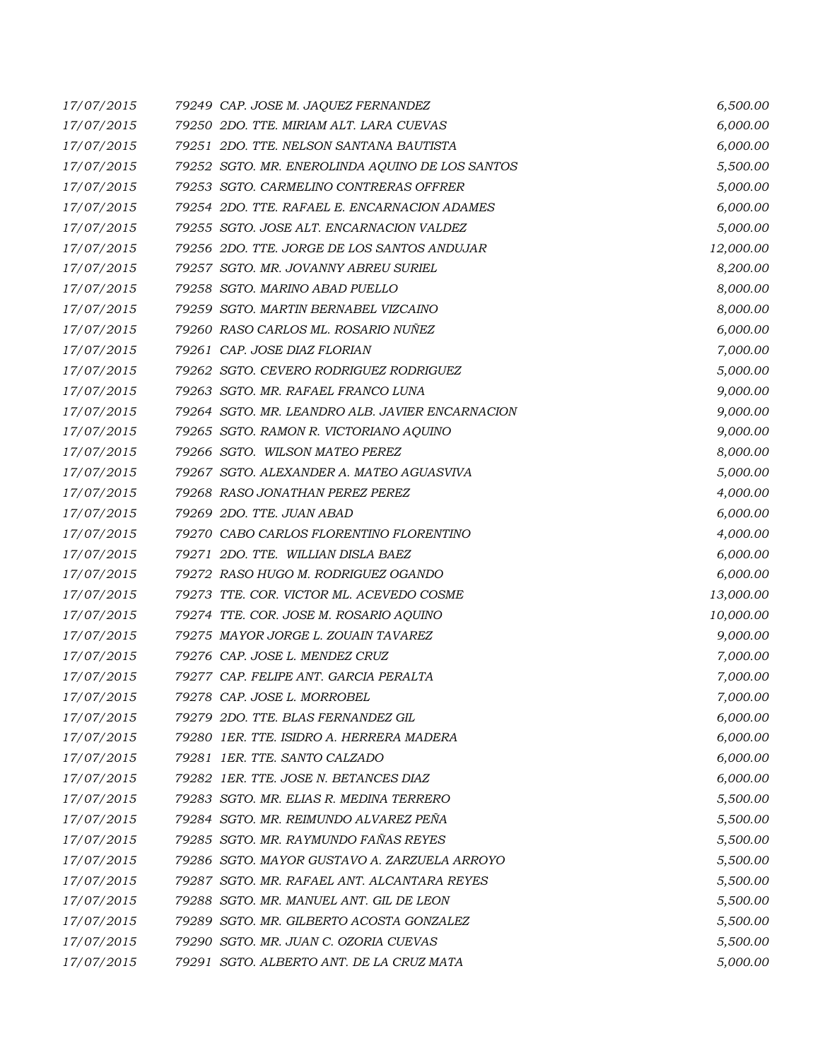| 17/07/2015 | 79249 CAP. JOSE M. JAQUEZ FERNANDEZ             | 6,500.00  |
|------------|-------------------------------------------------|-----------|
| 17/07/2015 | 79250 2DO. TTE. MIRIAM ALT. LARA CUEVAS         | 6,000.00  |
| 17/07/2015 | 79251 2DO. TTE, NELSON SANTANA BAUTISTA         | 6,000.00  |
| 17/07/2015 | 79252 SGTO. MR. ENEROLINDA AQUINO DE LOS SANTOS | 5,500.00  |
| 17/07/2015 | 79253 SGTO. CARMELINO CONTRERAS OFFRER          | 5,000.00  |
| 17/07/2015 | 79254 2DO. TTE. RAFAEL E. ENCARNACION ADAMES    | 6,000.00  |
| 17/07/2015 | 79255 SGTO. JOSE ALT. ENCARNACION VALDEZ        | 5,000.00  |
| 17/07/2015 | 79256 2DO. TTE. JORGE DE LOS SANTOS ANDUJAR     | 12,000.00 |
| 17/07/2015 | 79257 SGTO. MR. JOVANNY ABREU SURIEL            | 8,200.00  |
| 17/07/2015 | 79258 SGTO. MARINO ABAD PUELLO                  | 8,000.00  |
| 17/07/2015 | 79259 SGTO. MARTIN BERNABEL VIZCAINO            | 8,000.00  |
| 17/07/2015 | 79260 RASO CARLOS ML. ROSARIO NUÑEZ             | 6,000.00  |
| 17/07/2015 | 79261 CAP. JOSE DIAZ FLORIAN                    | 7,000.00  |
| 17/07/2015 | 79262 SGTO. CEVERO RODRIGUEZ RODRIGUEZ          | 5,000.00  |
| 17/07/2015 | 79263 SGTO. MR. RAFAEL FRANCO LUNA              | 9,000.00  |
| 17/07/2015 | 79264 SGTO, MR. LEANDRO ALB. JAVIER ENCARNACION | 9,000.00  |
| 17/07/2015 | 79265 SGTO. RAMON R. VICTORIANO AQUINO          | 9,000.00  |
| 17/07/2015 | 79266 SGTO. WILSON MATEO PEREZ                  | 8,000.00  |
| 17/07/2015 | 79267 SGTO. ALEXANDER A. MATEO AGUASVIVA        | 5,000.00  |
| 17/07/2015 | 79268 RASO JONATHAN PEREZ PEREZ                 | 4,000.00  |
| 17/07/2015 | 79269 2DO. TTE. JUAN ABAD                       | 6,000.00  |
| 17/07/2015 | 79270 CABO CARLOS FLORENTINO FLORENTINO         | 4,000.00  |
| 17/07/2015 | 79271 2DO. TTE. WILLIAN DISLA BAEZ              | 6,000.00  |
| 17/07/2015 | 79272 RASO HUGO M. RODRIGUEZ OGANDO             | 6,000.00  |
| 17/07/2015 | 79273 TTE. COR. VICTOR ML. ACEVEDO COSME        | 13,000.00 |
| 17/07/2015 | 79274 TTE. COR. JOSE M. ROSARIO AQUINO          | 10,000.00 |
| 17/07/2015 | 79275 MAYOR JORGE L. ZOUAIN TAVAREZ             | 9,000.00  |
| 17/07/2015 | 79276 CAP. JOSE L. MENDEZ CRUZ                  | 7,000.00  |
| 17/07/2015 | 79277 CAP. FELIPE ANT. GARCIA PERALTA           | 7,000.00  |
| 17/07/2015 | 79278 CAP. JOSE L. MORROBEL                     | 7,000.00  |
| 17/07/2015 | 79279 2DO. TTE, BLAS FERNANDEZ GIL              | 6,000.00  |
| 17/07/2015 | 79280 IER. TTE. ISIDRO A. HERRERA MADERA        | 6,000.00  |
| 17/07/2015 | 79281 IER. TTE, SANTO CALZADO                   | 6,000.00  |
| 17/07/2015 | 79282 IER. TTE. JOSE N. BETANCES DIAZ           | 6,000.00  |
| 17/07/2015 | 79283 SGTO. MR. ELIAS R. MEDINA TERRERO         | 5,500.00  |
| 17/07/2015 | 79284 SGTO. MR. REIMUNDO ALVAREZ PEÑA           | 5,500.00  |
| 17/07/2015 | 79285 SGTO. MR. RAYMUNDO FAÑAS REYES            | 5,500.00  |
| 17/07/2015 | 79286 SGTO, MAYOR GUSTAVO A. ZARZUELA ARROYO    | 5,500.00  |
| 17/07/2015 | 79287 SGTO. MR. RAFAEL ANT. ALCANTARA REYES     | 5,500.00  |
| 17/07/2015 | 79288 SGTO. MR. MANUEL ANT. GIL DE LEON         | 5,500.00  |
| 17/07/2015 | 79289 SGTO. MR. GILBERTO ACOSTA GONZALEZ        | 5,500.00  |
| 17/07/2015 | 79290 SGTO. MR. JUAN C. OZORIA CUEVAS           | 5,500.00  |
| 17/07/2015 | 79291 SGTO. ALBERTO ANT. DE LA CRUZ MATA        | 5,000.00  |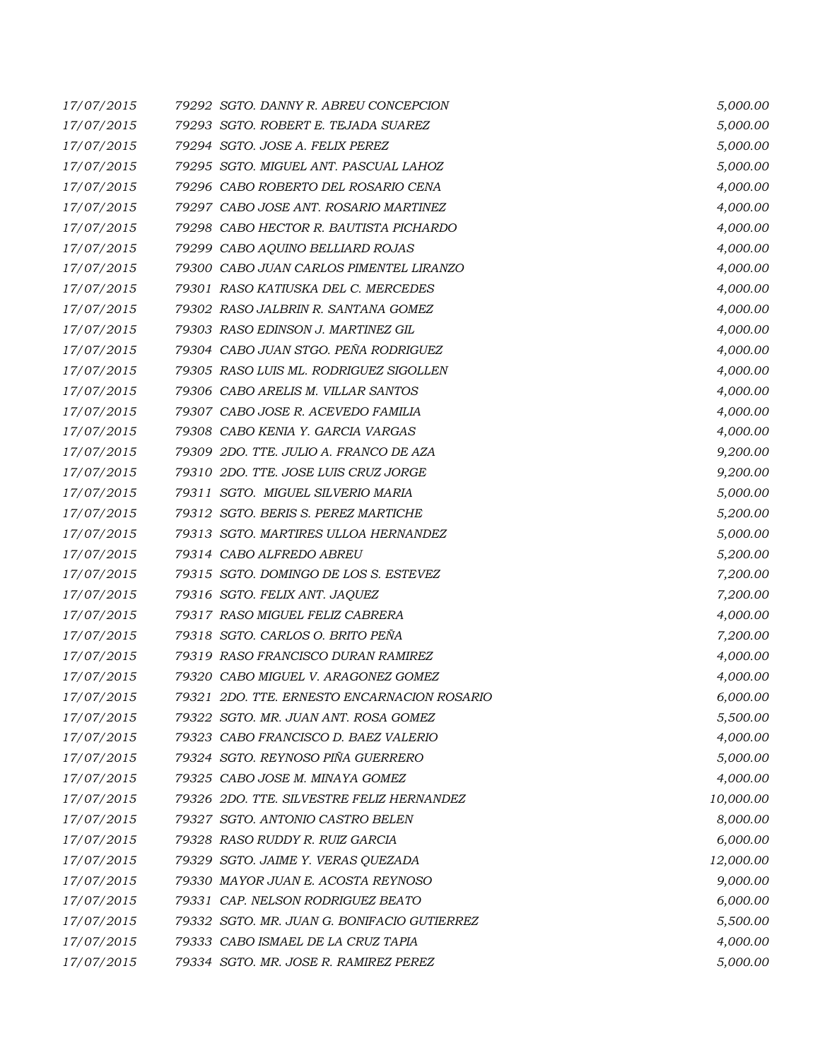| 17/07/2015 | 79292 SGTO. DANNY R. ABREU CONCEPCION       | 5,000.00  |
|------------|---------------------------------------------|-----------|
| 17/07/2015 | 79293 SGTO. ROBERT E. TEJADA SUAREZ         | 5,000.00  |
| 17/07/2015 | 79294 SGTO. JOSE A. FELIX PEREZ             | 5,000.00  |
| 17/07/2015 | 79295 SGTO. MIGUEL ANT. PASCUAL LAHOZ       | 5,000.00  |
| 17/07/2015 | 79296 CABO ROBERTO DEL ROSARIO CENA         | 4,000.00  |
| 17/07/2015 | 79297 CABO JOSE ANT. ROSARIO MARTINEZ       | 4,000.00  |
| 17/07/2015 | 79298 CABO HECTOR R. BAUTISTA PICHARDO      | 4,000.00  |
| 17/07/2015 | 79299 CABO AQUINO BELLIARD ROJAS            | 4,000.00  |
| 17/07/2015 | 79300 CABO JUAN CARLOS PIMENTEL LIRANZO     | 4,000.00  |
| 17/07/2015 | 79301 RASO KATIUSKA DEL C. MERCEDES         | 4,000.00  |
| 17/07/2015 | 79302 RASO JALBRIN R. SANTANA GOMEZ         | 4,000.00  |
| 17/07/2015 | 79303 RASO EDINSON J. MARTINEZ GIL          | 4,000.00  |
| 17/07/2015 | 79304 CABO JUAN STGO. PEÑA RODRIGUEZ        | 4,000.00  |
| 17/07/2015 | 79305 RASO LUIS ML. RODRIGUEZ SIGOLLEN      | 4,000.00  |
| 17/07/2015 | 79306 CABO ARELIS M. VILLAR SANTOS          | 4,000.00  |
| 17/07/2015 | 79307 CABO JOSE R. ACEVEDO FAMILIA          | 4,000.00  |
| 17/07/2015 | 79308 CABO KENIA Y. GARCIA VARGAS           | 4,000.00  |
| 17/07/2015 | 79309 2DO. TTE. JULIO A. FRANCO DE AZA      | 9,200.00  |
| 17/07/2015 | 79310 2DO. TTE. JOSE LUIS CRUZ JORGE        | 9,200.00  |
| 17/07/2015 | 79311 SGTO. MIGUEL SILVERIO MARIA           | 5,000.00  |
| 17/07/2015 | 79312 SGTO. BERIS S. PEREZ MARTICHE         | 5,200.00  |
| 17/07/2015 | 79313 SGTO. MARTIRES ULLOA HERNANDEZ        | 5,000.00  |
| 17/07/2015 | 79314 CABO ALFREDO ABREU                    | 5,200.00  |
| 17/07/2015 | 79315 SGTO. DOMINGO DE LOS S. ESTEVEZ       | 7,200.00  |
| 17/07/2015 | 79316 SGTO. FELIX ANT. JAQUEZ               | 7,200.00  |
| 17/07/2015 | 79317 RASO MIGUEL FELIZ CABRERA             | 4,000.00  |
| 17/07/2015 | 79318 SGTO. CARLOS O. BRITO PEÑA            | 7,200.00  |
| 17/07/2015 | 79319 RASO FRANCISCO DURAN RAMIREZ          | 4,000.00  |
| 17/07/2015 | 79320 CABO MIGUEL V. ARAGONEZ GOMEZ         | 4,000.00  |
| 17/07/2015 | 79321 2DO. TTE. ERNESTO ENCARNACION ROSARIO | 6,000.00  |
| 17/07/2015 | 79322 SGTO. MR. JUAN ANT. ROSA GOMEZ        | 5,500.00  |
| 17/07/2015 | 79323 CABO FRANCISCO D. BAEZ VALERIO        | 4,000.00  |
| 17/07/2015 | 79324 SGTO. REYNOSO PIÑA GUERRERO           | 5,000.00  |
| 17/07/2015 | 79325 CABO JOSE M. MINAYA GOMEZ             | 4,000.00  |
| 17/07/2015 | 79326 2DO. TTE. SILVESTRE FELIZ HERNANDEZ   | 10,000.00 |
| 17/07/2015 | 79327 SGTO. ANTONIO CASTRO BELEN            | 8,000.00  |
| 17/07/2015 | 79328 RASO RUDDY R. RUIZ GARCIA             | 6,000.00  |
| 17/07/2015 | 79329 SGTO. JAIME Y. VERAS QUEZADA          | 12,000.00 |
| 17/07/2015 | 79330 MAYOR JUAN E. ACOSTA REYNOSO          | 9,000.00  |
| 17/07/2015 | 79331 CAP. NELSON RODRIGUEZ BEATO           | 6,000.00  |
| 17/07/2015 | 79332 SGTO. MR. JUAN G. BONIFACIO GUTIERREZ | 5,500.00  |
| 17/07/2015 | 79333 CABO ISMAEL DE LA CRUZ TAPIA          | 4,000.00  |
| 17/07/2015 | 79334 SGTO. MR. JOSE R. RAMIREZ PEREZ       | 5,000.00  |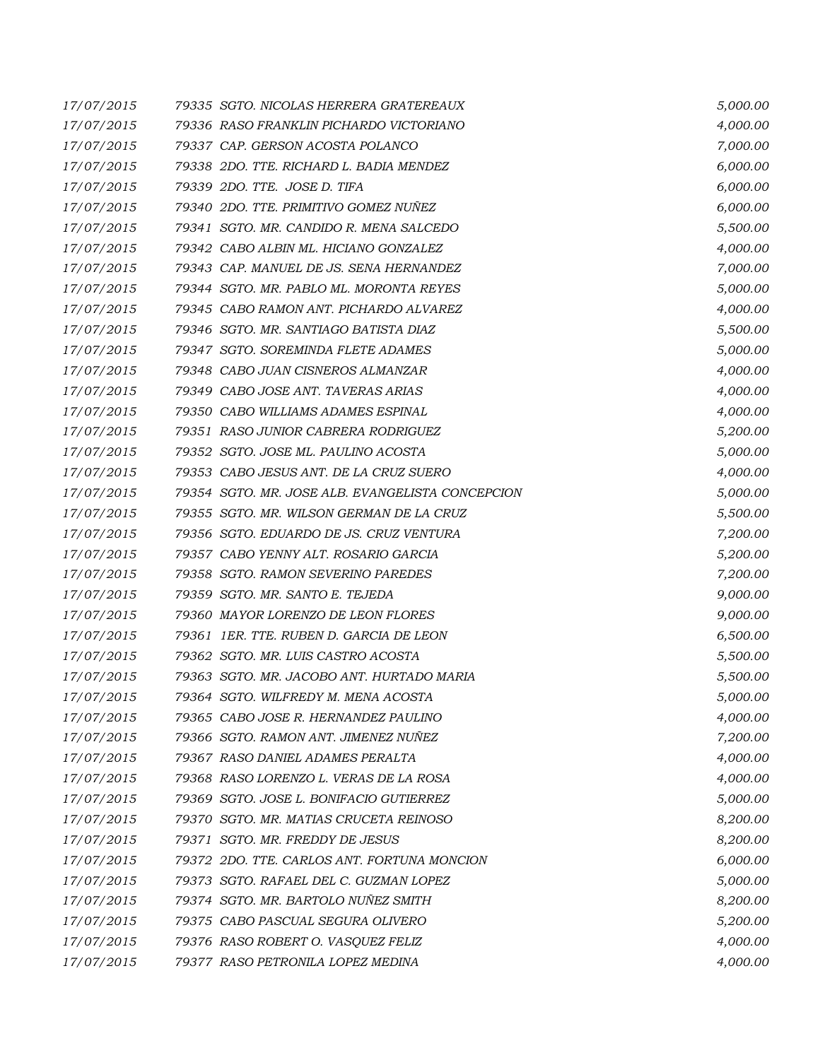| 17/07/2015 | 79335 SGTO. NICOLAS HERRERA GRATEREAUX           | 5,000.00 |
|------------|--------------------------------------------------|----------|
| 17/07/2015 | 79336 RASO FRANKLIN PICHARDO VICTORIANO          | 4,000.00 |
| 17/07/2015 | 79337 CAP. GERSON ACOSTA POLANCO                 | 7,000.00 |
| 17/07/2015 | 79338 2DO. TTE. RICHARD L. BADIA MENDEZ          | 6,000.00 |
| 17/07/2015 | 79339 2DO. TTE. JOSE D. TIFA                     | 6,000.00 |
| 17/07/2015 | 79340 2DO. TTE. PRIMITIVO GOMEZ NUÑEZ            | 6,000.00 |
| 17/07/2015 | 79341 SGTO. MR. CANDIDO R. MENA SALCEDO          | 5,500.00 |
| 17/07/2015 | 79342 CABO ALBIN ML. HICIANO GONZALEZ            | 4,000.00 |
| 17/07/2015 | 79343 CAP. MANUEL DE JS. SENA HERNANDEZ          | 7,000.00 |
| 17/07/2015 | 79344 SGTO. MR. PABLO ML. MORONTA REYES          | 5,000.00 |
| 17/07/2015 | 79345 CABO RAMON ANT. PICHARDO ALVAREZ           | 4,000.00 |
| 17/07/2015 | 79346 SGTO. MR. SANTIAGO BATISTA DIAZ            | 5,500.00 |
| 17/07/2015 | 79347 SGTO. SOREMINDA FLETE ADAMES               | 5,000.00 |
| 17/07/2015 | 79348 CABO JUAN CISNEROS ALMANZAR                | 4,000.00 |
| 17/07/2015 | 79349 CABO JOSE ANT. TAVERAS ARIAS               | 4,000.00 |
| 17/07/2015 | 79350 CABO WILLIAMS ADAMES ESPINAL               | 4,000.00 |
| 17/07/2015 | 79351 RASO JUNIOR CABRERA RODRIGUEZ              | 5,200.00 |
| 17/07/2015 | 79352 SGTO. JOSE ML. PAULINO ACOSTA              | 5,000.00 |
| 17/07/2015 | 79353 CABO JESUS ANT. DE LA CRUZ SUERO           | 4,000.00 |
| 17/07/2015 | 79354 SGTO. MR. JOSE ALB. EVANGELISTA CONCEPCION | 5,000.00 |
| 17/07/2015 | 79355 SGTO. MR. WILSON GERMAN DE LA CRUZ         | 5,500.00 |
| 17/07/2015 | 79356 SGTO. EDUARDO DE JS. CRUZ VENTURA          | 7,200.00 |
| 17/07/2015 | 79357 CABO YENNY ALT. ROSARIO GARCIA             | 5,200.00 |
| 17/07/2015 | 79358 SGTO. RAMON SEVERINO PAREDES               | 7,200.00 |
| 17/07/2015 | 79359 SGTO. MR. SANTO E. TEJEDA                  | 9,000.00 |
| 17/07/2015 | 79360 MAYOR LORENZO DE LEON FLORES               | 9,000.00 |
| 17/07/2015 | 79361 IER. TTE. RUBEN D. GARCIA DE LEON          | 6,500.00 |
| 17/07/2015 | 79362 SGTO. MR. LUIS CASTRO ACOSTA               | 5,500.00 |
| 17/07/2015 | 79363 SGTO. MR. JACOBO ANT. HURTADO MARIA        | 5,500.00 |
| 17/07/2015 | 79364 SGTO. WILFREDY M. MENA ACOSTA              | 5,000.00 |
| 17/07/2015 | 79365 CABO JOSE R. HERNANDEZ PAULINO             | 4,000.00 |
| 17/07/2015 | 79366 SGTO. RAMON ANT. JIMENEZ NUÑEZ             | 7,200.00 |
| 17/07/2015 | 79367 RASO DANIEL ADAMES PERALTA                 | 4,000.00 |
| 17/07/2015 | 79368 RASO LORENZO L. VERAS DE LA ROSA           | 4,000.00 |
| 17/07/2015 | 79369 SGTO. JOSE L. BONIFACIO GUTIERREZ          | 5,000.00 |
| 17/07/2015 | 79370 SGTO. MR. MATIAS CRUCETA REINOSO           | 8,200.00 |
| 17/07/2015 | 79371 SGTO. MR. FREDDY DE JESUS                  | 8,200.00 |
| 17/07/2015 | 79372 2DO. TTE. CARLOS ANT. FORTUNA MONCION      | 6,000.00 |
| 17/07/2015 | 79373 SGTO. RAFAEL DEL C. GUZMAN LOPEZ           | 5,000.00 |
| 17/07/2015 | 79374 SGTO. MR. BARTOLO NUÑEZ SMITH              | 8,200.00 |
| 17/07/2015 | 79375 CABO PASCUAL SEGURA OLIVERO                | 5,200.00 |
| 17/07/2015 | 79376 RASO ROBERT O. VASQUEZ FELIZ               | 4,000.00 |
| 17/07/2015 | 79377 RASO PETRONILA LOPEZ MEDINA                | 4,000.00 |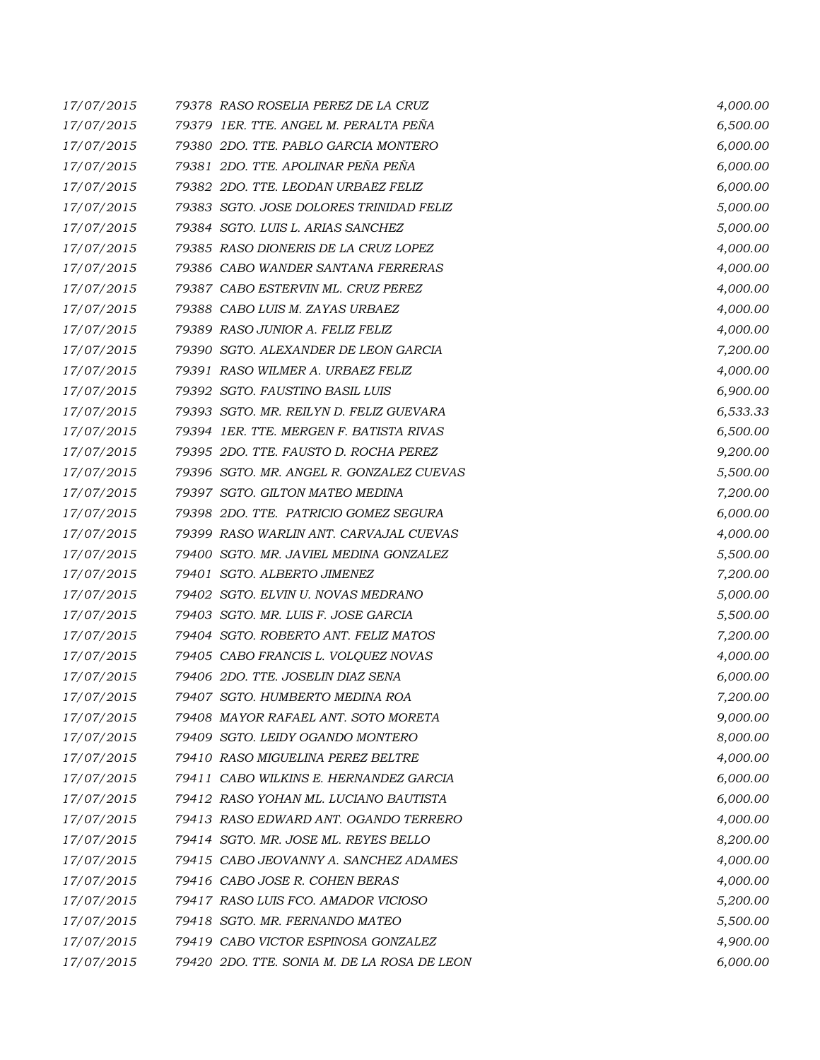| 17/07/2015 | 79378 RASO ROSELIA PEREZ DE LA CRUZ         | 4,000.00 |
|------------|---------------------------------------------|----------|
| 17/07/2015 | 79379 IER. TTE. ANGEL M. PERALTA PEÑA       | 6,500.00 |
| 17/07/2015 | 79380 2DO. TTE, PABLO GARCIA MONTERO        | 6,000.00 |
| 17/07/2015 | 79381 2DO. TTE. APOLINAR PEÑA PEÑA          | 6,000.00 |
| 17/07/2015 | 79382 2DO. TTE. LEODAN URBAEZ FELIZ         | 6,000.00 |
| 17/07/2015 | 79383 SGTO. JOSE DOLORES TRINIDAD FELIZ     | 5,000.00 |
| 17/07/2015 | 79384 SGTO. LUIS L. ARIAS SANCHEZ           | 5,000.00 |
| 17/07/2015 | 79385 RASO DIONERIS DE LA CRUZ LOPEZ        | 4,000.00 |
| 17/07/2015 | 79386 CABO WANDER SANTANA FERRERAS          | 4,000.00 |
| 17/07/2015 | 79387 CABO ESTERVIN ML. CRUZ PEREZ          | 4,000.00 |
| 17/07/2015 | 79388 CABO LUIS M. ZAYAS URBAEZ             | 4,000.00 |
| 17/07/2015 | 79389 RASO JUNIOR A. FELIZ FELIZ            | 4,000.00 |
| 17/07/2015 | 79390 SGTO. ALEXANDER DE LEON GARCIA        | 7,200.00 |
| 17/07/2015 | 79391 RASO WILMER A. URBAEZ FELIZ           | 4,000.00 |
| 17/07/2015 | 79392 SGTO. FAUSTINO BASIL LUIS             | 6,900.00 |
| 17/07/2015 | 79393 SGTO. MR. REILYN D. FELIZ GUEVARA     | 6,533.33 |
| 17/07/2015 | 79394 IER. TTE, MERGEN F. BATISTA RIVAS     | 6,500.00 |
| 17/07/2015 | 79395 2DO. TTE. FAUSTO D. ROCHA PEREZ       | 9,200.00 |
| 17/07/2015 | 79396 SGTO. MR. ANGEL R. GONZALEZ CUEVAS    | 5,500.00 |
| 17/07/2015 | 79397 SGTO. GILTON MATEO MEDINA             | 7,200.00 |
| 17/07/2015 | 79398 2DO. TTE. PATRICIO GOMEZ SEGURA       | 6,000.00 |
| 17/07/2015 | 79399 RASO WARLIN ANT. CARVAJAL CUEVAS      | 4,000.00 |
| 17/07/2015 | 79400 SGTO. MR. JAVIEL MEDINA GONZALEZ      | 5,500.00 |
| 17/07/2015 | 79401 SGTO. ALBERTO JIMENEZ                 | 7,200.00 |
| 17/07/2015 | 79402 SGTO. ELVIN U. NOVAS MEDRANO          | 5,000.00 |
| 17/07/2015 | 79403 SGTO. MR. LUIS F. JOSE GARCIA         | 5,500.00 |
| 17/07/2015 | 79404 SGTO. ROBERTO ANT. FELIZ MATOS        | 7,200.00 |
| 17/07/2015 | 79405 CABO FRANCIS L. VOLQUEZ NOVAS         | 4,000.00 |
| 17/07/2015 | 79406 2DO. TTE. JOSELIN DIAZ SENA           | 6,000.00 |
| 17/07/2015 | 79407 SGTO. HUMBERTO MEDINA ROA             | 7,200.00 |
| 17/07/2015 | 79408 MAYOR RAFAEL ANT. SOTO MORETA         | 9,000.00 |
| 17/07/2015 | 79409 SGTO. LEIDY OGANDO MONTERO            | 8,000.00 |
| 17/07/2015 | 79410 RASO MIGUELINA PEREZ BELTRE           | 4,000.00 |
| 17/07/2015 | 79411 CABO WILKINS E. HERNANDEZ GARCIA      | 6,000.00 |
| 17/07/2015 | 79412 RASO YOHAN ML. LUCIANO BAUTISTA       | 6,000.00 |
| 17/07/2015 | 79413 RASO EDWARD ANT. OGANDO TERRERO       | 4,000.00 |
| 17/07/2015 | 79414 SGTO. MR. JOSE ML. REYES BELLO        | 8,200.00 |
| 17/07/2015 | 79415 CABO JEOVANNY A. SANCHEZ ADAMES       | 4,000.00 |
| 17/07/2015 | 79416 CABO JOSE R. COHEN BERAS              | 4,000.00 |
| 17/07/2015 | 79417 RASO LUIS FCO. AMADOR VICIOSO         | 5,200.00 |
| 17/07/2015 | 79418 SGTO. MR. FERNANDO MATEO              | 5,500.00 |
| 17/07/2015 | 79419 CABO VICTOR ESPINOSA GONZALEZ         | 4,900.00 |
| 17/07/2015 | 79420 2DO. TTE. SONIA M. DE LA ROSA DE LEON | 6,000.00 |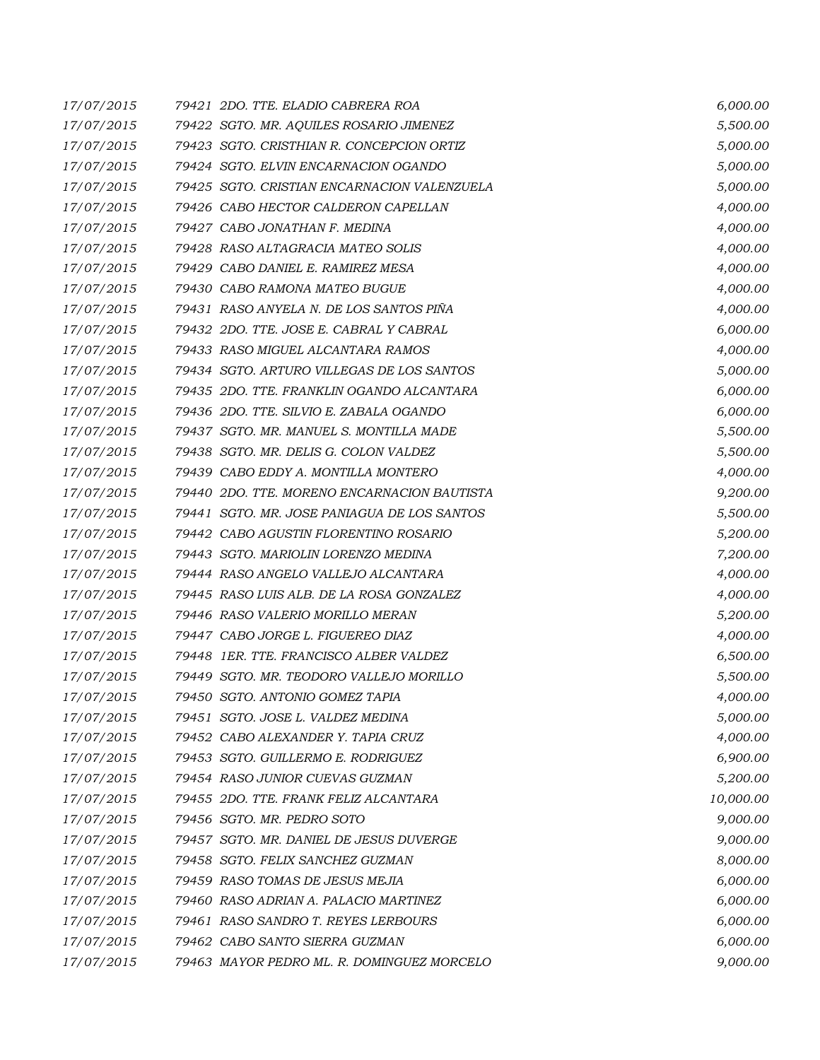| 17/07/2015 | 79421 2DO. TTE. ELADIO CABRERA ROA          | 6,000.00  |
|------------|---------------------------------------------|-----------|
| 17/07/2015 | 79422 SGTO. MR. AQUILES ROSARIO JIMENEZ     | 5,500.00  |
| 17/07/2015 | 79423 SGTO. CRISTHIAN R. CONCEPCION ORTIZ   | 5,000.00  |
| 17/07/2015 | 79424 SGTO. ELVIN ENCARNACION OGANDO        | 5,000.00  |
| 17/07/2015 | 79425 SGTO. CRISTIAN ENCARNACION VALENZUELA | 5,000.00  |
| 17/07/2015 | 79426 CABO HECTOR CALDERON CAPELLAN         | 4,000.00  |
| 17/07/2015 | 79427 CABO JONATHAN F. MEDINA               | 4,000.00  |
| 17/07/2015 | 79428 RASO ALTAGRACIA MATEO SOLIS           | 4,000.00  |
| 17/07/2015 | 79429 CABO DANIEL E. RAMIREZ MESA           | 4,000.00  |
| 17/07/2015 | 79430 CABO RAMONA MATEO BUGUE               | 4,000.00  |
| 17/07/2015 | 79431 RASO ANYELA N. DE LOS SANTOS PIÑA     | 4,000.00  |
| 17/07/2015 | 79432 2DO. TTE. JOSE E. CABRAL Y CABRAL     | 6,000.00  |
| 17/07/2015 | 79433 RASO MIGUEL ALCANTARA RAMOS           | 4,000.00  |
| 17/07/2015 | 79434 SGTO. ARTURO VILLEGAS DE LOS SANTOS   | 5,000.00  |
| 17/07/2015 | 79435 2DO. TTE. FRANKLIN OGANDO ALCANTARA   | 6,000.00  |
| 17/07/2015 | 79436 2DO. TTE, SILVIO E, ZABALA OGANDO     | 6,000.00  |
| 17/07/2015 | 79437 SGTO. MR. MANUEL S. MONTILLA MADE     | 5,500.00  |
| 17/07/2015 | 79438 SGTO. MR. DELIS G. COLON VALDEZ       | 5,500.00  |
| 17/07/2015 | 79439 CABO EDDY A. MONTILLA MONTERO         | 4,000.00  |
| 17/07/2015 | 79440 2DO. TTE. MORENO ENCARNACION BAUTISTA | 9,200.00  |
| 17/07/2015 | 79441 SGTO. MR. JOSE PANIAGUA DE LOS SANTOS | 5,500.00  |
| 17/07/2015 | 79442 CABO AGUSTIN FLORENTINO ROSARIO       | 5,200.00  |
| 17/07/2015 | 79443 SGTO. MARIOLIN LORENZO MEDINA         | 7,200.00  |
| 17/07/2015 | 79444 RASO ANGELO VALLEJO ALCANTARA         | 4,000.00  |
| 17/07/2015 | 79445 RASO LUIS ALB. DE LA ROSA GONZALEZ    | 4,000.00  |
| 17/07/2015 | 79446 RASO VALERIO MORILLO MERAN            | 5,200.00  |
| 17/07/2015 | 79447 CABO JORGE L. FIGUEREO DIAZ           | 4,000.00  |
| 17/07/2015 | 79448 IER. TTE. FRANCISCO ALBER VALDEZ      | 6,500.00  |
| 17/07/2015 | 79449 SGTO. MR. TEODORO VALLEJO MORILLO     | 5,500.00  |
| 17/07/2015 | 79450 SGTO. ANTONIO GOMEZ TAPIA             | 4,000.00  |
| 17/07/2015 | 79451 SGTO. JOSE L. VALDEZ MEDINA           | 5,000.00  |
| 17/07/2015 | 79452 CABO ALEXANDER Y. TAPIA CRUZ          | 4,000.00  |
| 17/07/2015 | 79453 SGTO. GUILLERMO E. RODRIGUEZ          | 6,900.00  |
| 17/07/2015 | 79454 RASO JUNIOR CUEVAS GUZMAN             | 5,200.00  |
| 17/07/2015 | 79455 2DO. TTE, FRANK FELIZ ALCANTARA       | 10,000.00 |
| 17/07/2015 | 79456 SGTO. MR. PEDRO SOTO                  | 9,000.00  |
| 17/07/2015 | 79457 SGTO. MR. DANIEL DE JESUS DUVERGE     | 9,000.00  |
| 17/07/2015 | 79458 SGTO. FELIX SANCHEZ GUZMAN            | 8,000.00  |
| 17/07/2015 | 79459 RASO TOMAS DE JESUS MEJIA             | 6,000.00  |
| 17/07/2015 | 79460 RASO ADRIAN A. PALACIO MARTINEZ       | 6,000.00  |
| 17/07/2015 | 79461 RASO SANDRO T. REYES LERBOURS         | 6,000.00  |
| 17/07/2015 | 79462 CABO SANTO SIERRA GUZMAN              | 6,000.00  |
| 17/07/2015 | 79463 MAYOR PEDRO ML. R. DOMINGUEZ MORCELO  | 9,000.00  |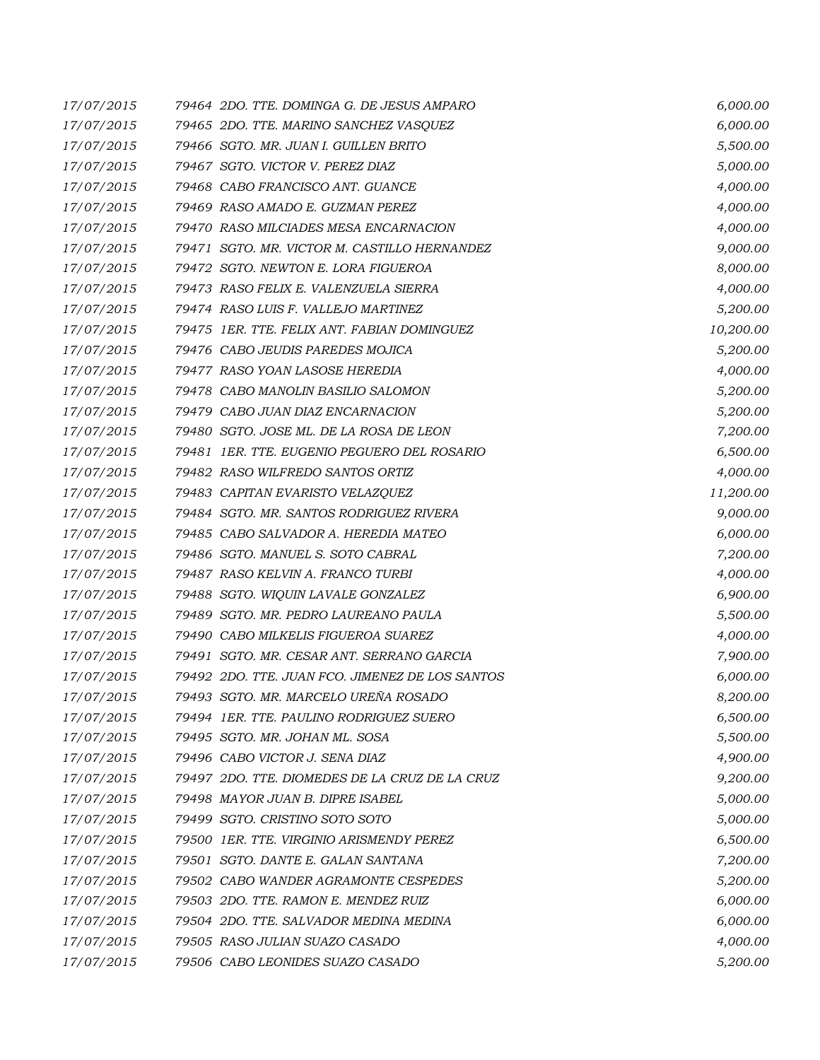| 17/07/2015 | 79464 2DO. TTE. DOMINGA G. DE JESUS AMPARO      | 6,000.00  |
|------------|-------------------------------------------------|-----------|
| 17/07/2015 | 79465 2DO. TTE. MARINO SANCHEZ VASQUEZ          | 6,000.00  |
| 17/07/2015 | 79466 SGTO. MR. JUAN I. GUILLEN BRITO           | 5,500.00  |
| 17/07/2015 | 79467 SGTO. VICTOR V. PEREZ DIAZ                | 5,000.00  |
| 17/07/2015 | 79468 CABO FRANCISCO ANT. GUANCE                | 4,000.00  |
| 17/07/2015 | 79469 RASO AMADO E. GUZMAN PEREZ                | 4,000.00  |
| 17/07/2015 | 79470 RASO MILCIADES MESA ENCARNACION           | 4,000.00  |
| 17/07/2015 | 79471 SGTO. MR. VICTOR M. CASTILLO HERNANDEZ    | 9,000.00  |
| 17/07/2015 | 79472 SGTO. NEWTON E. LORA FIGUEROA             | 8,000.00  |
| 17/07/2015 | 79473 RASO FELIX E. VALENZUELA SIERRA           | 4,000.00  |
| 17/07/2015 | 79474 RASO LUIS F. VALLEJO MARTINEZ             | 5,200.00  |
| 17/07/2015 | 79475 IER. TTE. FELIX ANT. FABIAN DOMINGUEZ     | 10,200.00 |
| 17/07/2015 | 79476 CABO JEUDIS PAREDES MOJICA                | 5,200.00  |
| 17/07/2015 | 79477 RASO YOAN LASOSE HEREDIA                  | 4,000.00  |
| 17/07/2015 | 79478 CABO MANOLIN BASILIO SALOMON              | 5,200.00  |
| 17/07/2015 | 79479 CABO JUAN DIAZ ENCARNACION                | 5,200.00  |
| 17/07/2015 | 79480 SGTO. JOSE ML. DE LA ROSA DE LEON         | 7,200.00  |
| 17/07/2015 | 79481 IER. TTE. EUGENIO PEGUERO DEL ROSARIO     | 6,500.00  |
| 17/07/2015 | 79482 RASO WILFREDO SANTOS ORTIZ                | 4,000.00  |
| 17/07/2015 | 79483 CAPITAN EVARISTO VELAZQUEZ                | 11,200.00 |
| 17/07/2015 | 79484 SGTO. MR. SANTOS RODRIGUEZ RIVERA         | 9,000.00  |
| 17/07/2015 | 79485 CABO SALVADOR A. HEREDIA MATEO            | 6,000.00  |
| 17/07/2015 | 79486 SGTO. MANUEL S. SOTO CABRAL               | 7,200.00  |
| 17/07/2015 | 79487 RASO KELVIN A. FRANCO TURBI               | 4,000.00  |
| 17/07/2015 | 79488 SGTO. WIQUIN LAVALE GONZALEZ              | 6,900.00  |
| 17/07/2015 | 79489 SGTO. MR. PEDRO LAUREANO PAULA            | 5,500.00  |
| 17/07/2015 | 79490 CABO MILKELIS FIGUEROA SUAREZ             | 4,000.00  |
| 17/07/2015 | 79491 SGTO. MR. CESAR ANT. SERRANO GARCIA       | 7,900.00  |
| 17/07/2015 | 79492 2DO. TTE. JUAN FCO. JIMENEZ DE LOS SANTOS | 6,000.00  |
| 17/07/2015 | 79493 SGTO. MR. MARCELO UREÑA ROSADO            | 8,200.00  |
| 17/07/2015 | 79494 1ER. TTE. PAULINO RODRIGUEZ SUERO         | 6,500.00  |
| 17/07/2015 | 79495 SGTO. MR. JOHAN ML. SOSA                  | 5,500.00  |
| 17/07/2015 | 79496 CABO VICTOR J. SENA DIAZ                  | 4,900.00  |
| 17/07/2015 | 79497 2DO. TTE. DIOMEDES DE LA CRUZ DE LA CRUZ  | 9,200.00  |
| 17/07/2015 | 79498 MAYOR JUAN B. DIPRE ISABEL                | 5,000.00  |
| 17/07/2015 | 79499 SGTO. CRISTINO SOTO SOTO                  | 5,000.00  |
| 17/07/2015 | 79500 1ER. TTE. VIRGINIO ARISMENDY PEREZ        | 6,500.00  |
| 17/07/2015 | 79501 SGTO, DANTE E, GALAN SANTANA              | 7,200.00  |
| 17/07/2015 | 79502 CABO WANDER AGRAMONTE CESPEDES            | 5,200.00  |
| 17/07/2015 | 79503 2DO. TTE. RAMON E. MENDEZ RUIZ            | 6,000.00  |
| 17/07/2015 | 79504 2DO. TTE, SALVADOR MEDINA MEDINA          | 6,000.00  |
| 17/07/2015 | 79505 RASO JULIAN SUAZO CASADO                  | 4,000.00  |
| 17/07/2015 | 79506 CABO LEONIDES SUAZO CASADO                | 5,200.00  |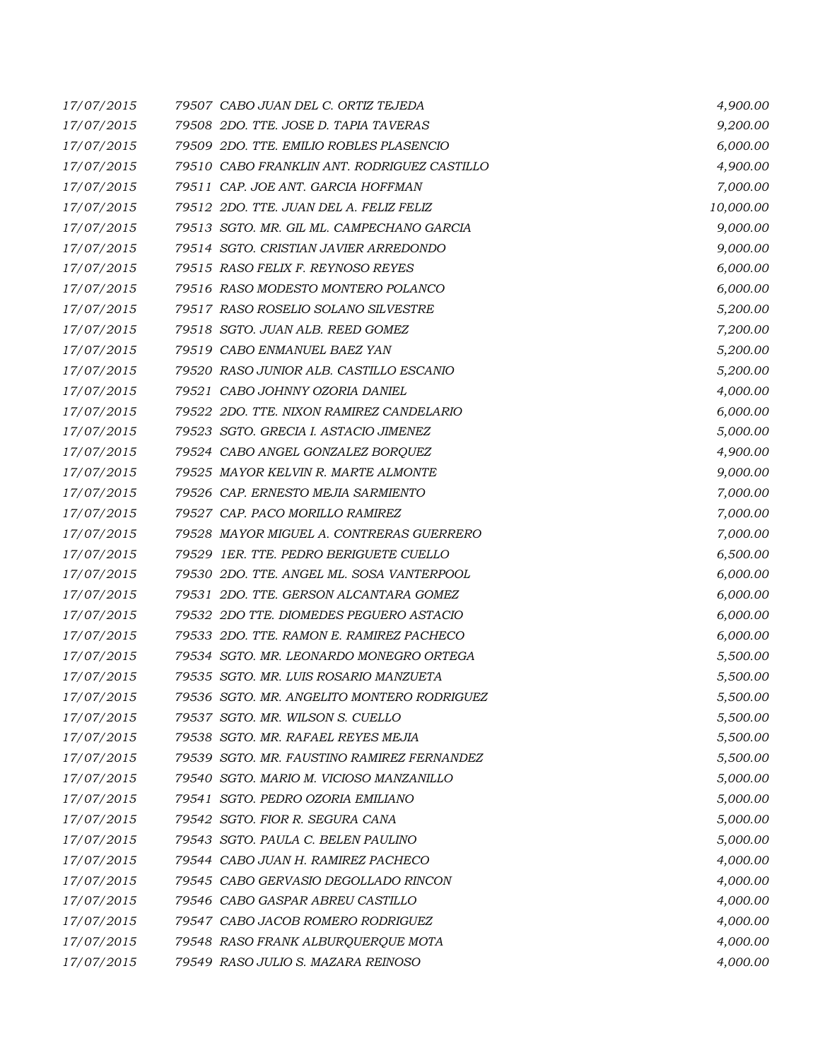| 17/07/2015 | 79507 CABO JUAN DEL C. ORTIZ TEJEDA         | 4,900.00  |
|------------|---------------------------------------------|-----------|
| 17/07/2015 | 79508 2DO. TTE. JOSE D. TAPIA TAVERAS       | 9,200.00  |
| 17/07/2015 | 79509 2DO. TTE, EMILIO ROBLES PLASENCIO     | 6,000.00  |
| 17/07/2015 | 79510 CABO FRANKLIN ANT. RODRIGUEZ CASTILLO | 4,900.00  |
| 17/07/2015 | 79511 CAP. JOE ANT. GARCIA HOFFMAN          | 7,000.00  |
| 17/07/2015 | 79512 2DO. TTE. JUAN DEL A. FELIZ FELIZ     | 10,000.00 |
| 17/07/2015 | 79513 SGTO. MR. GIL ML. CAMPECHANO GARCIA   | 9,000.00  |
| 17/07/2015 | 79514 SGTO. CRISTIAN JAVIER ARREDONDO       | 9,000.00  |
| 17/07/2015 | 79515 RASO FELIX F. REYNOSO REYES           | 6,000.00  |
| 17/07/2015 | 79516 RASO MODESTO MONTERO POLANCO          | 6,000.00  |
| 17/07/2015 | 79517 RASO ROSELIO SOLANO SILVESTRE         | 5,200.00  |
| 17/07/2015 | 79518 SGTO. JUAN ALB. REED GOMEZ            | 7,200.00  |
| 17/07/2015 | 79519 CABO ENMANUEL BAEZ YAN                | 5,200.00  |
| 17/07/2015 | 79520 RASO JUNIOR ALB. CASTILLO ESCANIO     | 5,200.00  |
| 17/07/2015 | 79521 CABO JOHNNY OZORIA DANIEL             | 4,000.00  |
| 17/07/2015 | 79522 2DO. TTE. NIXON RAMIREZ CANDELARIO    | 6,000.00  |
| 17/07/2015 | 79523 SGTO. GRECIA I. ASTACIO JIMENEZ       | 5,000.00  |
| 17/07/2015 | 79524 CABO ANGEL GONZALEZ BORQUEZ           | 4,900.00  |
| 17/07/2015 | 79525 MAYOR KELVIN R. MARTE ALMONTE         | 9,000.00  |
| 17/07/2015 | 79526 CAP. ERNESTO MEJIA SARMIENTO          | 7,000.00  |
| 17/07/2015 | 79527 CAP. PACO MORILLO RAMIREZ             | 7,000.00  |
| 17/07/2015 | 79528 MAYOR MIGUEL A. CONTRERAS GUERRERO    | 7,000.00  |
| 17/07/2015 | 79529 1ER. TTE. PEDRO BERIGUETE CUELLO      | 6,500.00  |
| 17/07/2015 | 79530 2DO. TTE. ANGEL ML. SOSA VANTERPOOL   | 6,000.00  |
| 17/07/2015 | 79531 2DO. TTE. GERSON ALCANTARA GOMEZ      | 6,000.00  |
| 17/07/2015 | 79532 2DO TTE. DIOMEDES PEGUERO ASTACIO     | 6,000.00  |
| 17/07/2015 | 79533 2DO. TTE. RAMON E. RAMIREZ PACHECO    | 6,000.00  |
| 17/07/2015 | 79534 SGTO. MR. LEONARDO MONEGRO ORTEGA     | 5,500.00  |
| 17/07/2015 | 79535 SGTO. MR. LUIS ROSARIO MANZUETA       | 5,500.00  |
| 17/07/2015 | 79536 SGTO. MR. ANGELITO MONTERO RODRIGUEZ  | 5,500.00  |
| 17/07/2015 | 79537 SGTO. MR. WILSON S. CUELLO            | 5,500.00  |
| 17/07/2015 | 79538 SGTO. MR. RAFAEL REYES MEJIA          | 5,500.00  |
| 17/07/2015 | 79539 SGTO, MR. FAUSTINO RAMIREZ FERNANDEZ  | 5,500.00  |
| 17/07/2015 | 79540 SGTO. MARIO M. VICIOSO MANZANILLO     | 5,000.00  |
| 17/07/2015 | 79541 SGTO. PEDRO OZORIA EMILIANO           | 5,000.00  |
| 17/07/2015 | 79542 SGTO. FIOR R. SEGURA CANA             | 5,000.00  |
| 17/07/2015 | 79543 SGTO. PAULA C. BELEN PAULINO          | 5,000.00  |
| 17/07/2015 | 79544 CABO JUAN H. RAMIREZ PACHECO          | 4,000.00  |
| 17/07/2015 | 79545 CABO GERVASIO DEGOLLADO RINCON        | 4,000.00  |
| 17/07/2015 | 79546 CABO GASPAR ABREU CASTILLO            | 4,000.00  |
| 17/07/2015 | 79547 CABO JACOB ROMERO RODRIGUEZ           | 4,000.00  |
| 17/07/2015 | 79548 RASO FRANK ALBURQUERQUE MOTA          | 4,000.00  |
| 17/07/2015 | 79549 RASO JULIO S. MAZARA REINOSO          | 4,000.00  |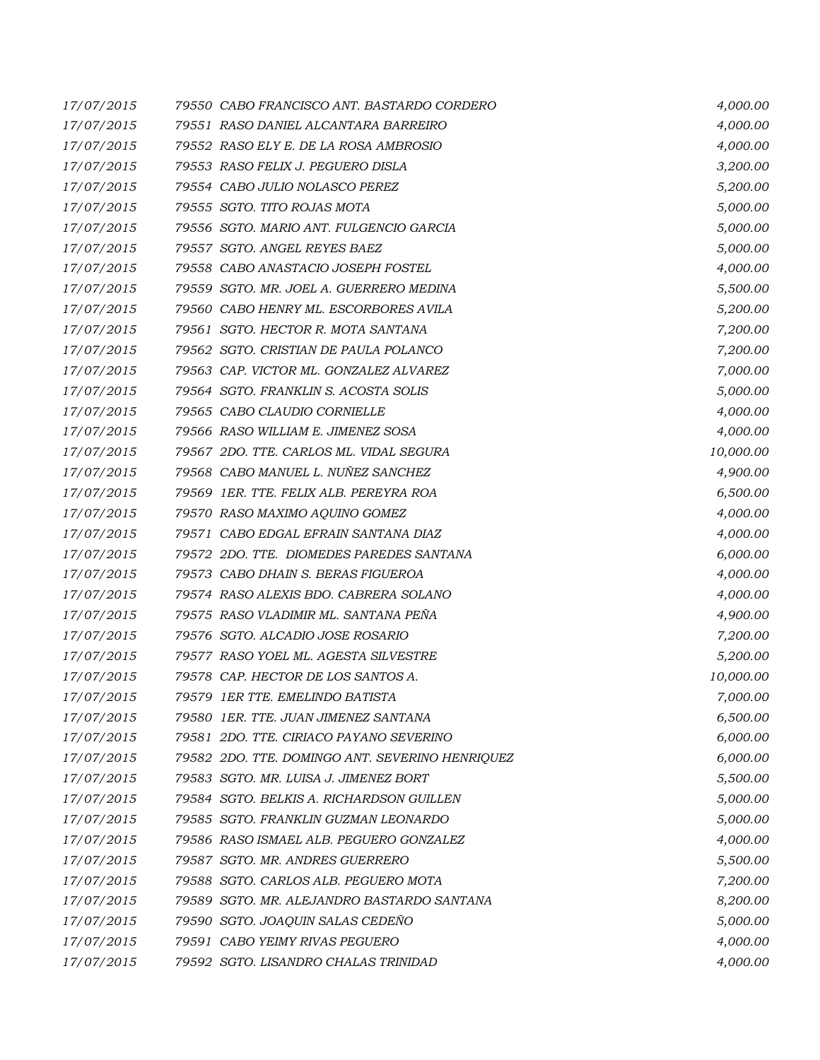| 17/07/2015 | 79550 CABO FRANCISCO ANT. BASTARDO CORDERO      | 4,000.00  |
|------------|-------------------------------------------------|-----------|
| 17/07/2015 | 79551 RASO DANIEL ALCANTARA BARREIRO            | 4,000.00  |
| 17/07/2015 | 79552 RASO ELY E. DE LA ROSA AMBROSIO           | 4,000.00  |
| 17/07/2015 | 79553 RASO FELIX J. PEGUERO DISLA               | 3,200.00  |
| 17/07/2015 | 79554 CABO JULIO NOLASCO PEREZ                  | 5,200.00  |
| 17/07/2015 | 79555 SGTO. TITO ROJAS MOTA                     | 5,000.00  |
| 17/07/2015 | 79556 SGTO. MARIO ANT. FULGENCIO GARCIA         | 5,000.00  |
| 17/07/2015 | 79557 SGTO. ANGEL REYES BAEZ                    | 5,000.00  |
| 17/07/2015 | 79558 CABO ANASTACIO JOSEPH FOSTEL              | 4,000.00  |
| 17/07/2015 | 79559 SGTO. MR. JOEL A. GUERRERO MEDINA         | 5,500.00  |
| 17/07/2015 | 79560 CABO HENRY ML. ESCORBORES AVILA           | 5,200.00  |
| 17/07/2015 | 79561 SGTO. HECTOR R. MOTA SANTANA              | 7,200.00  |
| 17/07/2015 | 79562 SGTO. CRISTIAN DE PAULA POLANCO           | 7,200.00  |
| 17/07/2015 | 79563 CAP. VICTOR ML. GONZALEZ ALVAREZ          | 7,000.00  |
| 17/07/2015 | 79564 SGTO. FRANKLIN S. ACOSTA SOLIS            | 5,000.00  |
| 17/07/2015 | 79565 CABO CLAUDIO CORNIELLE                    | 4,000.00  |
| 17/07/2015 | 79566 RASO WILLIAM E. JIMENEZ SOSA              | 4,000.00  |
| 17/07/2015 | 79567 2DO. TTE. CARLOS ML. VIDAL SEGURA         | 10,000.00 |
| 17/07/2015 | 79568 CABO MANUEL L. NUÑEZ SANCHEZ              | 4,900.00  |
| 17/07/2015 | 79569 IER. TTE. FELIX ALB. PEREYRA ROA          | 6,500.00  |
| 17/07/2015 | 79570 RASO MAXIMO AQUINO GOMEZ                  | 4,000.00  |
| 17/07/2015 | 79571 CABO EDGAL EFRAIN SANTANA DIAZ            | 4,000.00  |
| 17/07/2015 | 79572 2DO. TTE. DIOMEDES PAREDES SANTANA        | 6,000.00  |
| 17/07/2015 | 79573 CABO DHAIN S. BERAS FIGUEROA              | 4,000.00  |
| 17/07/2015 | 79574 RASO ALEXIS BDO. CABRERA SOLANO           | 4,000.00  |
| 17/07/2015 | 79575 RASO VLADIMIR ML. SANTANA PEÑA            | 4,900.00  |
| 17/07/2015 | 79576 SGTO. ALCADIO JOSE ROSARIO                | 7,200.00  |
| 17/07/2015 | 79577 RASO YOEL ML. AGESTA SILVESTRE            | 5,200.00  |
| 17/07/2015 | 79578 CAP. HECTOR DE LOS SANTOS A.              | 10,000.00 |
| 17/07/2015 | 79579 IER TTE. EMELINDO BATISTA                 | 7,000.00  |
| 17/07/2015 | 79580 1ER. TTE. JUAN JIMENEZ SANTANA            | 6,500.00  |
| 17/07/2015 | 79581 2DO. TTE. CIRIACO PAYANO SEVERINO         | 6,000.00  |
| 17/07/2015 | 79582 2DO. TTE. DOMINGO ANT. SEVERINO HENRIQUEZ | 6,000.00  |
| 17/07/2015 | 79583 SGTO. MR. LUISA J. JIMENEZ BORT           | 5,500.00  |
| 17/07/2015 | 79584 SGTO. BELKIS A. RICHARDSON GUILLEN        | 5,000.00  |
| 17/07/2015 | 79585 SGTO. FRANKLIN GUZMAN LEONARDO            | 5,000.00  |
| 17/07/2015 | 79586 RASO ISMAEL ALB. PEGUERO GONZALEZ         | 4,000.00  |
| 17/07/2015 | 79587 SGTO. MR. ANDRES GUERRERO                 | 5,500.00  |
| 17/07/2015 | 79588 SGTO. CARLOS ALB. PEGUERO MOTA            | 7,200.00  |
| 17/07/2015 | 79589 SGTO. MR. ALEJANDRO BASTARDO SANTANA      | 8,200.00  |
| 17/07/2015 | 79590 SGTO. JOAQUIN SALAS CEDEÑO                | 5,000.00  |
| 17/07/2015 | 79591 CABO YEIMY RIVAS PEGUERO                  | 4,000.00  |
| 17/07/2015 | 79592 SGTO. LISANDRO CHALAS TRINIDAD            | 4,000.00  |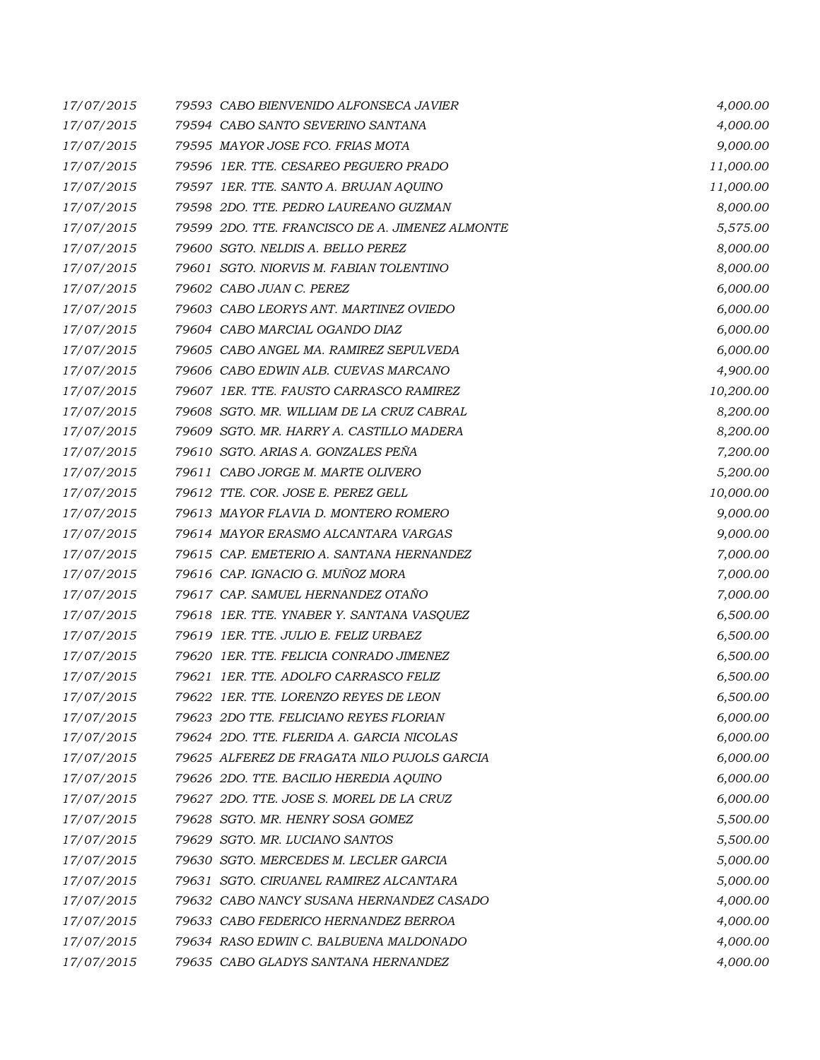| 17/07/2015 | 79593 CABO BIENVENIDO ALFONSECA JAVIER          | 4,000.00  |
|------------|-------------------------------------------------|-----------|
| 17/07/2015 | 79594 CABO SANTO SEVERINO SANTANA               | 4,000.00  |
| 17/07/2015 | 79595 MAYOR JOSE FCO. FRIAS MOTA                | 9,000.00  |
| 17/07/2015 | 79596 1ER. TTE. CESAREO PEGUERO PRADO           | 11,000.00 |
| 17/07/2015 | 79597 1ER. TTE. SANTO A. BRUJAN AQUINO          | 11,000.00 |
| 17/07/2015 | 79598 2DO. TTE. PEDRO LAUREANO GUZMAN           | 8,000.00  |
| 17/07/2015 | 79599 2DO. TTE. FRANCISCO DE A. JIMENEZ ALMONTE | 5,575.00  |
| 17/07/2015 | 79600 SGTO. NELDIS A. BELLO PEREZ               | 8,000.00  |
| 17/07/2015 | 79601 SGTO, NIORVIS M. FABIAN TOLENTINO         | 8,000.00  |
| 17/07/2015 | 79602 CABO JUAN C. PEREZ                        | 6,000.00  |
| 17/07/2015 | 79603 CABO LEORYS ANT. MARTINEZ OVIEDO          | 6,000.00  |
| 17/07/2015 | 79604 CABO MARCIAL OGANDO DIAZ                  | 6,000.00  |
| 17/07/2015 | 79605 CABO ANGEL MA. RAMIREZ SEPULVEDA          | 6,000.00  |
| 17/07/2015 | 79606 CABO EDWIN ALB. CUEVAS MARCANO            | 4,900.00  |
| 17/07/2015 | 79607 1ER. TTE. FAUSTO CARRASCO RAMIREZ         | 10,200.00 |
| 17/07/2015 | 79608 SGTO. MR. WILLIAM DE LA CRUZ CABRAL       | 8,200.00  |
| 17/07/2015 | 79609 SGTO. MR. HARRY A. CASTILLO MADERA        | 8,200.00  |
| 17/07/2015 | 79610 SGTO. ARIAS A. GONZALES PEÑA              | 7,200.00  |
| 17/07/2015 | 79611 CABO JORGE M. MARTE OLIVERO               | 5,200.00  |
| 17/07/2015 | 79612 TTE. COR. JOSE E. PEREZ GELL              | 10,000.00 |
| 17/07/2015 | 79613 MAYOR FLAVIA D. MONTERO ROMERO            | 9,000.00  |
| 17/07/2015 | 79614 MAYOR ERASMO ALCANTARA VARGAS             | 9,000.00  |
| 17/07/2015 | 79615 CAP. EMETERIO A. SANTANA HERNANDEZ        | 7,000.00  |
| 17/07/2015 | 79616 CAP. IGNACIO G. MUÑOZ MORA                | 7,000.00  |
| 17/07/2015 | 79617 CAP. SAMUEL HERNANDEZ OTAÑO               | 7,000.00  |
| 17/07/2015 | 79618 1ER. TTE. YNABER Y. SANTANA VASQUEZ       | 6,500.00  |
| 17/07/2015 | 79619 IER. TTE. JULIO E. FELIZ URBAEZ           | 6,500.00  |
| 17/07/2015 | 79620 1ER. TTE. FELICIA CONRADO JIMENEZ         | 6,500.00  |
| 17/07/2015 | 79621 IER. TTE. ADOLFO CARRASCO FELIZ           | 6,500.00  |
| 17/07/2015 | 79622 1ER. TTE. LORENZO REYES DE LEON           | 6,500.00  |
| 17/07/2015 | 79623 2DO TTE, FELICIANO REYES FLORIAN          | 6,000.00  |
| 17/07/2015 | 79624 2DO. TTE. FLERIDA A. GARCIA NICOLAS       | 6,000.00  |
| 17/07/2015 | 79625 ALFEREZ DE FRAGATA NILO PUJOLS GARCIA     | 6,000.00  |
| 17/07/2015 | 79626 2DO. TTE. BACILIO HEREDIA AQUINO          | 6,000.00  |
| 17/07/2015 | 79627 2DO. TTE. JOSE S. MOREL DE LA CRUZ        | 6,000.00  |
| 17/07/2015 | 79628 SGTO. MR. HENRY SOSA GOMEZ                | 5,500.00  |
| 17/07/2015 | 79629 SGTO. MR. LUCIANO SANTOS                  | 5,500.00  |
| 17/07/2015 | 79630 SGTO. MERCEDES M. LECLER GARCIA           | 5,000.00  |
| 17/07/2015 | 79631 SGTO. CIRUANEL RAMIREZ ALCANTARA          | 5,000.00  |
| 17/07/2015 | 79632 CABO NANCY SUSANA HERNANDEZ CASADO        | 4,000.00  |
| 17/07/2015 | 79633 CABO FEDERICO HERNANDEZ BERROA            | 4,000.00  |
| 17/07/2015 | 79634 RASO EDWIN C. BALBUENA MALDONADO          | 4,000.00  |
| 17/07/2015 | 79635 CABO GLADYS SANTANA HERNANDEZ             | 4,000.00  |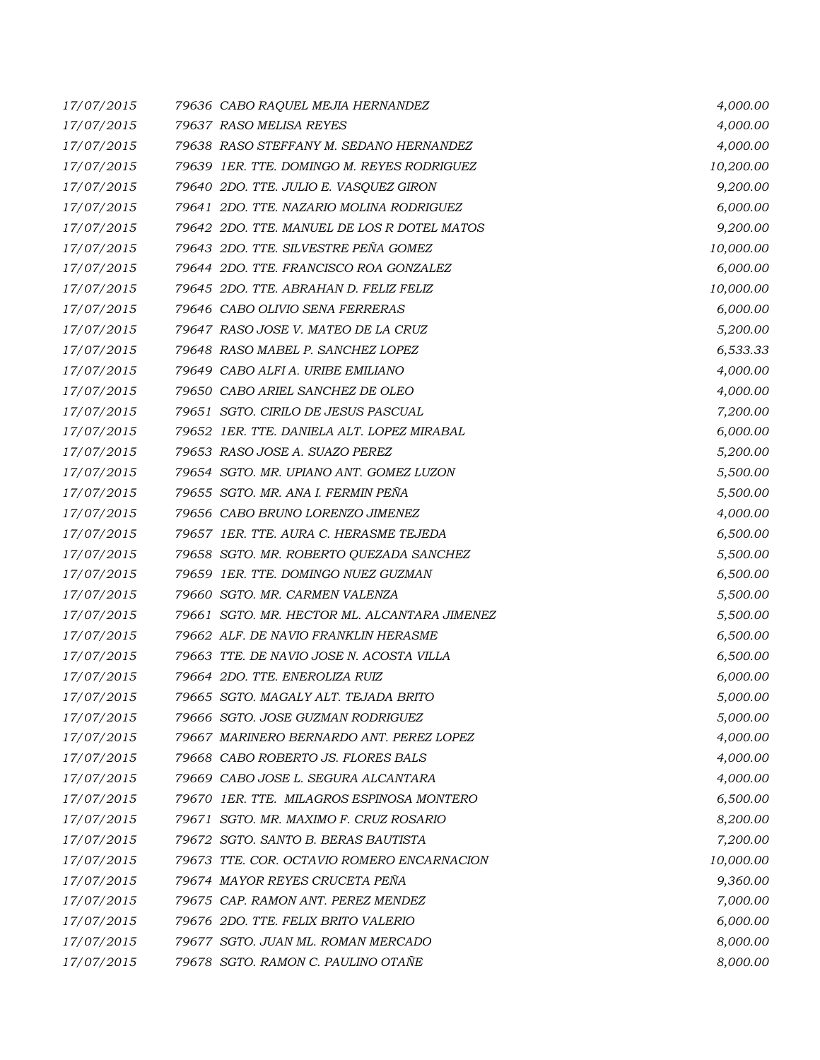| 17/07/2015 | 79636 CABO RAQUEL MEJIA HERNANDEZ            | 4,000.00  |
|------------|----------------------------------------------|-----------|
| 17/07/2015 | 79637 RASO MELISA REYES                      | 4,000.00  |
| 17/07/2015 | 79638 RASO STEFFANY M. SEDANO HERNANDEZ      | 4,000.00  |
| 17/07/2015 | 79639 1ER. TTE. DOMINGO M. REYES RODRIGUEZ   | 10,200.00 |
| 17/07/2015 | 79640 2DO. TTE. JULIO E. VASQUEZ GIRON       | 9,200.00  |
| 17/07/2015 | 79641 2DO. TTE. NAZARIO MOLINA RODRIGUEZ     | 6,000.00  |
| 17/07/2015 | 79642 2DO. TTE, MANUEL DE LOS R DOTEL MATOS  | 9,200.00  |
| 17/07/2015 | 79643 2DO. TTE. SILVESTRE PEÑA GOMEZ         | 10,000.00 |
| 17/07/2015 | 79644 2DO. TTE. FRANCISCO ROA GONZALEZ       | 6,000.00  |
| 17/07/2015 | 79645 2DO. TTE, ABRAHAN D. FELIZ FELIZ       | 10,000.00 |
| 17/07/2015 | 79646 CABO OLIVIO SENA FERRERAS              | 6,000.00  |
| 17/07/2015 | 79647 RASO JOSE V. MATEO DE LA CRUZ          | 5,200.00  |
| 17/07/2015 | 79648 RASO MABEL P. SANCHEZ LOPEZ            | 6,533.33  |
| 17/07/2015 | 79649 CABO ALFI A. URIBE EMILIANO            | 4,000.00  |
| 17/07/2015 | 79650 CABO ARIEL SANCHEZ DE OLEO             | 4,000.00  |
| 17/07/2015 | 79651 SGTO. CIRILO DE JESUS PASCUAL          | 7,200.00  |
| 17/07/2015 | 79652 IER. TTE. DANIELA ALT. LOPEZ MIRABAL   | 6,000.00  |
| 17/07/2015 | 79653 RASO JOSE A. SUAZO PEREZ               | 5,200.00  |
| 17/07/2015 | 79654 SGTO. MR. UPIANO ANT. GOMEZ LUZON      | 5,500.00  |
| 17/07/2015 | 79655 SGTO. MR. ANA I. FERMIN PEÑA           | 5,500.00  |
| 17/07/2015 | 79656 CABO BRUNO LORENZO JIMENEZ             | 4,000.00  |
| 17/07/2015 | 79657 IER. TTE. AURA C. HERASME TEJEDA       | 6,500.00  |
| 17/07/2015 | 79658 SGTO. MR. ROBERTO QUEZADA SANCHEZ      | 5,500.00  |
| 17/07/2015 | 79659 1ER. TTE. DOMINGO NUEZ GUZMAN          | 6,500.00  |
| 17/07/2015 | 79660 SGTO. MR. CARMEN VALENZA               | 5,500.00  |
| 17/07/2015 | 79661 SGTO. MR. HECTOR ML. ALCANTARA JIMENEZ | 5,500.00  |
| 17/07/2015 | 79662 ALF. DE NAVIO FRANKLIN HERASME         | 6,500.00  |
| 17/07/2015 | 79663 TTE. DE NAVIO JOSE N. ACOSTA VILLA     | 6,500.00  |
| 17/07/2015 | 79664 2DO. TTE. ENEROLIZA RUIZ               | 6,000.00  |
| 17/07/2015 | 79665 SGTO. MAGALY ALT. TEJADA BRITO         | 5,000.00  |
| 17/07/2015 | 79666 SGTO. JOSE GUZMAN RODRIGUEZ            | 5,000.00  |
| 17/07/2015 | 79667 MARINERO BERNARDO ANT. PEREZ LOPEZ     | 4,000.00  |
| 17/07/2015 | 79668 CABO ROBERTO JS. FLORES BALS           | 4,000.00  |
| 17/07/2015 | 79669 CABO JOSE L. SEGURA ALCANTARA          | 4,000.00  |
| 17/07/2015 | 79670 1ER. TTE. MILAGROS ESPINOSA MONTERO    | 6,500.00  |
| 17/07/2015 | 79671 SGTO, MR. MAXIMO F. CRUZ ROSARIO       | 8,200.00  |
| 17/07/2015 | 79672 SGTO, SANTO B. BERAS BAUTISTA          | 7,200.00  |
| 17/07/2015 | 79673 TTE. COR. OCTAVIO ROMERO ENCARNACION   | 10,000.00 |
| 17/07/2015 | 79674 MAYOR REYES CRUCETA PEÑA               | 9,360.00  |
| 17/07/2015 | 79675 CAP. RAMON ANT. PEREZ MENDEZ           | 7,000.00  |
| 17/07/2015 | 79676 2DO. TTE. FELIX BRITO VALERIO          | 6,000.00  |
| 17/07/2015 | 79677 SGTO. JUAN ML. ROMAN MERCADO           | 8,000.00  |
| 17/07/2015 | 79678 SGTO. RAMON C. PAULINO OTAÑE           | 8,000.00  |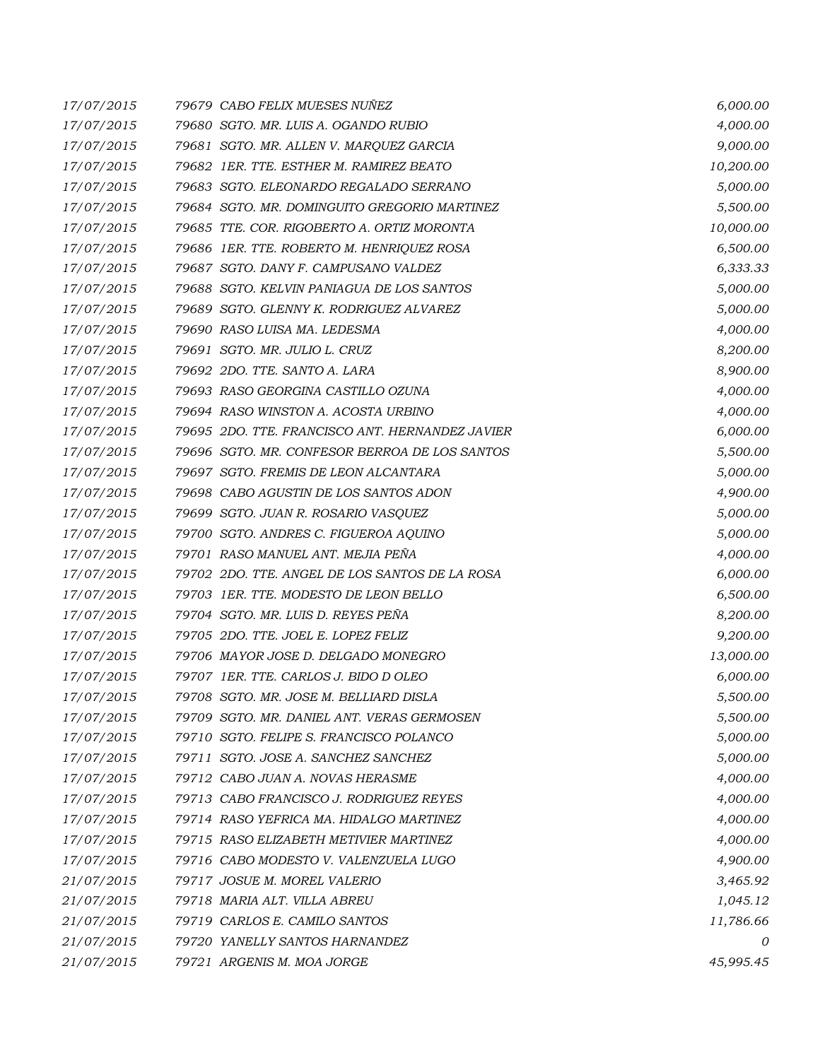| 17/07/2015 | 79679 CABO FELIX MUESES NUÑEZ                   | 6,000.00  |
|------------|-------------------------------------------------|-----------|
| 17/07/2015 | 79680 SGTO. MR. LUIS A. OGANDO RUBIO            | 4,000.00  |
| 17/07/2015 | 79681 SGTO. MR. ALLEN V. MARQUEZ GARCIA         | 9,000.00  |
| 17/07/2015 | 79682 IER. TTE. ESTHER M. RAMIREZ BEATO         | 10,200.00 |
| 17/07/2015 | 79683 SGTO, ELEONARDO REGALADO SERRANO          | 5,000.00  |
| 17/07/2015 | 79684 SGTO. MR. DOMINGUITO GREGORIO MARTINEZ    | 5,500.00  |
| 17/07/2015 | 79685 TTE. COR. RIGOBERTO A. ORTIZ MORONTA      | 10,000.00 |
| 17/07/2015 | 79686 1ER. TTE. ROBERTO M. HENRIQUEZ ROSA       | 6,500.00  |
| 17/07/2015 | 79687 SGTO, DANY F. CAMPUSANO VALDEZ            | 6,333.33  |
| 17/07/2015 | 79688 SGTO. KELVIN PANIAGUA DE LOS SANTOS       | 5,000.00  |
| 17/07/2015 | 79689 SGTO. GLENNY K. RODRIGUEZ ALVAREZ         | 5,000.00  |
| 17/07/2015 | 79690 RASO LUISA MA. LEDESMA                    | 4,000.00  |
| 17/07/2015 | 79691 SGTO. MR. JULIO L. CRUZ                   | 8,200.00  |
| 17/07/2015 | 79692 2DO. TTE. SANTO A. LARA                   | 8,900.00  |
| 17/07/2015 | 79693 RASO GEORGINA CASTILLO OZUNA              | 4,000.00  |
| 17/07/2015 | 79694 RASO WINSTON A. ACOSTA URBINO             | 4,000.00  |
| 17/07/2015 | 79695 2DO. TTE. FRANCISCO ANT. HERNANDEZ JAVIER | 6,000.00  |
| 17/07/2015 | 79696 SGTO. MR. CONFESOR BERROA DE LOS SANTOS   | 5,500.00  |
| 17/07/2015 | 79697 SGTO. FREMIS DE LEON ALCANTARA            | 5,000.00  |
| 17/07/2015 | 79698 CABO AGUSTIN DE LOS SANTOS ADON           | 4,900.00  |
| 17/07/2015 | 79699 SGTO. JUAN R. ROSARIO VASQUEZ             | 5,000.00  |
| 17/07/2015 | 79700 SGTO. ANDRES C. FIGUEROA AQUINO           | 5,000.00  |
| 17/07/2015 | 79701 RASO MANUEL ANT. MEJIA PEÑA               | 4,000.00  |
| 17/07/2015 | 79702 2DO. TTE. ANGEL DE LOS SANTOS DE LA ROSA  | 6,000.00  |
| 17/07/2015 | 79703 1ER. TTE. MODESTO DE LEON BELLO           | 6,500.00  |
| 17/07/2015 | 79704 SGTO. MR. LUIS D. REYES PEÑA              | 8,200.00  |
| 17/07/2015 | 79705 2DO. TTE. JOEL E. LOPEZ FELIZ             | 9,200.00  |
| 17/07/2015 | 79706 MAYOR JOSE D. DELGADO MONEGRO             | 13,000.00 |
| 17/07/2015 | 79707 1ER. TTE. CARLOS J. BIDO D OLEO           | 6,000.00  |
| 17/07/2015 | 79708 SGTO. MR. JOSE M. BELLIARD DISLA          | 5,500.00  |
| 17/07/2015 | 79709 SGTO, MR. DANIEL ANT. VERAS GERMOSEN      | 5,500.00  |
| 17/07/2015 | 79710 SGTO. FELIPE S. FRANCISCO POLANCO         | 5,000.00  |
| 17/07/2015 | 79711 SGTO. JOSE A. SANCHEZ SANCHEZ             | 5,000.00  |
| 17/07/2015 | 79712 CABO JUAN A. NOVAS HERASME                | 4,000.00  |
| 17/07/2015 | 79713 CABO FRANCISCO J. RODRIGUEZ REYES         | 4,000.00  |
| 17/07/2015 | 79714 RASO YEFRICA MA. HIDALGO MARTINEZ         | 4,000.00  |
| 17/07/2015 | 79715 RASO ELIZABETH METIVIER MARTINEZ          | 4,000.00  |
| 17/07/2015 | 79716 CABO MODESTO V. VALENZUELA LUGO           | 4,900.00  |
| 21/07/2015 | 79717 JOSUE M. MOREL VALERIO                    | 3,465.92  |
| 21/07/2015 | 79718 MARIA ALT. VILLA ABREU                    | 1,045.12  |
| 21/07/2015 | 79719 CARLOS E. CAMILO SANTOS                   | 11,786.66 |
| 21/07/2015 | 79720 YANELLY SANTOS HARNANDEZ                  | 0         |
| 21/07/2015 | 79721 ARGENIS M. MOA JORGE                      | 45,995.45 |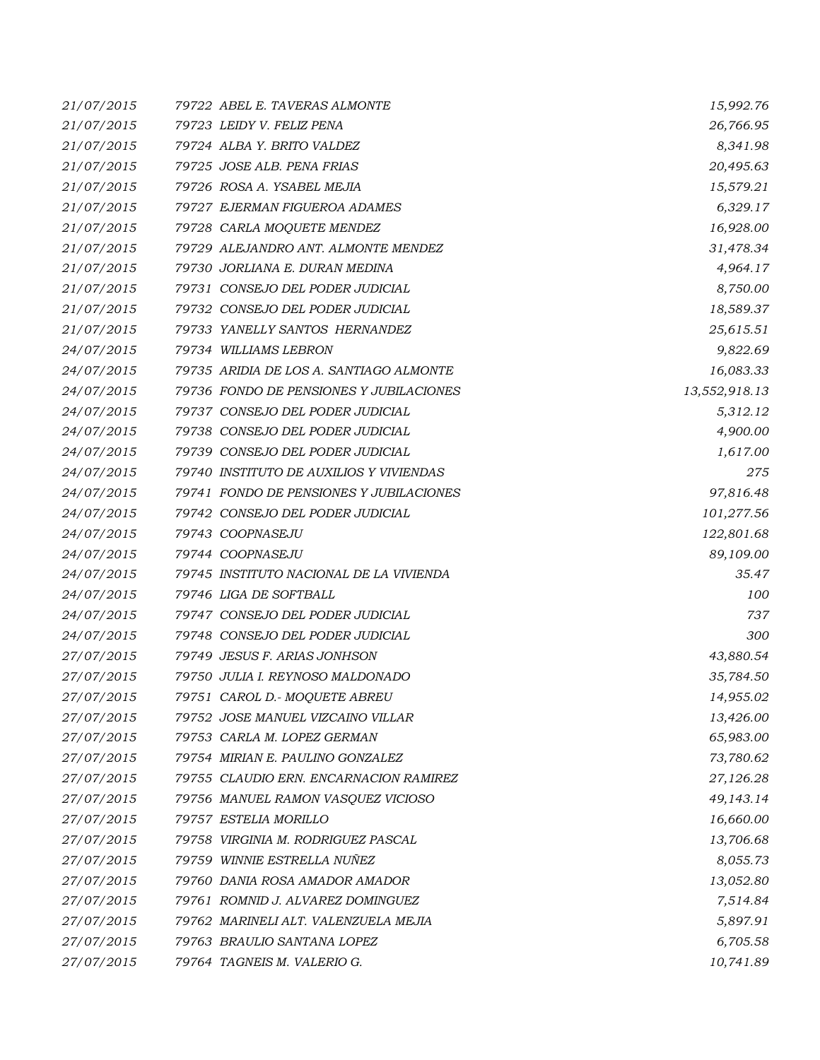| 21/07/2015 | 79722 ABEL E. TAVERAS ALMONTE           | 15,992.76     |
|------------|-----------------------------------------|---------------|
| 21/07/2015 | 79723 LEIDY V. FELIZ PENA               | 26,766.95     |
| 21/07/2015 | 79724 ALBA Y. BRITO VALDEZ              | 8,341.98      |
| 21/07/2015 | 79725 JOSE ALB. PENA FRIAS              | 20,495.63     |
| 21/07/2015 | 79726 ROSA A. YSABEL MEJIA              | 15,579.21     |
| 21/07/2015 | 79727 EJERMAN FIGUEROA ADAMES           | 6,329.17      |
| 21/07/2015 | 79728 CARLA MOQUETE MENDEZ              | 16,928.00     |
| 21/07/2015 | 79729 ALEJANDRO ANT. ALMONTE MENDEZ     | 31,478.34     |
| 21/07/2015 | 79730 JORLIANA E. DURAN MEDINA          | 4,964.17      |
| 21/07/2015 | 79731 CONSEJO DEL PODER JUDICIAL        | 8,750.00      |
| 21/07/2015 | 79732 CONSEJO DEL PODER JUDICIAL        | 18,589.37     |
| 21/07/2015 | 79733 YANELLY SANTOS HERNANDEZ          | 25,615.51     |
| 24/07/2015 | 79734 WILLIAMS LEBRON                   | 9,822.69      |
| 24/07/2015 | 79735 ARIDIA DE LOS A. SANTIAGO ALMONTE | 16,083.33     |
| 24/07/2015 | 79736 FONDO DE PENSIONES Y JUBILACIONES | 13,552,918.13 |
| 24/07/2015 | 79737 CONSEJO DEL PODER JUDICIAL        | 5,312.12      |
| 24/07/2015 | 79738 CONSEJO DEL PODER JUDICIAL        | 4,900.00      |
| 24/07/2015 | 79739 CONSEJO DEL PODER JUDICIAL        | 1,617.00      |
| 24/07/2015 | 79740 INSTITUTO DE AUXILIOS Y VIVIENDAS | 275           |
| 24/07/2015 | 79741 FONDO DE PENSIONES Y JUBILACIONES | 97,816.48     |
| 24/07/2015 | 79742 CONSEJO DEL PODER JUDICIAL        | 101,277.56    |
| 24/07/2015 | 79743 COOPNASEJU                        | 122,801.68    |
| 24/07/2015 | 79744 COOPNASEJU                        | 89,109.00     |
| 24/07/2015 | 79745 INSTITUTO NACIONAL DE LA VIVIENDA | 35.47         |
| 24/07/2015 | 79746 LIGA DE SOFTBALL                  | 100           |
| 24/07/2015 | 79747 CONSEJO DEL PODER JUDICIAL        | 737           |
| 24/07/2015 | 79748 CONSEJO DEL PODER JUDICIAL        | 300           |
| 27/07/2015 | 79749 JESUS F. ARIAS JONHSON            | 43,880.54     |
| 27/07/2015 | 79750 JULIA I. REYNOSO MALDONADO        | 35,784.50     |
| 27/07/2015 | 79751 CAROL D.- MOQUETE ABREU           | 14,955.02     |
| 27/07/2015 | 79752 JOSE MANUEL VIZCAINO VILLAR       | 13,426.00     |
| 27/07/2015 | 79753 CARLA M. LOPEZ GERMAN             | 65,983.00     |
| 27/07/2015 | 79754 MIRIAN E. PAULINO GONZALEZ        | 73,780.62     |
| 27/07/2015 | 79755 CLAUDIO ERN. ENCARNACION RAMIREZ  | 27,126.28     |
| 27/07/2015 | 79756 MANUEL RAMON VASQUEZ VICIOSO      | 49,143.14     |
| 27/07/2015 | 79757 ESTELIA MORILLO                   | 16,660.00     |
| 27/07/2015 | 79758 VIRGINIA M. RODRIGUEZ PASCAL      | 13,706.68     |
| 27/07/2015 | 79759 WINNIE ESTRELLA NUÑEZ             | 8,055.73      |
| 27/07/2015 | 79760 DANIA ROSA AMADOR AMADOR          | 13,052.80     |
| 27/07/2015 | 79761 ROMNID J. ALVAREZ DOMINGUEZ       | 7,514.84      |
| 27/07/2015 | 79762 MARINELI ALT. VALENZUELA MEJIA    | 5,897.91      |
| 27/07/2015 | 79763 BRAULIO SANTANA LOPEZ             | 6,705.58      |
| 27/07/2015 | 79764 TAGNEIS M. VALERIO G.             | 10,741.89     |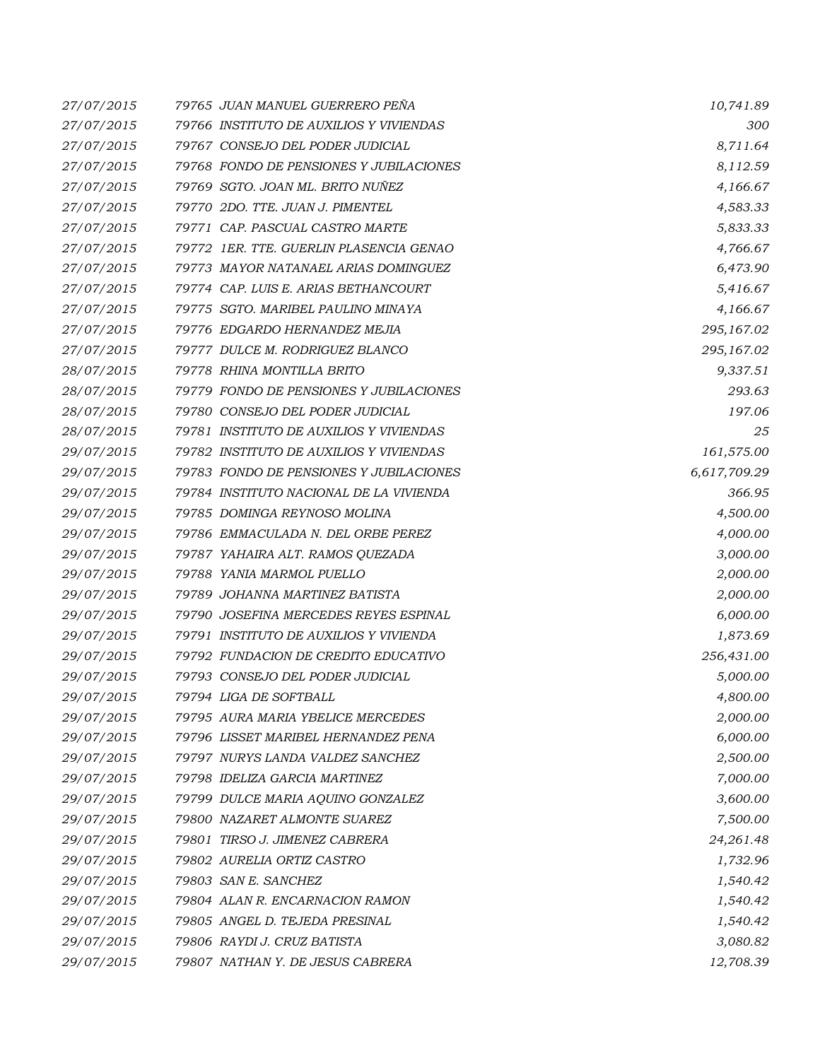| 27/07/2015 | 79765 JUAN MANUEL GUERRERO PENA         | 10,741.89    |
|------------|-----------------------------------------|--------------|
| 27/07/2015 | 79766 INSTITUTO DE AUXILIOS Y VIVIENDAS | 300          |
| 27/07/2015 | 79767 CONSEJO DEL PODER JUDICIAL        | 8,711.64     |
| 27/07/2015 | 79768 FONDO DE PENSIONES Y JUBILACIONES | 8,112.59     |
| 27/07/2015 | 79769 SGTO. JOAN ML. BRITO NUÑEZ        | 4,166.67     |
| 27/07/2015 | 79770 2DO. TTE. JUAN J. PIMENTEL        | 4,583.33     |
| 27/07/2015 | 79771 CAP. PASCUAL CASTRO MARTE         | 5,833.33     |
| 27/07/2015 | 79772 IER. TTE. GUERLIN PLASENCIA GENAO | 4,766.67     |
| 27/07/2015 | 79773 MAYOR NATANAEL ARIAS DOMINGUEZ    | 6,473.90     |
| 27/07/2015 | 79774 CAP. LUIS E. ARIAS BETHANCOURT    | 5,416.67     |
| 27/07/2015 | 79775 SGTO. MARIBEL PAULINO MINAYA      | 4,166.67     |
| 27/07/2015 | 79776 EDGARDO HERNANDEZ MEJIA           | 295,167.02   |
| 27/07/2015 | 79777 DULCE M. RODRIGUEZ BLANCO         | 295,167.02   |
| 28/07/2015 | 79778 RHINA MONTILLA BRITO              | 9,337.51     |
| 28/07/2015 | 79779 FONDO DE PENSIONES Y JUBILACIONES | 293.63       |
| 28/07/2015 | 79780 CONSEJO DEL PODER JUDICIAL        | 197.06       |
| 28/07/2015 | 79781 INSTITUTO DE AUXILIOS Y VIVIENDAS | 25           |
| 29/07/2015 | 79782 INSTITUTO DE AUXILIOS Y VIVIENDAS | 161,575.00   |
| 29/07/2015 | 79783 FONDO DE PENSIONES Y JUBILACIONES | 6,617,709.29 |
| 29/07/2015 | 79784 INSTITUTO NACIONAL DE LA VIVIENDA | 366.95       |
| 29/07/2015 | 79785 DOMINGA REYNOSO MOLINA            | 4,500.00     |
| 29/07/2015 | 79786 EMMACULADA N. DEL ORBE PEREZ      | 4,000.00     |
| 29/07/2015 | 79787 YAHAIRA ALT. RAMOS QUEZADA        | 3,000.00     |
| 29/07/2015 | 79788 YANIA MARMOL PUELLO               | 2,000.00     |
| 29/07/2015 | 79789 JOHANNA MARTINEZ BATISTA          | 2,000.00     |
| 29/07/2015 | 79790 JOSEFINA MERCEDES REYES ESPINAL   | 6,000.00     |
| 29/07/2015 | 79791 INSTITUTO DE AUXILIOS Y VIVIENDA  | 1,873.69     |
| 29/07/2015 | 79792 FUNDACION DE CREDITO EDUCATIVO    | 256,431.00   |
| 29/07/2015 | 79793 CONSEJO DEL PODER JUDICIAL        | 5,000.00     |
| 29/07/2015 | 79794 LIGA DE SOFTBALL                  | 4,800.00     |
| 29/07/2015 | 79795 AURA MARIA YBELICE MERCEDES       | 2,000.00     |
| 29/07/2015 | 79796 LISSET MARIBEL HERNANDEZ PENA     | 6,000.00     |
| 29/07/2015 | 79797 NURYS LANDA VALDEZ SANCHEZ        | 2,500.00     |
| 29/07/2015 | 79798 IDELIZA GARCIA MARTINEZ           | 7,000.00     |
| 29/07/2015 | 79799 DULCE MARIA AQUINO GONZALEZ       | 3,600.00     |
| 29/07/2015 | 79800 NAZARET ALMONTE SUAREZ            | 7,500.00     |
| 29/07/2015 | 79801 TIRSO J. JIMENEZ CABRERA          | 24,261.48    |
| 29/07/2015 | 79802 AURELIA ORTIZ CASTRO              | 1,732.96     |
| 29/07/2015 | 79803 SAN E. SANCHEZ                    | 1,540.42     |
| 29/07/2015 | 79804 ALAN R. ENCARNACION RAMON         | 1,540.42     |
| 29/07/2015 | 79805 ANGEL D. TEJEDA PRESINAL          | 1,540.42     |
| 29/07/2015 | 79806 RAYDI J. CRUZ BATISTA             | 3,080.82     |
| 29/07/2015 | 79807 NATHAN Y. DE JESUS CABRERA        | 12,708.39    |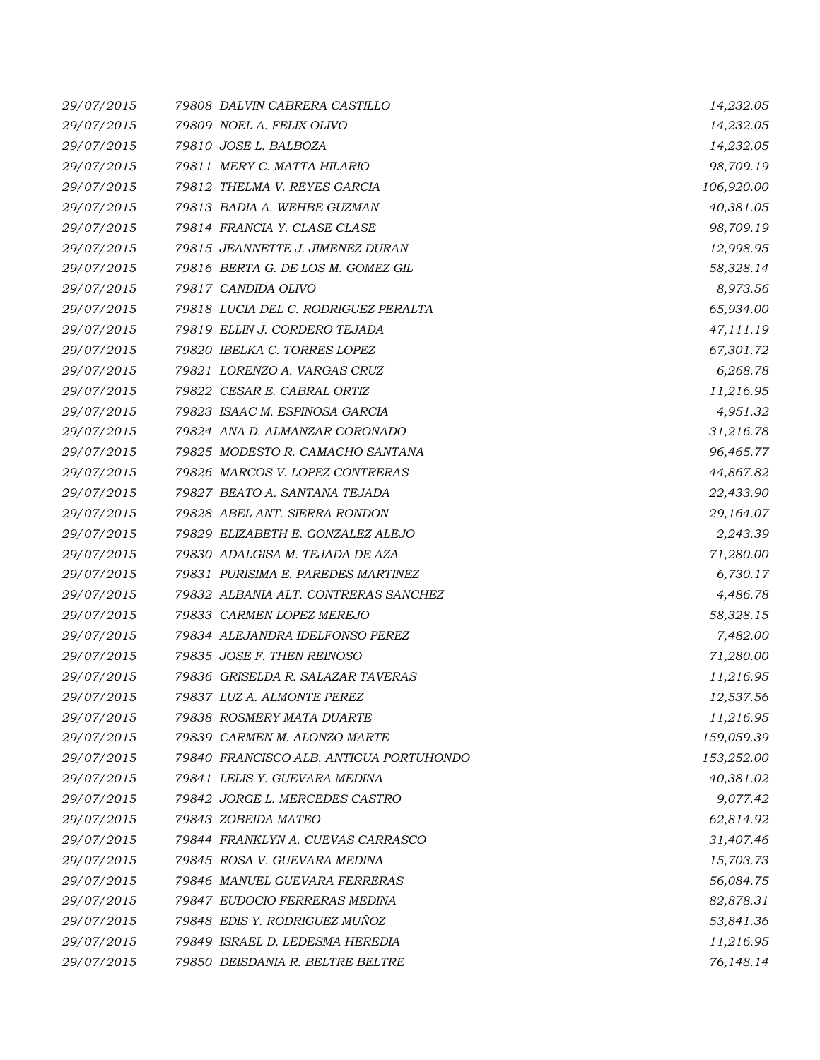| 29/07/2015 | 79808 DALVIN CABRERA CASTILLO           | 14,232.05  |
|------------|-----------------------------------------|------------|
| 29/07/2015 | 79809 NOEL A. FELIX OLIVO               | 14,232.05  |
| 29/07/2015 | 79810 JOSE L. BALBOZA                   | 14,232.05  |
| 29/07/2015 | 79811 MERY C. MATTA HILARIO             | 98,709.19  |
| 29/07/2015 | 79812 THELMA V. REYES GARCIA            | 106,920.00 |
| 29/07/2015 | 79813 BADIA A. WEHBE GUZMAN             | 40,381.05  |
| 29/07/2015 | 79814 FRANCIA Y. CLASE CLASE            | 98,709.19  |
| 29/07/2015 | 79815 JEANNETTE J. JIMENEZ DURAN        | 12,998.95  |
| 29/07/2015 | 79816 BERTA G. DE LOS M. GOMEZ GIL      | 58,328.14  |
| 29/07/2015 | 79817 CANDIDA OLIVO                     | 8,973.56   |
| 29/07/2015 | 79818 LUCIA DEL C. RODRIGUEZ PERALTA    | 65,934.00  |
| 29/07/2015 | 79819 ELLIN J. CORDERO TEJADA           | 47,111.19  |
| 29/07/2015 | 79820 IBELKA C. TORRES LOPEZ            | 67,301.72  |
| 29/07/2015 | 79821 LORENZO A. VARGAS CRUZ            | 6,268.78   |
| 29/07/2015 | 79822 CESAR E. CABRAL ORTIZ             | 11,216.95  |
| 29/07/2015 | 79823 ISAAC M. ESPINOSA GARCIA          | 4,951.32   |
| 29/07/2015 | 79824 ANA D. ALMANZAR CORONADO          | 31,216.78  |
| 29/07/2015 | 79825 MODESTO R. CAMACHO SANTANA        | 96,465.77  |
| 29/07/2015 | 79826 MARCOS V. LOPEZ CONTRERAS         | 44,867.82  |
| 29/07/2015 | 79827 BEATO A. SANTANA TEJADA           | 22,433.90  |
| 29/07/2015 | 79828 ABEL ANT. SIERRA RONDON           | 29,164.07  |
| 29/07/2015 | 79829 ELIZABETH E. GONZALEZ ALEJO       | 2,243.39   |
| 29/07/2015 | 79830 ADALGISA M. TEJADA DE AZA         | 71,280.00  |
| 29/07/2015 | 79831 PURISIMA E. PAREDES MARTINEZ      | 6,730.17   |
| 29/07/2015 | 79832 ALBANIA ALT. CONTRERAS SANCHEZ    | 4,486.78   |
| 29/07/2015 | 79833 CARMEN LOPEZ MEREJO               | 58,328.15  |
| 29/07/2015 | 79834 ALEJANDRA IDELFONSO PEREZ         | 7,482.00   |
| 29/07/2015 | 79835 JOSE F. THEN REINOSO              | 71,280.00  |
| 29/07/2015 | 79836 GRISELDA R. SALAZAR TAVERAS       | 11,216.95  |
| 29/07/2015 | 79837 LUZ A. ALMONTE PEREZ              | 12,537.56  |
| 29/07/2015 | 79838 ROSMERY MATA DUARTE               | 11,216.95  |
| 29/07/2015 | 79839 CARMEN M. ALONZO MARTE            | 159,059.39 |
| 29/07/2015 | 79840 FRANCISCO ALB. ANTIGUA PORTUHONDO | 153,252.00 |
| 29/07/2015 | 79841 LELIS Y. GUEVARA MEDINA           | 40,381.02  |
| 29/07/2015 | 79842 JORGE L. MERCEDES CASTRO          | 9,077.42   |
| 29/07/2015 | 79843 ZOBEIDA MATEO                     | 62,814.92  |
| 29/07/2015 | 79844 FRANKLYN A. CUEVAS CARRASCO       | 31,407.46  |
| 29/07/2015 | 79845 ROSA V. GUEVARA MEDINA            | 15,703.73  |
| 29/07/2015 | 79846 MANUEL GUEVARA FERRERAS           | 56,084.75  |
| 29/07/2015 | 79847 EUDOCIO FERRERAS MEDINA           | 82,878.31  |
| 29/07/2015 | 79848 EDIS Y. RODRIGUEZ MUÑOZ           | 53,841.36  |
| 29/07/2015 | 79849 ISRAEL D. LEDESMA HEREDIA         | 11,216.95  |
| 29/07/2015 | 79850 DEISDANIA R. BELTRE BELTRE        | 76,148.14  |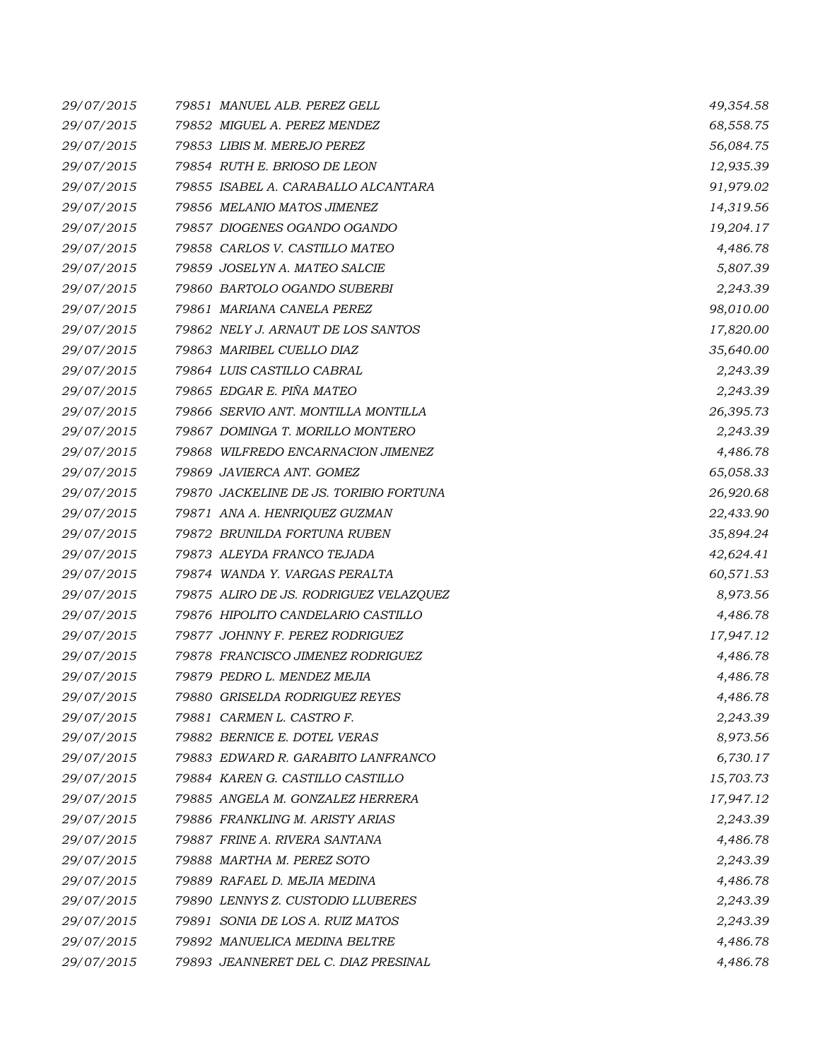| 29/07/2015 | 79851 MANUEL ALB. PEREZ GELL           | 49,354.58 |
|------------|----------------------------------------|-----------|
| 29/07/2015 | 79852 MIGUEL A. PEREZ MENDEZ           | 68,558.75 |
| 29/07/2015 | 79853 LIBIS M. MEREJO PEREZ            | 56,084.75 |
| 29/07/2015 | 79854 RUTH E. BRIOSO DE LEON           | 12,935.39 |
| 29/07/2015 | 79855 ISABEL A. CARABALLO ALCANTARA    | 91,979.02 |
| 29/07/2015 | 79856 MELANIO MATOS JIMENEZ            | 14,319.56 |
| 29/07/2015 | 79857 DIOGENES OGANDO OGANDO           | 19,204.17 |
| 29/07/2015 | 79858 CARLOS V. CASTILLO MATEO         | 4,486.78  |
| 29/07/2015 | 79859 JOSELYN A. MATEO SALCIE          | 5,807.39  |
| 29/07/2015 | 79860 BARTOLO OGANDO SUBERBI           | 2,243.39  |
| 29/07/2015 | 79861 MARIANA CANELA PEREZ             | 98,010.00 |
| 29/07/2015 | 79862 NELY J. ARNAUT DE LOS SANTOS     | 17,820.00 |
| 29/07/2015 | 79863 MARIBEL CUELLO DIAZ              | 35,640.00 |
| 29/07/2015 | 79864 LUIS CASTILLO CABRAL             | 2,243.39  |
| 29/07/2015 | 79865 EDGAR E. PIÑA MATEO              | 2,243.39  |
| 29/07/2015 | 79866 SERVIO ANT. MONTILLA MONTILLA    | 26,395.73 |
| 29/07/2015 | 79867 DOMINGA T. MORILLO MONTERO       | 2,243.39  |
| 29/07/2015 | 79868 WILFREDO ENCARNACION JIMENEZ     | 4,486.78  |
| 29/07/2015 | 79869 JAVIERCA ANT. GOMEZ              | 65,058.33 |
| 29/07/2015 | 79870 JACKELINE DE JS. TORIBIO FORTUNA | 26,920.68 |
| 29/07/2015 | 79871 ANA A. HENRIQUEZ GUZMAN          | 22,433.90 |
| 29/07/2015 | 79872 BRUNILDA FORTUNA RUBEN           | 35,894.24 |
| 29/07/2015 | 79873 ALEYDA FRANCO TEJADA             | 42,624.41 |
| 29/07/2015 | 79874 WANDA Y. VARGAS PERALTA          | 60,571.53 |
| 29/07/2015 | 79875 ALIRO DE JS. RODRIGUEZ VELAZQUEZ | 8,973.56  |
| 29/07/2015 | 79876 HIPOLITO CANDELARIO CASTILLO     | 4,486.78  |
| 29/07/2015 | 79877 JOHNNY F. PEREZ RODRIGUEZ        | 17,947.12 |
| 29/07/2015 | 79878 FRANCISCO JIMENEZ RODRIGUEZ      | 4,486.78  |
| 29/07/2015 | 79879 PEDRO L. MENDEZ MEJIA            | 4,486.78  |
| 29/07/2015 | 79880 GRISELDA RODRIGUEZ REYES         | 4,486.78  |
| 29/07/2015 | 79881 CARMEN L. CASTRO F.              | 2,243.39  |
| 29/07/2015 | 79882 BERNICE E. DOTEL VERAS           | 8,973.56  |
| 29/07/2015 | 79883 EDWARD R. GARABITO LANFRANCO     | 6,730.17  |
| 29/07/2015 | 79884 KAREN G. CASTILLO CASTILLO       | 15,703.73 |
| 29/07/2015 | 79885 ANGELA M. GONZALEZ HERRERA       | 17,947.12 |
| 29/07/2015 | 79886 FRANKLING M. ARISTY ARIAS        | 2,243.39  |
| 29/07/2015 | 79887 FRINE A. RIVERA SANTANA          | 4,486.78  |
| 29/07/2015 | 79888 MARTHA M. PEREZ SOTO             | 2,243.39  |
| 29/07/2015 | 79889 RAFAEL D. MEJIA MEDINA           | 4,486.78  |
| 29/07/2015 | 79890 LENNYS Z. CUSTODIO LLUBERES      | 2,243.39  |
| 29/07/2015 | 79891 SONIA DE LOS A. RUIZ MATOS       | 2,243.39  |
| 29/07/2015 | 79892 MANUELICA MEDINA BELTRE          | 4,486.78  |
| 29/07/2015 | 79893 JEANNERET DEL C. DIAZ PRESINAL   | 4,486.78  |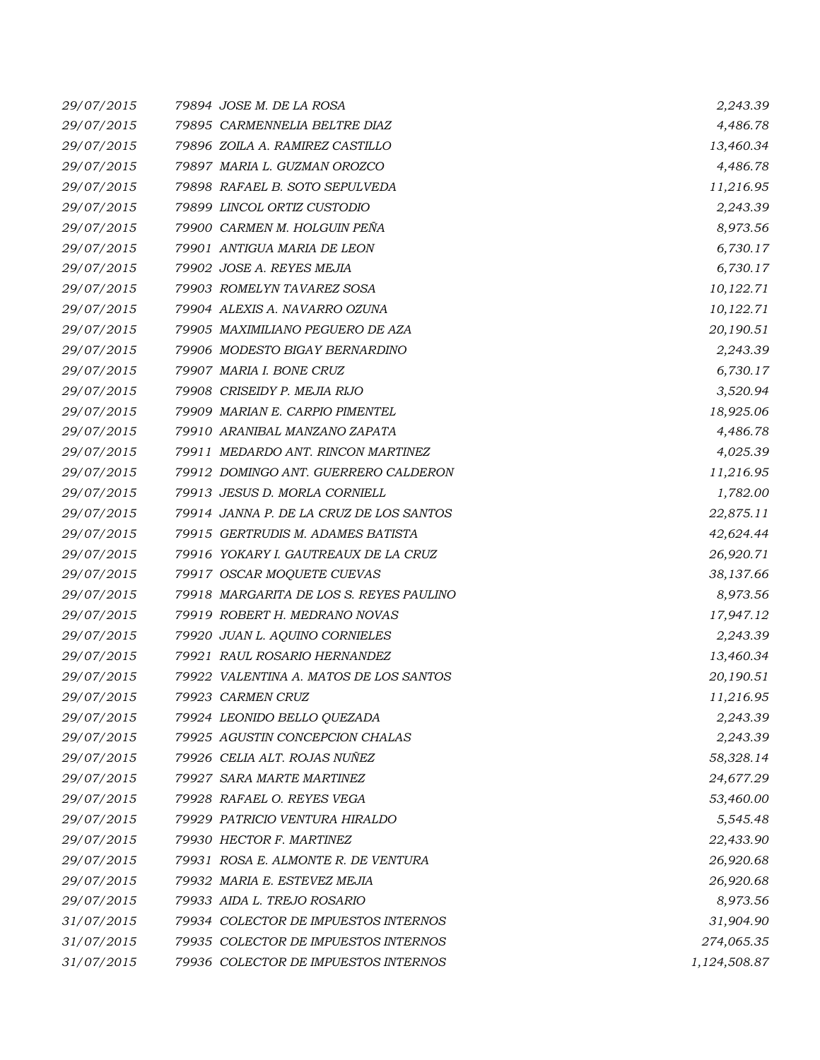| 29/07/2015 | 79894 JOSE M. DE LA ROSA                | 2,243.39     |
|------------|-----------------------------------------|--------------|
| 29/07/2015 | 79895 CARMENNELIA BELTRE DIAZ           | 4,486.78     |
| 29/07/2015 | 79896 ZOILA A. RAMIREZ CASTILLO         | 13,460.34    |
| 29/07/2015 | 79897 MARIA L. GUZMAN OROZCO            | 4,486.78     |
| 29/07/2015 | 79898 RAFAEL B. SOTO SEPULVEDA          | 11,216.95    |
| 29/07/2015 | 79899 LINCOL ORTIZ CUSTODIO             | 2,243.39     |
| 29/07/2015 | 79900 CARMEN M. HOLGUIN PEÑA            | 8,973.56     |
| 29/07/2015 | 79901 ANTIGUA MARIA DE LEON             | 6,730.17     |
| 29/07/2015 | 79902 JOSE A. REYES MEJIA               | 6,730.17     |
| 29/07/2015 | 79903 ROMELYN TAVAREZ SOSA              | 10,122.71    |
| 29/07/2015 | 79904 ALEXIS A. NAVARRO OZUNA           | 10,122.71    |
| 29/07/2015 | 79905 MAXIMILIANO PEGUERO DE AZA        | 20,190.51    |
| 29/07/2015 | 79906 MODESTO BIGAY BERNARDINO          | 2,243.39     |
| 29/07/2015 | 79907 MARIA I. BONE CRUZ                | 6,730.17     |
| 29/07/2015 | 79908 CRISEIDY P. MEJIA RIJO            | 3,520.94     |
| 29/07/2015 | 79909 MARIAN E. CARPIO PIMENTEL         | 18,925.06    |
| 29/07/2015 | 79910 ARANIBAL MANZANO ZAPATA           | 4,486.78     |
| 29/07/2015 | 79911 MEDARDO ANT. RINCON MARTINEZ      | 4,025.39     |
| 29/07/2015 | 79912 DOMINGO ANT. GUERRERO CALDERON    | 11,216.95    |
| 29/07/2015 | 79913 JESUS D. MORLA CORNIELL           | 1,782.00     |
| 29/07/2015 | 79914 JANNA P. DE LA CRUZ DE LOS SANTOS | 22,875.11    |
| 29/07/2015 | 79915 GERTRUDIS M. ADAMES BATISTA       | 42,624.44    |
| 29/07/2015 | 79916 YOKARY I. GAUTREAUX DE LA CRUZ    | 26,920.71    |
| 29/07/2015 | 79917 OSCAR MOQUETE CUEVAS              | 38,137.66    |
| 29/07/2015 | 79918 MARGARITA DE LOS S. REYES PAULINO | 8,973.56     |
| 29/07/2015 | 79919 ROBERT H. MEDRANO NOVAS           | 17,947.12    |
| 29/07/2015 | 79920 JUAN L. AQUINO CORNIELES          | 2,243.39     |
| 29/07/2015 | 79921 RAUL ROSARIO HERNANDEZ            | 13,460.34    |
| 29/07/2015 | 79922 VALENTINA A. MATOS DE LOS SANTOS  | 20,190.51    |
| 29/07/2015 | 79923 CARMEN CRUZ                       | 11,216.95    |
| 29/07/2015 | 79924 LEONIDO BELLO QUEZADA             | 2,243.39     |
| 29/07/2015 | 79925 AGUSTIN CONCEPCION CHALAS         | 2,243.39     |
| 29/07/2015 | 79926 CELIA ALT. ROJAS NUÑEZ            | 58,328.14    |
| 29/07/2015 | 79927 SARA MARTE MARTINEZ               | 24,677.29    |
| 29/07/2015 | 79928 RAFAEL O. REYES VEGA              | 53,460.00    |
| 29/07/2015 | 79929 PATRICIO VENTURA HIRALDO          | 5,545.48     |
| 29/07/2015 | 79930 HECTOR F. MARTINEZ                | 22,433.90    |
| 29/07/2015 | 79931 ROSA E. ALMONTE R. DE VENTURA     | 26,920.68    |
| 29/07/2015 | 79932 MARIA E. ESTEVEZ MEJIA            | 26,920.68    |
| 29/07/2015 | 79933 AIDA L. TREJO ROSARIO             | 8,973.56     |
| 31/07/2015 | 79934 COLECTOR DE IMPUESTOS INTERNOS    | 31,904.90    |
| 31/07/2015 | 79935 COLECTOR DE IMPUESTOS INTERNOS    | 274,065.35   |
| 31/07/2015 | 79936 COLECTOR DE IMPUESTOS INTERNOS    | 1,124,508.87 |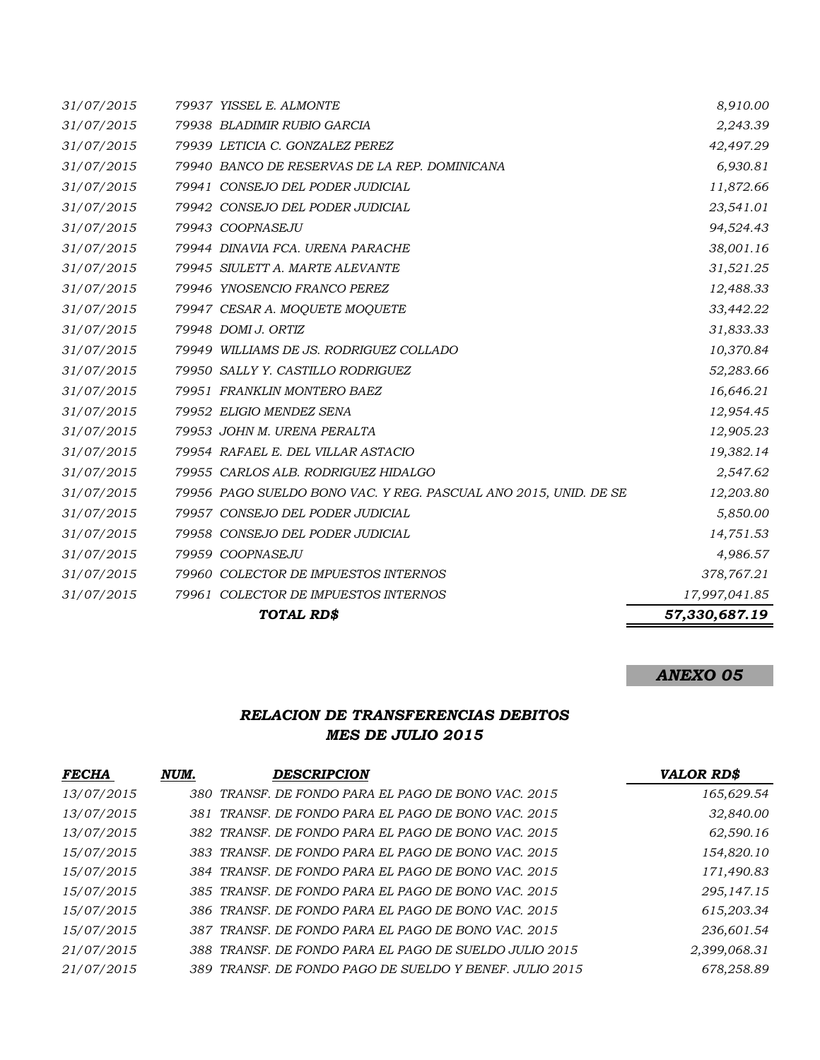|            | TOTAL RD\$                                                       | 57,330,687.19 |
|------------|------------------------------------------------------------------|---------------|
| 31/07/2015 | 79961 COLECTOR DE IMPUESTOS INTERNOS                             | 17,997,041.85 |
| 31/07/2015 | 79960 COLECTOR DE IMPUESTOS INTERNOS                             | 378,767.21    |
| 31/07/2015 | 79959 COOPNASEJU                                                 | 4,986.57      |
| 31/07/2015 | 79958 CONSEJO DEL PODER JUDICIAL                                 | 14,751.53     |
| 31/07/2015 | 79957 CONSEJO DEL PODER JUDICIAL                                 | 5,850.00      |
| 31/07/2015 | 79956 PAGO SUELDO BONO VAC. Y REG. PASCUAL ANO 2015, UNID. DE SE | 12,203.80     |
| 31/07/2015 | 79955 CARLOS ALB. RODRIGUEZ HIDALGO                              | 2,547.62      |
| 31/07/2015 | 79954 RAFAEL E. DEL VILLAR ASTACIO                               | 19,382.14     |
| 31/07/2015 | 79953 JOHN M. URENA PERALTA                                      | 12,905.23     |
| 31/07/2015 | 79952 ELIGIO MENDEZ SENA                                         | 12,954.45     |
| 31/07/2015 | 79951 FRANKLIN MONTERO BAEZ                                      | 16,646.21     |
| 31/07/2015 | 79950 SALLY Y. CASTILLO RODRIGUEZ                                | 52,283.66     |
| 31/07/2015 | 79949 WILLIAMS DE JS. RODRIGUEZ COLLADO                          | 10,370.84     |
| 31/07/2015 | 79948 DOMI J. ORTIZ                                              | 31,833.33     |
| 31/07/2015 | 79947 CESAR A. MOQUETE MOQUETE                                   | 33,442.22     |
| 31/07/2015 | 79946 YNOSENCIO FRANCO PEREZ                                     | 12,488.33     |
| 31/07/2015 | 79945 SIULETT A. MARTE ALEVANTE                                  | 31,521.25     |
| 31/07/2015 | 79944 DINAVIA FCA. URENA PARACHE                                 | 38,001.16     |
| 31/07/2015 | 79943 COOPNASEJU                                                 | 94,524.43     |
| 31/07/2015 | 79942 CONSEJO DEL PODER JUDICIAL                                 | 23,541.01     |
| 31/07/2015 | 79941 CONSEJO DEL PODER JUDICIAL                                 | 11,872.66     |
| 31/07/2015 | 79940 BANCO DE RESERVAS DE LA REP. DOMINICANA                    | 6,930.81      |
| 31/07/2015 | 79939 LETICIA C. GONZALEZ PEREZ                                  | 42,497.29     |
| 31/07/2015 | 79938 BLADIMIR RUBIO GARCIA                                      | 2,243.39      |
| 31/07/2015 | 79937 YISSEL E. ALMONTE                                          | 8,910.00      |

# *ANEXO 05*

## *RELACION DE TRANSFERENCIAS DEBITOS MES DE JULIO 2015*

| <b>FECHA</b> | NUM. | <b>DESCRIPCION</b>                                      | <b>VALOR RD\$</b> |
|--------------|------|---------------------------------------------------------|-------------------|
| 13/07/2015   |      | 380 TRANSF. DE FONDO PARA EL PAGO DE BONO VAC. 2015     | 165,629.54        |
| 13/07/2015   |      | 381 TRANSF. DE FONDO PARA EL PAGO DE BONO VAC. 2015     | 32,840.00         |
| 13/07/2015   |      | 382 TRANSF. DE FONDO PARA EL PAGO DE BONO VAC. 2015     | 62,590.16         |
| 15/07/2015   |      | 383 TRANSF. DE FONDO PARA EL PAGO DE BONO VAC. 2015     | 154,820.10        |
| 15/07/2015   |      | 384 TRANSF. DE FONDO PARA EL PAGO DE BONO VAC. 2015     | 171,490.83        |
| 15/07/2015   |      | 385 TRANSF. DE FONDO PARA EL PAGO DE BONO VAC. 2015     | 295,147.15        |
| 15/07/2015   |      | 386 TRANSF. DE FONDO PARA EL PAGO DE BONO VAC. 2015     | 615,203.34        |
| 15/07/2015   |      | 387 TRANSF. DE FONDO PARA EL PAGO DE BONO VAC. 2015     | 236,601.54        |
| 21/07/2015   |      | 388 TRANSF. DE FONDO PARA EL PAGO DE SUELDO JULIO 2015  | 2,399,068.31      |
| 21/07/2015   |      | 389 TRANSF. DE FONDO PAGO DE SUELDO Y BENEF. JULIO 2015 | 678.258.89        |